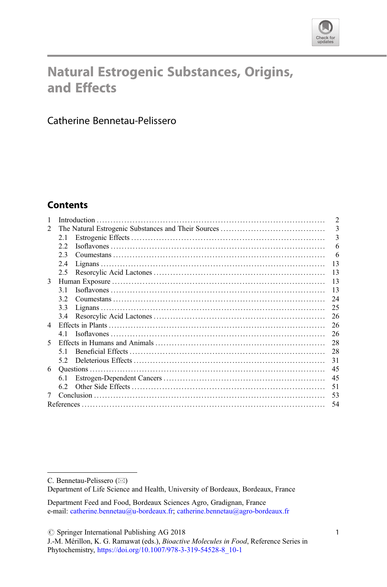

# Natural Estrogenic Substances, Origins, and Effects

Catherine Bennetau-Pelissero

# **Contents**

| 1              |     |               | $\overline{c}$ |
|----------------|-----|---------------|----------------|
| 2              |     |               | 3              |
|                | 2.1 |               | 3              |
|                | 2.2 | Is of a vones | 6              |
|                | 2.3 |               | 6              |
|                | 2.4 |               | 13             |
|                | 2.5 |               | 13             |
| 3              |     |               | 13             |
|                | 3.1 |               | 13             |
|                | 3.2 |               | 24             |
|                | 3.3 |               | 25             |
|                | 3.4 |               | 26             |
| $\overline{4}$ |     |               | 26             |
|                | 41  |               | 26             |
| 5              |     |               | 28             |
|                | 5.1 |               | 28             |
|                | 5.2 |               | 31             |
| 6              |     |               | 45             |
|                | 6.1 |               | 45             |
|                |     |               | 51             |
| 7              |     |               | 53             |
|                |     |               | 54             |
|                |     |               |                |

C. Bennetau-Pelissero ( $\boxtimes$ )

Department of Life Science and Health, University of Bordeaux, Bordeaux, France

Department Feed and Food, Bordeaux Sciences Agro, Gradignan, France e-mail: [catherine.bennetau@u-bordeaux.fr](mailto:catherine.bennetau@u-bordeaux.fr); [catherine.bennetau@agro-bordeaux.fr](mailto:catherine.bennetau@agro-bordeaux.fr)

 $\oslash$  Springer International Publishing AG 2018

J.-M. Mérillon, K. G. Ramawat (eds.), Bioactive Molecules in Food, Reference Series in Phytochemistry, [https://doi.org/10.1007/978-3-319-54528-8\\_10-1](https://doi.org/10.1007/978-3-319-54528-8_10-1)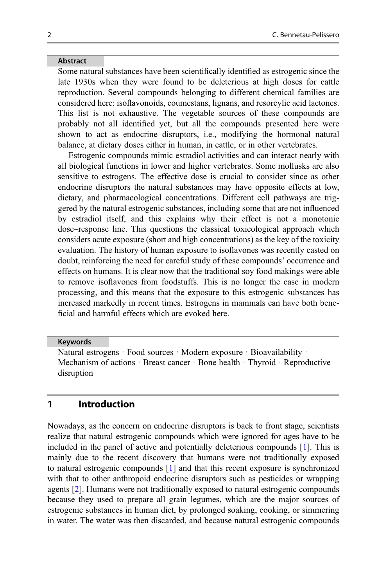#### Abstract

Some natural substances have been scientifically identified as estrogenic since the late 1930s when they were found to be deleterious at high doses for cattle reproduction. Several compounds belonging to different chemical families are considered here: isoflavonoids, coumestans, lignans, and resorcylic acid lactones. This list is not exhaustive. The vegetable sources of these compounds are probably not all identified yet, but all the compounds presented here were shown to act as endocrine disruptors, i.e., modifying the hormonal natural balance, at dietary doses either in human, in cattle, or in other vertebrates.

Estrogenic compounds mimic estradiol activities and can interact nearly with all biological functions in lower and higher vertebrates. Some mollusks are also sensitive to estrogens. The effective dose is crucial to consider since as other endocrine disruptors the natural substances may have opposite effects at low, dietary, and pharmacological concentrations. Different cell pathways are triggered by the natural estrogenic substances, including some that are not influenced by estradiol itself, and this explains why their effect is not a monotonic dose–response line. This questions the classical toxicological approach which considers acute exposure (short and high concentrations) as the key of the toxicity evaluation. The history of human exposure to isoflavones was recently casted on doubt, reinforcing the need for careful study of these compounds' occurrence and effects on humans. It is clear now that the traditional soy food makings were able to remove isoflavones from foodstuffs. This is no longer the case in modern processing, and this means that the exposure to this estrogenic substances has increased markedly in recent times. Estrogens in mammals can have both beneficial and harmful effects which are evoked here.

#### Keywords

Natural estrogens · Food sources · Modern exposure · Bioavailability · Mechanism of actions · Breast cancer · Bone health · Thyroid · Reproductive disruption

# 1 Introduction

Nowadays, as the concern on endocrine disruptors is back to front stage, scientists realize that natural estrogenic compounds which were ignored for ages have to be included in the panel of active and potentially deleterious compounds [[1\]](#page-53-0). This is mainly due to the recent discovery that humans were not traditionally exposed to natural estrogenic compounds [[1\]](#page-53-0) and that this recent exposure is synchronized with that to other anthropoid endocrine disruptors such as pesticides or wrapping agents [[2\]](#page-53-0). Humans were not traditionally exposed to natural estrogenic compounds because they used to prepare all grain legumes, which are the major sources of estrogenic substances in human diet, by prolonged soaking, cooking, or simmering in water. The water was then discarded, and because natural estrogenic compounds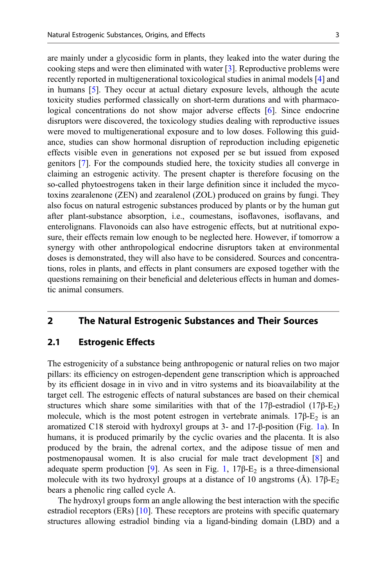are mainly under a glycosidic form in plants, they leaked into the water during the cooking steps and were then eliminated with water [[3\]](#page-53-0). Reproductive problems were recently reported in multigenerational toxicological studies in animal models [[4\]](#page-53-0) and in humans [\[5](#page-53-0)]. They occur at actual dietary exposure levels, although the acute toxicity studies performed classically on short-term durations and with pharmaco-logical concentrations do not show major adverse effects [[6\]](#page-53-0). Since endocrine disruptors were discovered, the toxicology studies dealing with reproductive issues were moved to multigenerational exposure and to low doses. Following this guidance, studies can show hormonal disruption of reproduction including epigenetic effects visible even in generations not exposed per se but issued from exposed genitors [\[7](#page-53-0)]. For the compounds studied here, the toxicity studies all converge in claiming an estrogenic activity. The present chapter is therefore focusing on the so-called phytoestrogens taken in their large definition since it included the mycotoxins zearalenone (ZEN) and zearalenol (ZOL) produced on grains by fungi. They also focus on natural estrogenic substances produced by plants or by the human gut after plant-substance absorption, i.e., coumestans, isoflavones, isoflavans, and enterolignans. Flavonoids can also have estrogenic effects, but at nutritional exposure, their effects remain low enough to be neglected here. However, if tomorrow a synergy with other anthropological endocrine disruptors taken at environmental doses is demonstrated, they will also have to be considered. Sources and concentrations, roles in plants, and effects in plant consumers are exposed together with the questions remaining on their beneficial and deleterious effects in human and domestic animal consumers.

### 2 The Natural Estrogenic Substances and Their Sources

### 2.1 Estrogenic Effects

The estrogenicity of a substance being anthropogenic or natural relies on two major pillars: its efficiency on estrogen-dependent gene transcription which is approached by its efficient dosage in in vivo and in vitro systems and its bioavailability at the target cell. The estrogenic effects of natural substances are based on their chemical structures which share some similarities with that of the 17β-estradiol (17β-E<sub>2</sub>) molecule, which is the most potent estrogen in vertebrate animals.  $17\beta$ -E<sub>2</sub> is an aromatized C18 steroid with hydroxyl groups at 3- and 17-β-position (Fig. [1a](#page-3-0)). In humans, it is produced primarily by the cyclic ovaries and the placenta. It is also produced by the brain, the adrenal cortex, and the adipose tissue of men and postmenopausal women. It is also crucial for male tract development [[8\]](#page-53-0) and adequate sperm production [[9\]](#page-53-0). As seen in Fig. [1,](#page-3-0)  $17\beta$ -E<sub>2</sub> is a three-dimensional molecule with its two hydroxyl groups at a distance of 10 angstroms (Å). 17β-E<sub>2</sub> bears a phenolic ring called cycle A.

The hydroxyl groups form an angle allowing the best interaction with the specific estradiol receptors (ERs) [[10\]](#page-53-0). These receptors are proteins with specific quaternary structures allowing estradiol binding via a ligand-binding domain (LBD) and a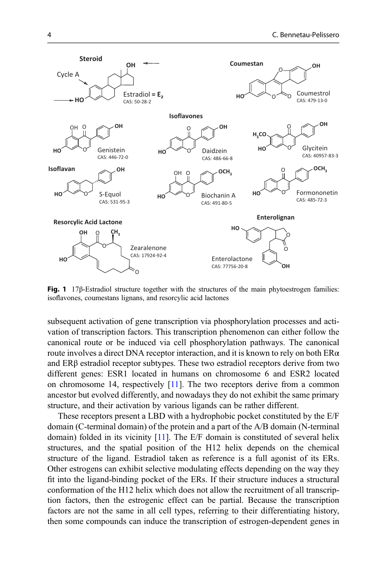<span id="page-3-0"></span>

**Fig. 1** 17β-Estradiol structure together with the structures of the main phytoestrogen families: isoflavones, coumestans lignans, and resorcylic acid lactones

subsequent activation of gene transcription via phosphorylation processes and activation of transcription factors. This transcription phenomenon can either follow the canonical route or be induced via cell phosphorylation pathways. The canonical route involves a direct DNA receptor interaction, and it is known to rely on both  $ER\alpha$ and ERβ estradiol receptor subtypes. These two estradiol receptors derive from two different genes: ESR1 located in humans on chromosome 6 and ESR2 located on chromosome 14, respectively [[11](#page-53-0)]. The two receptors derive from a common ancestor but evolved differently, and nowadays they do not exhibit the same primary structure, and their activation by various ligands can be rather different.

These receptors present a LBD with a hydrophobic pocket constituted by the E/F domain (C-terminal domain) of the protein and a part of the A/B domain (N-terminal domain) folded in its vicinity  $[11]$  $[11]$  $[11]$ . The E/F domain is constituted of several helix structures, and the spatial position of the H12 helix depends on the chemical structure of the ligand. Estradiol taken as reference is a full agonist of its ERs. Other estrogens can exhibit selective modulating effects depending on the way they fit into the ligand-binding pocket of the ERs. If their structure induces a structural conformation of the H12 helix which does not allow the recruitment of all transcription factors, then the estrogenic effect can be partial. Because the transcription factors are not the same in all cell types, referring to their differentiating history, then some compounds can induce the transcription of estrogen-dependent genes in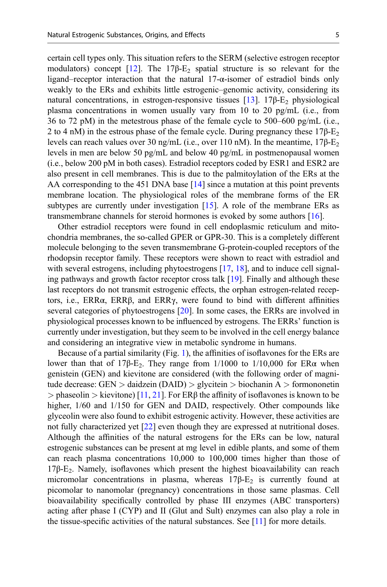certain cell types only. This situation refers to the SERM (selective estrogen receptor modulators) concept [[12\]](#page-53-0). The 17β-E<sub>2</sub> spatial structure is so relevant for the ligand–receptor interaction that the natural 17- $\alpha$ -isomer of estradiol binds only weakly to the ERs and exhibits little estrogenic–genomic activity, considering its natural concentrations, in estrogen-responsive tissues  $[13]$  $[13]$ . 17β-E<sub>2</sub> physiological plasma concentrations in women usually vary from 10 to 20 pg/mL (i.e., from 36 to 72 pM) in the metestrous phase of the female cycle to 500–600 pg/mL (i.e., 2 to 4 nM) in the estrous phase of the female cycle. During pregnancy these  $17\beta$ -E<sub>2</sub> levels can reach values over 30 ng/mL (i.e., over 110 nM). In the meantime,  $17β-E_2$ levels in men are below 50 pg/mL and below 40 pg/mL in postmenopausal women (i.e., below 200 pM in both cases). Estradiol receptors coded by ESR1 and ESR2 are also present in cell membranes. This is due to the palmitoylation of the ERs at the AA corresponding to the 451 DNA base [[14\]](#page-53-0) since a mutation at this point prevents membrane location. The physiological roles of the membrane forms of the ER subtypes are currently under investigation  $[15]$  $[15]$ . A role of the membrane ERs as transmembrane channels for steroid hormones is evoked by some authors [[16](#page-54-0)].

Other estradiol receptors were found in cell endoplasmic reticulum and mitochondria membranes, the so-called GPER or GPR-30. This is a completely different molecule belonging to the seven transmembrane G-protein-coupled receptors of the rhodopsin receptor family. These receptors were shown to react with estradiol and with several estrogens, including phytoestrogens [[17,](#page-54-0) [18\]](#page-54-0), and to induce cell signaling pathways and growth factor receptor cross talk [[19\]](#page-54-0). Finally and although these last receptors do not transmit estrogenic effects, the orphan estrogen-related receptors, i.e., ERRα, ERRβ, and ERRγ, were found to bind with different affinities several categories of phytoestrogens [[20\]](#page-54-0). In some cases, the ERRs are involved in physiological processes known to be influenced by estrogens. The ERRs' function is currently under investigation, but they seem to be involved in the cell energy balance and considering an integrative view in metabolic syndrome in humans.

Because of a partial similarity (Fig. [1](#page-3-0)), the affinities of isoflavones for the ERs are lower than that of 17β-E<sub>2</sub>. They range from 1/1000 to 1/10,000 for ERα when genistein (GEN) and kievitone are considered (with the following order of magnitude decrease: GEN > daidzein (DAID) > glycitein > biochanin A > formononetin  $>$  phaseolin  $>$  kievitone) [[11,](#page-53-0) [21](#page-54-0)]. For ER $\beta$  the affinity of isoflavones is known to be higher,  $1/60$  and  $1/150$  for GEN and DAID, respectively. Other compounds like glyceolin were also found to exhibit estrogenic activity. However, these activities are not fully characterized yet [[22\]](#page-54-0) even though they are expressed at nutritional doses. Although the affinities of the natural estrogens for the ERs can be low, natural estrogenic substances can be present at mg level in edible plants, and some of them can reach plasma concentrations 10,000 to 100,000 times higher than those of 17β-E2. Namely, isoflavones which present the highest bioavailability can reach micromolar concentrations in plasma, whereas  $17\beta$ -E<sub>2</sub> is currently found at picomolar to nanomolar (pregnancy) concentrations in those same plasmas. Cell bioavailability specifically controlled by phase III enzymes (ABC transporters) acting after phase I (CYP) and II (Glut and Sult) enzymes can also play a role in the tissue-specific activities of the natural substances. See [\[11](#page-53-0)] for more details.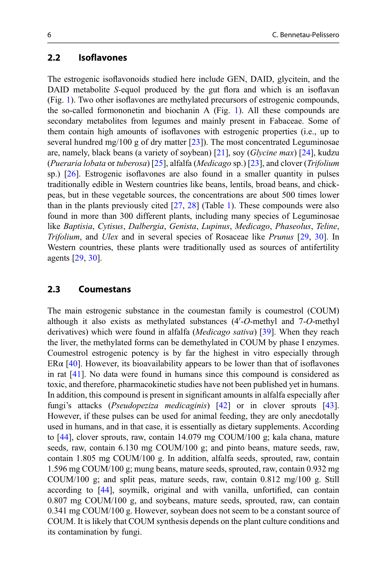### 2.2 Isoflavones

The estrogenic isoflavonoids studied here include GEN, DAID, glycitein, and the DAID metabolite S-equol produced by the gut flora and which is an isoflavan (Fig. [1](#page-3-0)). Two other isoflavones are methylated precursors of estrogenic compounds, the so-called formononetin and biochanin A (Fig. [1](#page-3-0)). All these compounds are secondary metabolites from legumes and mainly present in Fabaceae. Some of them contain high amounts of isoflavones with estrogenic properties (i.e., up to several hundred mg/100 g of dry matter [[23\]](#page-54-0)). The most concentrated Leguminosae are, namely, black beans (a variety of soybean)  $[21]$  $[21]$ , soy (*Glycine max*)  $[24]$  $[24]$ , kudzu (Pueraria lobata or tuberosa) [\[25](#page-54-0)], alfalfa (Medicago sp.) [[23\]](#page-54-0), and clover (Trifolium sp.) [\[26](#page-54-0)]. Estrogenic isoflavones are also found in a smaller quantity in pulses traditionally edible in Western countries like beans, lentils, broad beans, and chickpeas, but in these vegetable sources, the concentrations are about 500 times lower than in the plants previously cited [\[27](#page-54-0), [28](#page-54-0)] (Table [1\)](#page-6-0). These compounds were also found in more than 300 different plants, including many species of Leguminosae like Baptisia, Cytisus, Dalbergia, Genista, Lupinus, Medicago, Phaseolus, Teline, Trifolium, and Ulex and in several species of Rosaceae like Prunus [\[29](#page-54-0), [30\]](#page-54-0). In Western countries, these plants were traditionally used as sources of antifertility agents [\[29](#page-54-0), [30](#page-54-0)].

# 2.3 Coumestans

The main estrogenic substance in the coumestan family is coumestrol (COUM) although it also exists as methylated substances  $(4'-O$ -methyl and  $7-O$ -methyl derivatives) which were found in alfalfa (*Medicago sativa*) [\[39](#page-55-0)]. When they reach the liver, the methylated forms can be demethylated in COUM by phase I enzymes. Coumestrol estrogenic potency is by far the highest in vitro especially through ER $\alpha$  [\[40](#page-55-0)]. However, its bioavailability appears to be lower than that of isoflavones in rat [\[41](#page-55-0)]. No data were found in humans since this compound is considered as toxic, and therefore, pharmacokinetic studies have not been published yet in humans. In addition, this compound is present in significant amounts in alfalfa especially after fungi's attacks (Pseudopeziza medicaginis) [[42\]](#page-55-0) or in clover sprouts [[43\]](#page-55-0). However, if these pulses can be used for animal feeding, they are only anecdotally used in humans, and in that case, it is essentially as dietary supplements. According to [\[44](#page-55-0)], clover sprouts, raw, contain 14.079 mg COUM/100 g; kala chana, mature seeds, raw, contain 6.130 mg COUM/100 g; and pinto beans, mature seeds, raw, contain 1.805 mg COUM/100 g. In addition, alfalfa seeds, sprouted, raw, contain 1.596 mg COUM/100 g; mung beans, mature seeds, sprouted, raw, contain 0.932 mg COUM/100 g; and split peas, mature seeds, raw, contain  $0.812 \text{ mg}/100 \text{ g}$ . Still according to [\[44](#page-55-0)], soymilk, original and with vanilla, unfortified, can contain 0.807 mg COUM/100 g, and soybeans, mature seeds, sprouted, raw, can contain 0.341 mg COUM/100 g. However, soybean does not seem to be a constant source of COUM. It is likely that COUM synthesis depends on the plant culture conditions and its contamination by fungi.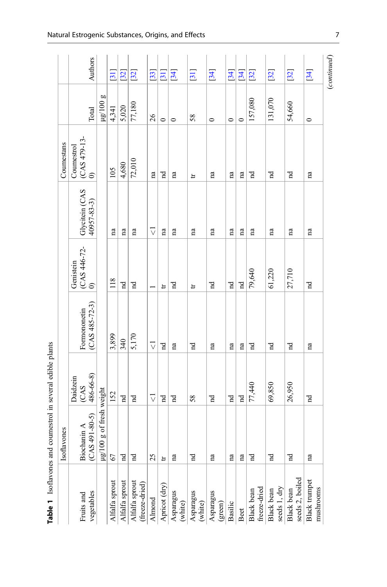<span id="page-6-0"></span>

|                               | Isoflavones                          |                               |                      |                           |                                                                            | Coumestans                      |                    |             |
|-------------------------------|--------------------------------------|-------------------------------|----------------------|---------------------------|----------------------------------------------------------------------------|---------------------------------|--------------------|-------------|
| Fruits and                    | Biochanin A                          | Daidzein<br>(CAS<br>486-66-8) | Formononetin         | (CAS 446-72-<br>Genistein |                                                                            | Counstand<br>CAS 479-13-<br>(0) |                    |             |
| vegetables                    | $(CAS 491 - 80 - 5)$                 |                               | $(CAS 485 - 72 - 3)$ | $\circ$                   | $\begin{bmatrix} \text{Glyciten (CAS} \\ \text{40957-83-3)} \end{bmatrix}$ |                                 | Total              | Authors     |
|                               | 00 g of fresh weight<br>$\mu$ g/ $1$ |                               |                      |                           |                                                                            |                                 | $\mu$ g/100 $g$    |             |
| Alfalfa sprout                | 67                                   | 152                           | 3,899                | 118                       | na                                                                         | 105                             | 4,341              | 31          |
| Alfalfa sprout                | 'n                                   | $\mathbf{H}$                  | 340                  | 'n                        | na                                                                         | 4,680                           | 5,020              | [32]        |
| Alfalfa sprout                | 'n                                   | 'n                            | 5,170                | 'n                        | na                                                                         | 72,010                          | 77,180             | [32]        |
| (freeze-dried)                |                                      |                               |                      |                           |                                                                            |                                 |                    |             |
| Almond                        | 25                                   | $\stackrel{\neg}{\vee}$       | $\overline{\vee}$    |                           | $\overline{\vee}$                                                          | na                              | 26                 | 33          |
| Apricot (dry)                 | Ħ                                    | Ĕ                             | Ĕ                    | Ħ                         | na                                                                         | $\mathbf{F}$                    | 0                  | [31]        |
| Asparagus<br>(white)          | na                                   | 'n                            | na                   | 'n                        | na                                                                         | na                              | $\circ$            | [34]        |
| Asparagus<br>(white)          | $\mathbf{r}$                         | 58                            | 'n                   | Ħ                         | na                                                                         | Ħ                               | 58                 | [31]        |
| Asparagus<br>(green)          | na                                   | pd                            | na                   | 'n                        | na                                                                         | na                              | $\circ$            | [34]        |
| <b>Basilic</b>                | na                                   | 'n                            | na                   | $_{\rm nd}$               | na                                                                         | na                              | $\circ$            | [34]        |
| Beet                          | na                                   | 'n                            | na                   | $_{\rm nd}$               | na                                                                         | na                              | $\mathbf{\subset}$ | [34]        |
| Black bean<br>freeze-dried    | F                                    | 77,440                        | pd                   | 79,640                    | na                                                                         | 'n                              | 157,080            | [32]        |
| Black bean<br>seeds 1, dry    | $_{\rm nd}$                          | 69,850                        | 'n                   | 61,220                    | na                                                                         | $_{\rm nd}$                     | 131,070            | [32]        |
| seeds 2, boiled<br>Black bean | $_{\rm nd}$                          | 26,950                        | Ĕ                    | 27,710                    | na                                                                         | Ĕ                               | 54,660             | [32]        |
| Black trumpet<br>mushrooms    | na                                   | 'n                            | na                   | 'n                        | na                                                                         | na                              | $\circ$            | [34]        |
|                               |                                      |                               |                      |                           |                                                                            |                                 |                    | (continued) |

Table 1 Isoflavones and coumestrol in several edible plants Table 1 Isoflavones and coumestrol in several edible plants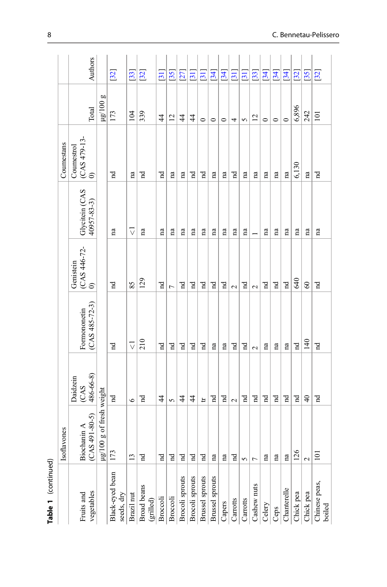| うりっこう こうし                       |                                  |                               |                                      |                                   |                               |                                    |                |                 |
|---------------------------------|----------------------------------|-------------------------------|--------------------------------------|-----------------------------------|-------------------------------|------------------------------------|----------------|-----------------|
|                                 | Isoflavones                      |                               |                                      |                                   |                               | Coumestans                         |                |                 |
|                                 |                                  |                               |                                      | Genistein                         |                               |                                    |                |                 |
| vegetables<br>Fruits and        | 491-80-5)<br>Biochanin A<br>(CAS | Daidzein<br>(CAS<br>486-66-8) | $(CAS 485 - 72 - 3)$<br>Formononetin | (CAS 446-72-<br>$\widehat{\circ}$ | Glycitein (CAS<br>40957-83-3) | Connectrol<br>$(CAS 479-13-$<br>0) | Total          | Authors         |
|                                 | µg/100 g of fresh weight         |                               |                                      |                                   |                               |                                    | $\mu$ g $100g$ |                 |
| Black-eyed bean<br>seeds, dry   | 173                              | $\overline{\mathrm{H}}$       | $\mathbf{H}$                         | $\mathbf{r}$                      | na                            | $\mathbf{H}$                       | 173            | [32]            |
| Brazil nut                      | 13                               | $\circ$                       | $\overline{\vee}$                    | 85                                | $\stackrel{\neg}{\vee}$       | na                                 | 104            | [33]            |
| <b>Broad beans</b><br>(grilled) | $\overline{\mathbf{a}}$          | $\mathbf{F}$                  | 210                                  | 129                               | na                            | Ĕ                                  | 339            | [32]            |
| <b>Broccoli</b>                 | pq                               | $\ddot{4}$                    | Pu                                   | $\mathbf{F}$                      | na                            | Pu                                 | $\ddot{4}$     | [31]            |
| Broccoli                        | 'n                               | 5                             | 'n                                   | $\overline{ }$                    | na                            | na                                 | $\overline{2}$ | [35]            |
| <b>Brocoli</b> sprouts          | Fq                               | $\ddot{4}$                    | $\overline{a}$                       | F                                 | na                            | na                                 | $\ddot{4}$     | 27              |
| <b>Brocoli</b> sprouts          | $_{\rm nd}$                      | $\ddot{4}$                    | $\overline{a}$                       | $\mathbf{H}$                      | na                            | F                                  | $\ddot{4}$     | $\overline{31}$ |
| <b>Brussel</b> sprouts          | F                                | $\overline{\mathbf{u}}$       | Ĕ                                    | F                                 | na                            | F                                  | $\circ$        | $\overline{31}$ |
| <b>Brussel</b> sprouts          | na                               | 'nd                           | na                                   | 'n                                | na                            | na                                 | $\circ$        | [34]            |
| Capers                          | na                               | F                             | na                                   | F                                 | na                            | na                                 | $\circ$        | [34]            |
| Carrotts                        | 'n                               | $\sim$                        | 'n                                   | $\sim$                            | na                            | F                                  | 4              | $\overline{31}$ |
| Carrotts                        | 5                                | pd                            | Ĕ                                    | 'n                                | na                            | na                                 | 5              | $\overline{31}$ |
| Cashew nuts                     | $\overline{ }$                   | $\overline{a}$                | $\sim$                               | $\sim$                            |                               | na                                 | $\overline{2}$ | [33]            |
| Celery                          | na                               | Ĕ                             | na                                   | Ĕ                                 | na                            | na                                 | $\circ$        | [34]            |
| Ceps                            | na                               | F                             | na                                   | Ĕ                                 | na                            | na                                 | $\circ$        | [34]            |
| Chanterelle                     | na                               | $\mathbf{H}$                  | na                                   | $_{\rm nd}$                       | na                            | na                                 | $\circ$        | [34]            |
| Chick pea                       | 126                              | $\mathbf{H}$                  | $\mathbf{H}$                         | 640                               | na                            | 6,130                              | 6,896          | [32]            |
| Chick pea                       | $\mathcal{L}$                    | $\overline{4}$                | 140                                  | $\infty$                          | na                            | na                                 | 242            | 35              |
| Chinese peas,<br>boiled         | 101                              | F                             | 'n                                   | 'n                                | $\mathbf{n}$ a                | 'nd                                | 101            | [32]            |
|                                 |                                  |                               |                                      |                                   |                               |                                    |                |                 |

Table 1 (continued) Table 1 (continued)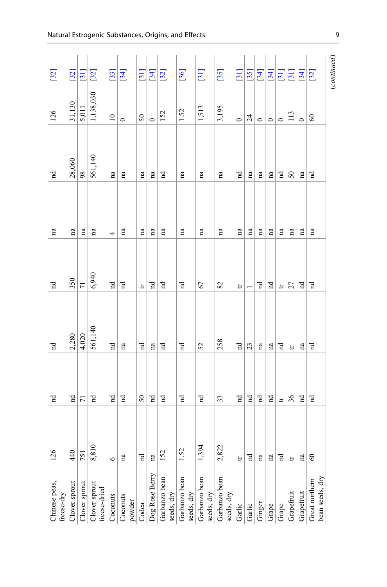| [32]                        | [32]          | $\overline{31}$ | [32]                          | [33]            | [34]               | [31]   | [34]           | [32]                        | [36]                        | $[31]$                      | [35]                        | [31]    | [35]            | [34]         | [34]    | [31]    | [31]                    | [34]         | [32]                              | $_{(continued)}$ |
|-----------------------------|---------------|-----------------|-------------------------------|-----------------|--------------------|--------|----------------|-----------------------------|-----------------------------|-----------------------------|-----------------------------|---------|-----------------|--------------|---------|---------|-------------------------|--------------|-----------------------------------|------------------|
| 126                         | 31,130        | 5,011           | 1,138,030                     | $\overline{10}$ | $\circ$            | $50\,$ | $\circ$        | 152                         | 1.52                        | 1,513                       | 3,195                       | $\circ$ | $\overline{24}$ | $\circ$      | $\circ$ | $\circ$ | 113                     | $\bullet$    | $\infty$                          |                  |
| 'n                          | 28,060        | 98              | 561,140                       | na              | na                 | na     | na             | $\mathbf{H}$                | na                          | na                          | na                          | Ĕ       | na              | na           | na      | Ĕ       | $50\,$                  | na           | F                                 |                  |
| na                          | na            | na              | na                            | 4               | na                 | na     | na             | na                          | na                          | na                          | na                          | na      | na              | na           | na      | na      | na                      | na           | na                                |                  |
| 'n                          | 350           | 71              | 6,940                         | $\mathbf{H}$    | $\mathbf{H}$       | Ħ      | Ĕ              | $\overline{\mathbf{r}}$     | $\mathbf{H}$                | 67                          | $82\,$                      | Ħ       |                 | $\mathbf{H}$ | F       | Ħ       | 27                      | $\mathbf{H}$ | Ĕ                                 |                  |
| Ĕ                           | 2,280         | 4,020           | 561,140                       | A               | na                 | $\Xi$  | na             | $\overline{\mathbf{a}}$     | $\mathbb{E}$                | 52                          | 258                         | F       | 23              | na           | na      | Ĕ       | Ħ                       | na           | E                                 |                  |
| F                           | $_{\rm nd}$   | $\overline{7}$  | F                             | Ĕ               | Ĕ                  | $50\,$ | F              | E                           | Ĕ                           | E                           | 33                          | Ĕ       | E               | F            | F       | Ħ       | 36                      | E            | E                                 |                  |
| 126                         | 440           | 751             | $\circ$<br>8,81               | $\circ$         | na                 | 'n     | na             | 152                         | 1.52                        | 1,394                       | 2,822                       | Ħ       | 'n              | na           | na      | F       | $\overline{\mathbf{u}}$ | na           | $\Im$                             |                  |
| Chinese peas,<br>freese-dry | Clover sprout | Clover sprout   | Clover sprout<br>freese-dried | Coconuts        | Coconuts<br>powder | Codea  | Dog Rose Berry | Garbanzo bean<br>seeds, dry | Garbanzo bean<br>seeds, dry | Garbanzo bean<br>seeds, dry | Garbanzo bean<br>seeds, dry | Garlic  | Garlic          | Ginger       | Grape   | Grape   | Grapefruit              | Grapefruit   | bean seeds, dry<br>Great northern |                  |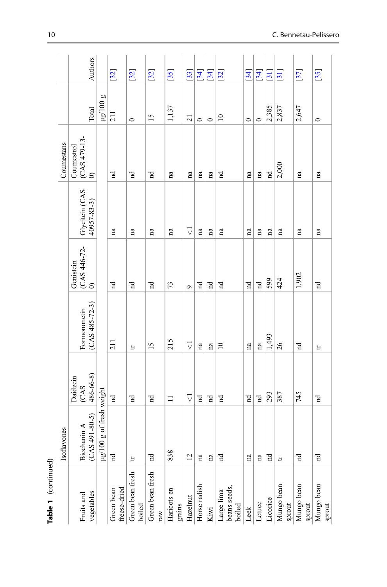| Table 1 (continued)        |                          |                         |                      |                      |                         |                            |                  |                 |
|----------------------------|--------------------------|-------------------------|----------------------|----------------------|-------------------------|----------------------------|------------------|-----------------|
|                            | Isoflavones              |                         |                      |                      |                         | Coumestans                 |                  |                 |
| Fruits and                 | Biochanin A              | Daidzein<br>(CAS        | Formononetin         | $(CAS 446-72-$<br>0) | Glycitein (CAS          | (CAS 479-13-<br>Coumestrol |                  |                 |
| vegetables                 | $(CAS491-80-5)$          | 486-66-8)               | $(CAS 485 - 72 - 3)$ |                      | 40957-83-3)             | $\widehat{\circ}$          | Total            | Authors         |
|                            | µg/100 g of fresh weight |                         |                      |                      |                         |                            | $\mu$ g $(100 g$ |                 |
| Green bean                 | $_{\rm nd}$              | Бr                      | 211                  | 'n                   | na                      | 'n                         | 211              | [32]            |
| freese-dried               |                          |                         |                      |                      |                         |                            |                  |                 |
| Green bean fresh<br>boiled | Ħ                        | 'n                      | Ħ                    | $\mathbb{R}$         | na                      | $\mathbf{F}$               | $\circ$          | [32]            |
| Green bean fresh           | $\overline{a}$           | 'n                      | $\overline{15}$      | Ĕ                    | na                      | $_{\rm nd}$                | 15               | [32]            |
| raw                        |                          |                         |                      |                      |                         |                            |                  |                 |
| Haricots en<br>grains      | 838                      | $\equiv$                | 215                  | 73                   | na                      | na                         | 1,137            | [35]            |
| Hazelnut                   | $\overline{c}$           | $\stackrel{\neg}{\vee}$ | $\overline{\vee}$    | $\sigma$             | $\stackrel{\neg}{\vee}$ | na                         | 21               | [33]            |
| Horse radish               | na                       | F                       | na                   | F                    | na                      | na                         | $\circ$          | [34]            |
| Kiwi                       | na                       | Ĕ                       | na                   | Ĕ                    | na                      | na                         | $\circ$          | [34]            |
| Large lima                 | pq                       | 'nd                     | $\overline{10}$      | Ĕ                    | na                      | Ĕ                          | $\overline{10}$  | [32]            |
| beans seeds,<br>boiled     |                          |                         |                      |                      |                         |                            |                  |                 |
| Leek                       | na                       | 'n                      | na                   | Ĕ                    | na                      | na                         | $\circ$          | [34]            |
| Letuce                     | na                       | $\mathbf{F}$            | na                   | $\mathbf{H}$         | na                      | na                         | $\circ$          | [34]            |
| Licorice                   | $_{\rm nd}$              | 293                     | 1,493                | 599                  | na                      | $\overline{\mathbf{a}}$    | 2,385            | $\overline{31}$ |
| Mungo bean<br>sprout       | $\overline{u}$           | 387                     | 26                   | 424                  | na                      | 2,000                      | 2,837            | $\boxed{31}$    |
| Mungo bean<br>sprout       | $_{\rm nd}$              | 745                     | $\mathbf{F}$         | 1,902                | na                      | na                         | 2,647            | [37]            |
| Mungo bean<br>sprout       | 'n                       | 'n                      | Ħ                    | $\mathbf{r}$         | na                      | na                         | $\circ$          | [35]            |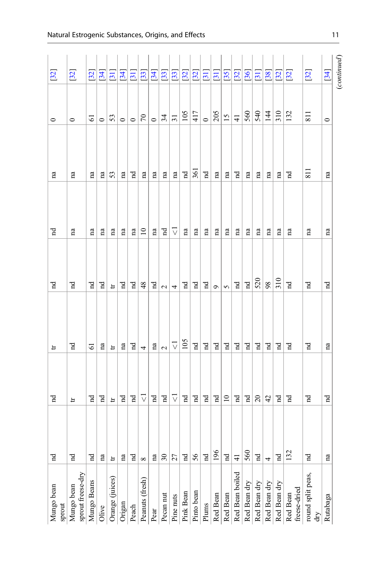| Mungo bean                      | F                        | F               | Ħ                                                                           | F                                                       | F                                  | na                     | $\circ$          | $[32]$            |
|---------------------------------|--------------------------|-----------------|-----------------------------------------------------------------------------|---------------------------------------------------------|------------------------------------|------------------------|------------------|-------------------|
| sprout                          |                          |                 |                                                                             |                                                         |                                    |                        |                  |                   |
| sprout freese-dry<br>Mungo bean | F                        | Ħ               | F                                                                           | F                                                       | na                                 | na                     | $\circ$          | [32]              |
| Mungo Beans                     | $\mathbf{F}$             | $\mathbf{H}$    | $\overline{6}$                                                              | $_{\rm nd}$                                             | $\mathbf{n}\mathbf{a}$             | $\mathbf{n}\mathbf{a}$ | 5                | [32]              |
| Olive                           | na                       | $\mathbf{F}$    | na                                                                          | $\overline{a}$                                          | na                                 | na                     | $\circ$          | [34]              |
| Orange (juices)                 | Ħ                        | $\pm$           | $\mathbf{\Xi}$                                                              | $\begin{array}{c} \Xi \end{array}$                      | $\mathbf{n}\mathbf{a}$             | 53                     | $\frac{53}{2}$   | 31                |
| Origan                          | na                       | $\mathbf{r}$    | na                                                                          | $_{\rm nd}$                                             | na                                 | na                     | $\circ$          | $\left[34\right]$ |
| Peach                           | F                        | $_{\rm nd}$     | $_{\rm nd}$                                                                 | $_{\rm nd}$                                             | na                                 | 'n                     | $\circ$          | $\overline{31}$   |
| Peanuts (fresh)                 | ${}^{\circ}$             | $\triangledown$ | 4                                                                           | 48                                                      | $\overline{10}$                    | na                     | $\sqrt{2}$       | [33]              |
| Pear                            | na                       | $\mathbf{H}$    | $\mathbf{n}\mathbf{a}$                                                      | $\vert$ $\vec{E}$                                       | na                                 | $\mathbf{n}\mathbf{a}$ | $\circ$          | [34]              |
| Pecan nut                       | $\overline{\mathbf{30}}$ | $_{\rm nd}$     | $\sim$                                                                      | $\sim$                                                  | $_{\rm nd}$                        | $\mathbb{E}$           | $\vert 3 \vert$  | [33]              |
| Pine nuts                       | 27                       | $\triangledown$ | $\stackrel{\textstyle \overline{\textstyle \sqrt{3}}}{\textstyle \sqrt{3}}$ | $\overline{\phantom{a}}$                                | $\stackrel{\textstyle \sim}{\vee}$ | na                     | $\overline{31}$  | $[33]$            |
| Pink Bean                       | 'n                       | $_{\rm nd}$     | 105                                                                         | $_{\rm nd}$                                             | $\mathbf{n}\mathbf{a}$             | $_{\rm nd}$            | 105              | [32]              |
| Pinto bean                      | 56                       | $\mathbf{F}$    | $\mathbf{r}$                                                                | $_{\rm nd}$                                             | $\mathbf{n}\mathbf{a}$             | 361                    | 417              | [32]              |
| Plums                           | $\mathbf{H}$             | $\mathbf{H}$    | $\mathbf{r}$                                                                | $_{\rm nd}$                                             | na                                 | $_{\rm nd}$            | $\circ$          | $\overline{31}$   |
| Red Bean                        | 196                      | $\mathbb{E}$    | $\rm _{nd}$                                                                 | $\circ$                                                 | na                                 | $\mathbf{n}$           | 205              | [31]              |
| Red Bean                        | Ĕ                        | $\overline{10}$ | $\mathbf{r}$                                                                | $\sigma$                                                | na                                 | na                     | 15               | 35                |
| Red Bean boiled                 | $\frac{4}{1}$            | $_{\rm nd}$     | $\overline{a}$                                                              | $\rm _H$                                                | na                                 | $\mathbf{r}$           | $\overline{4}$   | [32]              |
| Red Bean dry                    | 560                      | 뎨               | $\frac{1}{2}$                                                               |                                                         | na                                 | na                     |                  | [36]              |
| Red Bean dry                    | F                        | $\overline{c}$  | $\overline{\mathbf{a}}$                                                     |                                                         | $\mathbf{n}\mathbf{a}$             | na                     | $rac{560}{540}$  | [31]              |
| Red Bean dry                    | 4                        | 42              | $_{\rm nd}$                                                                 | $\frac{1}{2}$ $\frac{1}{2}$ $\frac{1}{2}$ $\frac{1}{2}$ | $\mathbf{n}\mathbf{a}$             | na                     | 144              | [38]              |
| Red Bean dry                    | 'n,                      | $\mathbf{H}$    | $\mathbf{H}$                                                                | 310                                                     | $\mathbf{n}\mathbf{a}$             | na                     | 310              | [32]              |
| freese-dried<br>Red Bean        | 132                      | F               | $\mathbf{H}$                                                                | $\overline{a}$                                          | na                                 | F                      | $\overline{132}$ | [32]              |
| round split peas,<br>dry        | $_{\rm nd}$              | Ĕ               | Ĕ                                                                           | F                                                       | na                                 | $\overline{8}$         | 811              | [32]              |
| Rutabaga                        | na                       | $\mathbf{H}$    | na                                                                          | $\mathbf{H}$                                            | na                                 | na                     | $\circ$          | $[34]$            |
|                                 |                          |                 |                                                                             |                                                         |                                    |                        |                  | (continued)       |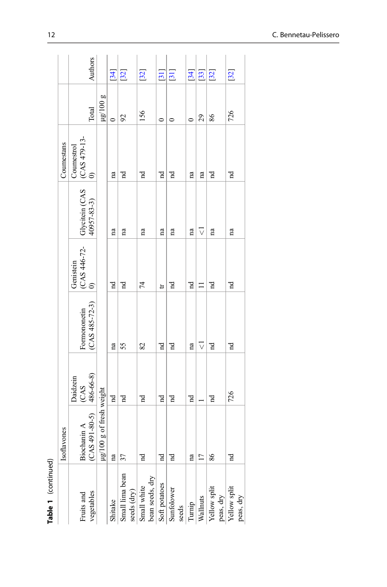| Table 1 (continued) |                                                              |                         |                      |               |                                                                                                               |            |                  |                 |
|---------------------|--------------------------------------------------------------|-------------------------|----------------------|---------------|---------------------------------------------------------------------------------------------------------------|------------|------------------|-----------------|
|                     | Isoflavones                                                  |                         |                      |               |                                                                                                               | Coumestans |                  |                 |
|                     | Biochanin A<br>(CAS 491-80-5)<br>(GAS 491-80-5)<br>486-66-8) |                         |                      | Genistein     | Cournestrol<br>$\begin{bmatrix}\n\text{Glycerien (CAS} \\ \text{(CAS 479-13-40957-83-3)} \\ 0\n\end{bmatrix}$ |            |                  |                 |
| Fruits and          |                                                              |                         | Formononetin         | (CAS 446-72-  |                                                                                                               |            |                  |                 |
| vegetables          |                                                              |                         | $(CAS 485 - 72 - 3)$ | $\hat{\circ}$ |                                                                                                               |            | Total            | Authors         |
|                     | µg/100 g of fresh weight                                     |                         |                      |               |                                                                                                               |            | $\mu$ g $(100 g$ |                 |
| Shitake             | na                                                           | $\overline{\mathbf{a}}$ | na                   | 'n,           | na                                                                                                            | na         | $\circ$          | [34]            |
| Small lima bean     | 37                                                           | F                       | 55                   | 'n            | na                                                                                                            | Ĕ          | 92               | [32]            |
| seeds (dry)         |                                                              |                         |                      |               |                                                                                                               |            |                  |                 |
| Small white         | 'n                                                           | $\overline{a}$          | 82                   | 74            | na                                                                                                            | 'nd        | 156              | $[32]$          |
| bean seeds, dry     |                                                              |                         |                      |               |                                                                                                               |            |                  |                 |
| Soft potatoes       | 'n                                                           | 'n                      | Pu                   | Ħ             | na                                                                                                            | F          | 0                | $\overline{31}$ |
| Sunfolower          | Ĕ                                                            | F                       | 'nd                  | 'nd           | $\mathbf{n}$ a                                                                                                | 'n         | $\circ$          | $[31]$          |
| seeds               |                                                              |                         |                      |               |                                                                                                               |            |                  |                 |
| Turnip              | na                                                           | $\mathbf{p}$            | $\mathbf{n}$ a       | 'n            | na                                                                                                            | na         | 0                | $[34]$          |
| Wallnuts            | 17                                                           |                         | $\overline{\vee}$    | $\Xi$         | $\overline{\vee}$                                                                                             | na         | 29               | $[33]$          |
| Yellow split        | 86                                                           | Ĕ                       | $_{\rm nd}$          | 'n,           | na                                                                                                            | Pu         | 86               | $[32]$          |
| peas, dry           |                                                              |                         |                      |               |                                                                                                               |            |                  |                 |
| Yellow split        | 'n                                                           | 726                     | 'nd                  | 'n            | na                                                                                                            | 'n         | 726              | $[32]$          |
| peas, dry           |                                                              |                         |                      |               |                                                                                                               |            |                  |                 |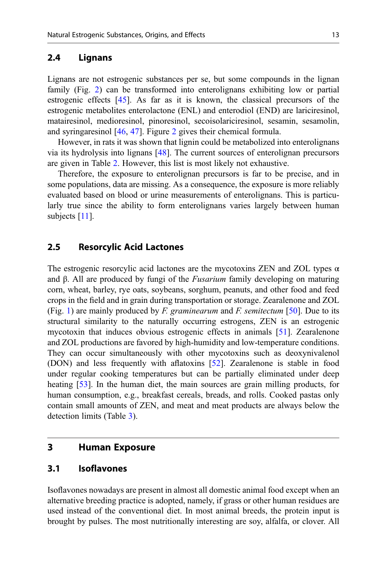# 2.4 Lignans

Lignans are not estrogenic substances per se, but some compounds in the lignan family (Fig. [2\)](#page-13-0) can be transformed into enterolignans exhibiting low or partial estrogenic effects [\[45](#page-55-0)]. As far as it is known, the classical precursors of the estrogenic metabolites enterolactone (ENL) and enterodiol (END) are lariciresinol, matairesinol, medioresinol, pinoresinol, secoisolariciresinol, sesamin, sesamolin, and syringaresinol [[46,](#page-55-0) [47](#page-55-0)]. Figure [2](#page-13-0) gives their chemical formula.

However, in rats it was shown that lignin could be metabolized into enterolignans via its hydrolysis into lignans [\[48](#page-55-0)]. The current sources of enterolignan precursors are given in Table [2.](#page-14-0) However, this list is most likely not exhaustive.

Therefore, the exposure to enterolignan precursors is far to be precise, and in some populations, data are missing. As a consequence, the exposure is more reliably evaluated based on blood or urine measurements of enterolignans. This is particularly true since the ability to form enterolignans varies largely between human subjects [[11](#page-53-0)].

# 2.5 Resorcylic Acid Lactones

The estrogenic resorcylic acid lactones are the mycotoxins ZEN and ZOL types  $\alpha$ and β. All are produced by fungi of the *Fusarium* family developing on maturing corn, wheat, barley, rye oats, soybeans, sorghum, peanuts, and other food and feed crops in the field and in grain during transportation or storage. Zearalenone and ZOL (Fig. [1\)](#page-3-0) are mainly produced by F. graminearum and F. semitectum [\[50](#page-55-0)]. Due to its structural similarity to the naturally occurring estrogens, ZEN is an estrogenic mycotoxin that induces obvious estrogenic effects in animals [[51\]](#page-55-0). Zearalenone and ZOL productions are favored by high-humidity and low-temperature conditions. They can occur simultaneously with other mycotoxins such as deoxynivalenol (DON) and less frequently with aflatoxins [[52\]](#page-55-0). Zearalenone is stable in food under regular cooking temperatures but can be partially eliminated under deep heating [[53\]](#page-55-0). In the human diet, the main sources are grain milling products, for human consumption, e.g., breakfast cereals, breads, and rolls. Cooked pastas only contain small amounts of ZEN, and meat and meat products are always below the detection limits (Table [3\)](#page-19-0).

# 3 Human Exposure

# 3.1 Isoflavones

Isoflavones nowadays are present in almost all domestic animal food except when an alternative breeding practice is adopted, namely, if grass or other human residues are used instead of the conventional diet. In most animal breeds, the protein input is brought by pulses. The most nutritionally interesting are soy, alfalfa, or clover. All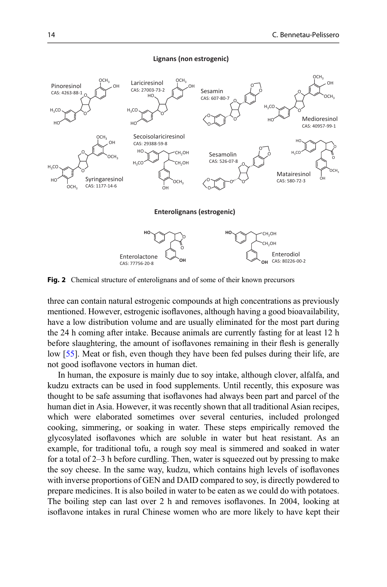<span id="page-13-0"></span>

#### **Lignans (non estrogenic)**

Fig. 2 Chemical structure of enterolignans and of some of their known precursors

three can contain natural estrogenic compounds at high concentrations as previously mentioned. However, estrogenic isoflavones, although having a good bioavailability, have a low distribution volume and are usually eliminated for the most part during the 24 h coming after intake. Because animals are currently fasting for at least 12 h before slaughtering, the amount of isoflavones remaining in their flesh is generally low [[55\]](#page-55-0). Meat or fish, even though they have been fed pulses during their life, are not good isoflavone vectors in human diet.

In human, the exposure is mainly due to soy intake, although clover, alfalfa, and kudzu extracts can be used in food supplements. Until recently, this exposure was thought to be safe assuming that isoflavones had always been part and parcel of the human diet in Asia. However, it was recently shown that all traditional Asian recipes, which were elaborated sometimes over several centuries, included prolonged cooking, simmering, or soaking in water. These steps empirically removed the glycosylated isoflavones which are soluble in water but heat resistant. As an example, for traditional tofu, a rough soy meal is simmered and soaked in water for a total of 2–3 h before curdling. Then, water is squeezed out by pressing to make the soy cheese. In the same way, kudzu, which contains high levels of isoflavones with inverse proportions of GEN and DAID compared to soy, is directly powdered to prepare medicines. It is also boiled in water to be eaten as we could do with potatoes. The boiling step can last over 2 h and removes isoflavones. In 2004, looking at isoflavone intakes in rural Chinese women who are more likely to have kept their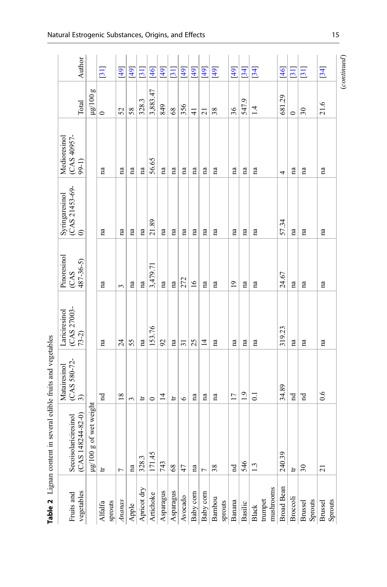<span id="page-14-0"></span>

| Fruits and                | Secoisolariciresinol                 | Matairesinol                         | Lariciresinol        | Pinoresinol<br>(CAS | (CAS 21453-69-<br>Syringaresinol | (CAS 40957-<br>Medioresinol |                 |                 |
|---------------------------|--------------------------------------|--------------------------------------|----------------------|---------------------|----------------------------------|-----------------------------|-----------------|-----------------|
| vegetables                | $48244-82-0$<br>(CAS <sub>1</sub>    | $\begin{bmatrix}$ (CAS 580-72-<br>3) | $(CAS 27003 - 73-2)$ | 487-36-5)           | $\widehat{\circ}$                | 99-1)                       | Total           | Author          |
|                           | g of wet weight<br>$\frac{118}{100}$ |                                      |                      |                     |                                  |                             | $\mu$ g $100$ g |                 |
| sprouts<br>Alfalfa        | $\mathbf{H}$                         | $_{\rm nd}$                          | na                   | na                  | na                               | na                          | $\circ$         | [31]            |
| Ananas                    | $\overline{ }$                       | 18                                   | $\overline{24}$      | 3                   | na                               | na                          | 52              | [49]            |
| Apple                     | na                                   | $\epsilon$                           | 55                   | na                  | na                               | na                          | 58              | [49]            |
| Apricot dry               | 328.3                                | Ħ                                    | na                   | na                  | na                               | na                          | 328.3           | $\overline{31}$ |
| Artichoke                 | 171.45                               | $\circ$                              | 153.76               | 3,479.71            | 21.89                            | 56.65                       | 3,883.47        | $\frac{46}{5}$  |
| Asparagus                 | 743                                  | $\overline{1}$                       | $\mathcal{S}$        | na                  | na                               | na                          | 849             | [49]            |
| Asparagus                 | 68                                   | Ħ                                    | na                   | na                  | na                               | na                          | 68              | $\overline{31}$ |
| Avocado                   | 47                                   | $\circ$                              | $\overline{31}$      | 272                 | na                               | na                          | 356             | [49]            |
| Baby com                  | na                                   | na                                   | 25                   | 16                  | na                               | na                          | $\frac{1}{4}$   | [49]            |
| Baby corn                 | $\overline{ }$                       | na                                   | $\overline{4}$       | na                  | na                               | na                          | $\overline{21}$ | [49]            |
| Bambou                    | 38                                   | na                                   | na                   | na                  | na                               | na                          | 38              | [49]            |
| sprouts                   |                                      |                                      |                      |                     |                                  |                             |                 |                 |
| Banana                    | 'n                                   | $\overline{17}$                      | na                   | $\overline{19}$     | na                               | na                          | 36              | [49]            |
| <b>Basilic</b>            | 546                                  | 1.9                                  | na                   | na                  | na                               | na                          | 547.9           | 34              |
| Black                     | 1.3                                  | $\overline{0}$ .                     | na                   | na                  | na                               | na                          | 1.4             | [34]            |
| mushrooms<br>trumpet      |                                      |                                      |                      |                     |                                  |                             |                 |                 |
| <b>Broad Bean</b>         | 240.39                               | 34.89                                | 319.23               | 24.67               | 57.34                            | 4                           | 681.29          | [46]            |
| <b>Broccoli</b>           | $\sharp$                             | $_{\rm nd}$                          | na                   | na                  | na                               | na                          | $\circ$         | [31]            |
| Sprouts<br>Brussel        | 30                                   | $_{\rm nd}$                          | na                   | na                  | na                               | na                          | $30\,$          | [31]            |
| Sprouts<br><b>Brussel</b> | $\overline{c}$                       | 0.6                                  | na                   | na                  | na                               | na                          | 21.6            | [34]            |
|                           |                                      |                                      |                      |                     |                                  |                             |                 | (continued)     |

Table 2 Lignan content in several edible fruits and vegetables **Table 2** Lignan content in several edible fruits and vegetables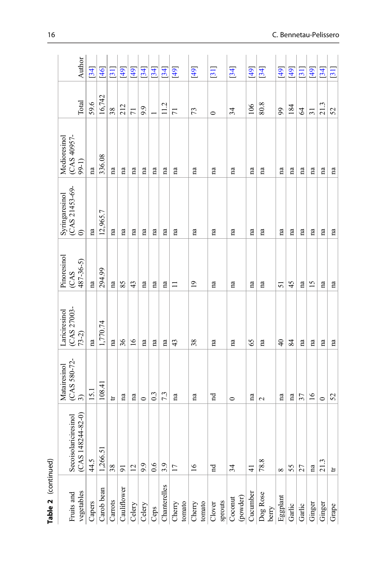|                                                                        | Author                                               | [34]   | [46]       | $\overline{31}$ | [49]        | [49]            | [34]    | [34]         | [34]         | [49]           |                  | [49]                       |        | [31]        |         | [34]    |          | [49]          | [34]                                | 49             | [49]   | $\overline{31}$ | [49]            | [34]    | $\boxed{31}$ |
|------------------------------------------------------------------------|------------------------------------------------------|--------|------------|-----------------|-------------|-----------------|---------|--------------|--------------|----------------|------------------|----------------------------|--------|-------------|---------|---------|----------|---------------|-------------------------------------|----------------|--------|-----------------|-----------------|---------|--------------|
|                                                                        | Total                                                | 59.6   | 16,742     | 38              | 212         | 71              | 9.9     |              | 11.2         | $\overline{7}$ |                  | 73                         |        | $\bullet$   |         | 34      |          | 106           | 80.8                                | 99             | 184    | $\mathcal{Z}$   | $\overline{31}$ | 21.3    | 52           |
| Medioresinol                                                           | $(CAS 40957-99-1)$                                   | na     | 336.08     | na              | na          | na              | na      | na           | na           | na             |                  | na                         |        | na          |         | na      |          | na            | na                                  | na             | na     | na              | na              | na      | na           |
| Syringaresinol<br>(CAS 21453-69- $\begin{array}{c} 0 \\ 0 \end{array}$ |                                                      | na     | 12,965.7   | na              | na          | na              | na      | $\mathbf{a}$ | na           | na             |                  | na                         |        | na          |         | na      |          | na            | na                                  | na             | na     | na              | na              | na      | na           |
| Pinoresinol<br>(CAS<br>$487-36-5$ )                                    |                                                      | na     | 294.99     | na              | 85          | 43              | na      | na           | na           | $\equiv$       |                  | $\overline{19}$            |        | na          |         | na      |          | na            | na                                  | 51             | 45     | na              | 15              | na      | $^{\rm na}$  |
| Lariciresinol                                                          | $(CAS 27003 - 73-2)$                                 | na     | 1,770.74   | na              | 36          | $\overline{16}$ | na      | na           | na           | 43             |                  | 38                         |        | na          |         | na      |          | 65            | na                                  | $\overline{4}$ | 84     | na              | na              | na      | na           |
| Matairesinol                                                           | $\begin{bmatrix} (CAS S80-72-3) \\ 3) \end{bmatrix}$ | 15.1   | 108.41     | Ħ               | na          | na              | $\circ$ | 0.3          | 7.3          | na             |                  | na                         |        | $_{\rm nd}$ |         | $\circ$ |          | na            | $\sim$                              | na             | na     | 37              | $\frac{6}{2}$   | $\circ$ | 52           |
| Secoisolariciresinol                                                   | $(48244 - 82 - 0)$<br>CAS                            | 44.5   | 1,266.51   | 38              | 51          | $\overline{c}$  | 9.9     | 0.6          | 3.9          | 17             |                  | $\overline{16}$            |        | 'n          |         | 34      |          | $\frac{4}{3}$ | 78.8                                | ${}^{\circ}$   | 55     | 27              | na              | 21.3    | $\ddot{a}$   |
| Fruits and                                                             | vegetables                                           | Capers | Carob bean | Carrots         | Cauliflower | Celery          | Celery  | Ceps         | Chanterelles |                | Cherry<br>tomato | $\overline{\text{Cherry}}$ | tomato | Clover      | sprouts | Coconut | (powder) | Cucumber      | $\operatorname*{Dog}$ Rose<br>berry | Eggplant       | Garlic | Garlic          | Ginger          | Ginger  | Grape        |

Table 2 (continued) Table 2 (continued)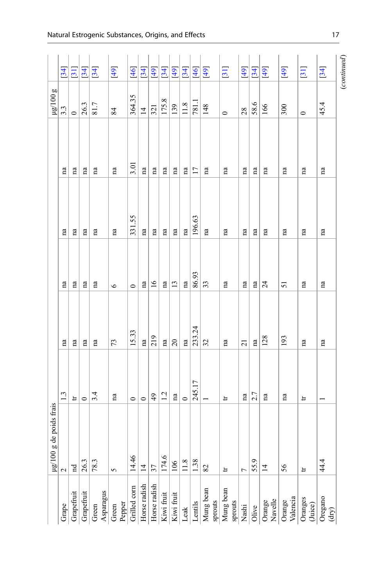|                    | g de poids frais<br>$\frac{1}{2}$ 00 $\frac{1}{2}$ |                               |                 |                 |        |                        | $\mu$ g $(100 g$ |                 |
|--------------------|----------------------------------------------------|-------------------------------|-----------------|-----------------|--------|------------------------|------------------|-----------------|
| Grape              | $\sim$                                             | ن<br>$\overline{\phantom{0}}$ | na              | na              | na     | na                     | 3.3              | [34]            |
| Grapefruit         | F                                                  | Ħ                             | na              | na              | na     | na                     | $\circ$          | $\overline{31}$ |
| Grapefruit         | 26.3                                               | $\circ$                       | na              | na              | na     | $n$ a                  | 26.3             | [34]            |
| Asparagus<br>Green | 78.3                                               | 3.4                           | na              | na              | na     | na                     | 81.7             | [34]            |
| Pepper<br>Green    | $\sigma$                                           | na                            | 73              | $\circ$         | na     | na                     | 84               | [49]            |
| Grilled com        | 14.46                                              | $\circ$                       | 15.33           | $\circ$         | 331.55 | 3.01                   | 364.35           | [46]            |
| Horse radish       | $\overline{4}$                                     | $\circ$                       | na              | na              | na     | na                     | $\overline{4}$   | [34]            |
| Horse radish       | 37                                                 | $\frac{1}{4}$                 | 219             | $\overline{16}$ | n      | na                     | 321              | [49]            |
| Kiwi fruit         | 174.6                                              | 12                            | na              | na              | na     | na                     | 175.8            | [34]            |
| Kiwi fruit         | 106                                                | na                            | $\Omega$        | 13              | na     | $^{\rm na}$            | 139              | [49]            |
| Leak               | 11.8                                               | $\circ$                       | na              | na              | na     | na                     | 11.8             | [34]            |
| Lentils            | 1.38                                               | 245.17                        | 233.24          | 86.93           | 196.63 | 17                     | 781.1            | [46]            |
| Mung bean          | $82\,$                                             |                               | 32              | 33              | na     | na                     | 148              | [49]            |
| sprouts            |                                                    |                               |                 |                 |        |                        |                  |                 |
| Mung bean          | Ħ                                                  | Ħ                             | na              | na              | na     | na                     | $\circ$          | $[31]$          |
| sprouts            |                                                    |                               |                 |                 |        |                        |                  |                 |
| Nashi              | $\overline{ }$                                     | na                            | $\overline{21}$ | na              | na     | na                     | 28               | [49]            |
| Olive              | 55.9                                               | 2.7                           | na              | na              | na     | $\mathbf{n}\mathbf{a}$ | 58.6             | [34]            |
| Orange<br>Navelle  | $\overline{4}$                                     | na                            | 128             | 24              | na     | na                     | 166              | [49]            |
| Orange<br>Valencia | 56                                                 | na                            | 193             | 51              | na     | na                     | 300              | [49]            |
| Oranges<br>(Juice) | $\sharp$                                           | Ħ                             | na              | na              | na     | na                     | $\circ$          | [31]            |
| Oregano<br>(dry)   | 44.4                                               | $\overline{ }$                | na              | na              | na     | na                     | 45.4             | [34]            |
|                    |                                                    |                               |                 |                 |        |                        |                  | (continued)     |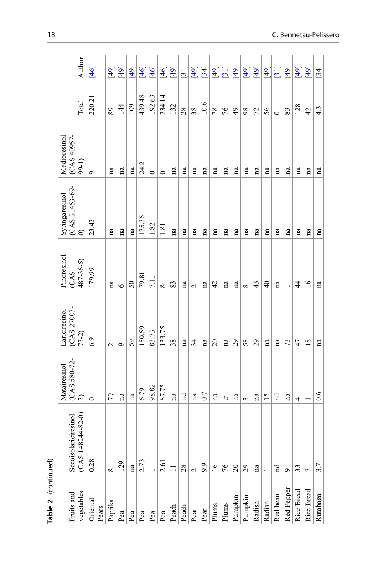| <b>Table 2</b> (continued) |                                              |                                                         |                             |                 |                    |                    |                 |                 |
|----------------------------|----------------------------------------------|---------------------------------------------------------|-----------------------------|-----------------|--------------------|--------------------|-----------------|-----------------|
|                            |                                              | Matairesinol                                            | Lariciresinol               | Pinoresinol     | Syringaresinol     | Medioresinol       |                 |                 |
| vegetables<br>Fruits and   | Secoisolariciresinol<br>8244-82-0)<br>(CAS14 | $\begin{bmatrix} \text{CAS } 580-72 \\ 3 \end{bmatrix}$ | $(CAS 27003 - 73-2)$        | $(CAS487-36-5)$ | $(CAS 21453-69-0)$ | $(CAS 40957-99-1)$ | Total           | Author          |
| Oriental                   | 0.28                                         | $\bullet$                                               | 6.9                         | 179.99          | 23.43              | $\circ$            | 220.21          | [46]            |
| Pears                      |                                              |                                                         |                             |                 |                    |                    |                 |                 |
| Paprika                    | $\infty$                                     | 79                                                      | $\sim$                      | na              | na                 | na                 | 89              | [49]            |
| Pea                        | 129                                          | na                                                      | $\circ$                     | $\circ$         | na                 | na                 | 144             | [49]            |
| Pea                        | na                                           | na                                                      | 59                          | 50              | na                 | na                 | 109             | [49]            |
| Pea                        | 2.73                                         | 6.79                                                    | 150.59                      | 79.81           | 175.36             | 24.2               | 439.48          | 146             |
| Pea                        |                                              | 98.82                                                   | 83.73                       | <b>T.T</b>      | 1.82               | $\circ$            | 192.63          | [46]            |
| Pea                        | 2.61                                         | 87.75                                                   | 133.75                      | $\infty$        | 1.81               | $\circ$            | 234.14          | [46]            |
| Peach                      | $\Box$                                       | na                                                      | 38                          | 83              | na                 | na                 | 132             | [49]            |
| Peach                      | 28                                           | $\operatorname{rd}$                                     | na                          | na              | na                 | na                 | 28              | $\overline{31}$ |
| Pear                       | $\sim$                                       | na                                                      | 34                          | $\sim$          | na                 | na                 | 38              | [49]            |
| Pear                       | 9.9                                          | 0.7                                                     | na                          | na              | na                 | na                 | 10.6            | 34              |
| Plums                      | $\overline{16}$                              | na                                                      | $\Omega$                    | 42              | na                 | na                 | 78              | [49]            |
| Plums                      | 94                                           | Ħ                                                       | na                          | na              | na                 | na                 | 76              | [31]            |
| Pumpkin                    | $\overline{c}$                               | na                                                      | 29                          | na              | na                 | na                 | $\overline{49}$ | [49]            |
| Pumpkin                    | 29                                           | 3                                                       | 58                          | $\infty$        | na                 | na                 | 98              | [49]            |
| Radish                     | na                                           | na                                                      | $\mathcal{L}^{\mathcal{O}}$ | 43              | na                 | na                 | 72              | [49]            |
| Radish                     |                                              | 15                                                      | na                          | $\frac{40}{5}$  | na                 | na                 | 56              | [49]            |
| Red bean                   | $\overline{a}$                               | F                                                       | na                          | na              | na                 | na                 | $\circ$         | $\overline{31}$ |
| Red Pepper                 | $\circ$                                      | na                                                      | 73                          |                 | na                 | na                 | 83              | [49]            |
| Rice Bread                 | 33                                           | 4                                                       | 47                          | $\overline{4}$  | na                 | na                 | 128             | [49]            |
| Rice Bread                 | Γ                                            |                                                         | 18                          | $\overline{16}$ | a                  | na                 | 42              | [49]            |
| Rutabaga                   | 3.7                                          | 0.6                                                     | na                          | na              | na                 | na                 | 4.3             | [34]            |
|                            |                                              |                                                         |                             |                 |                    |                    |                 |                 |

| c  |
|----|
| S) |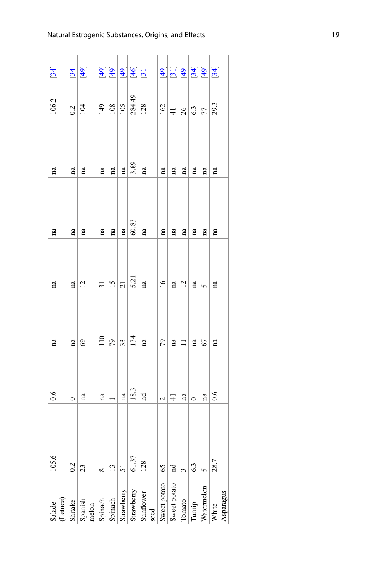| salade       | 105.6          | 0.6         | na       | na              | na    | na   | 106.2              | $[34]$                      |
|--------------|----------------|-------------|----------|-----------------|-------|------|--------------------|-----------------------------|
| etuce).      |                |             |          |                 |       |      |                    |                             |
| hitake       | 0.2            | $\circ$     | na       | na              | na    | na   | 0.2                | [34]                        |
| Spanish      | 23             | na          | 69       | $\overline{c}$  | na    | na   | 104                | [49]                        |
| nelon        |                |             |          |                 |       |      |                    |                             |
| pinach       | $\infty$       | na          | 110      | $\overline{31}$ | na    | na   | 149                | [49]                        |
| pinach       | $\mathbf{13}$  |             | 79       | 15              | na    | na   | $\frac{108}{1}$    | [49]                        |
| trawberry    |                | na          | 33       | $\overline{21}$ | na    | na   | $\vert$ is $\vert$ | $\boxed{49}$                |
| Strawberry   | 61.37          | 18.3        | 134      | 5.21            | 60.83 | 3.89 | 284.49             | $[46]$                      |
| unflower     | 128            | $_{\rm nd}$ | na       | na              | na    | na   | 128                | $\boxed{31}$                |
| seed         |                |             |          |                 |       |      |                    |                             |
| Sweet potato | 65             | $\sim$      | 79       | $\geq$          | na    | na   | 162                | [49]                        |
| weet potato  | $\overline{a}$ | ╤           | na       | na              | na    | na   | $\overline{4}$     | $[31]$                      |
| omato        | 3              | na          | $\equiv$ | 12              | na    | na   | $\frac{5}{26}$     | [49]                        |
| umip         | 6.3            | $\circ$     | na       | na              | na    | na   | 6.3                | $\frac{1}{2}$ $\frac{1}{2}$ |
| /atermelon   | 5              | na          | 67       | $\sigma$        | na    | na   | $\frac{2}{7}$      |                             |
| Vhite        | 28.7           | 0.6         | na       | na              | na    | na   | 29.3               |                             |
| sparagus     |                |             |          |                 |       |      |                    |                             |
|              |                |             |          |                 |       |      |                    |                             |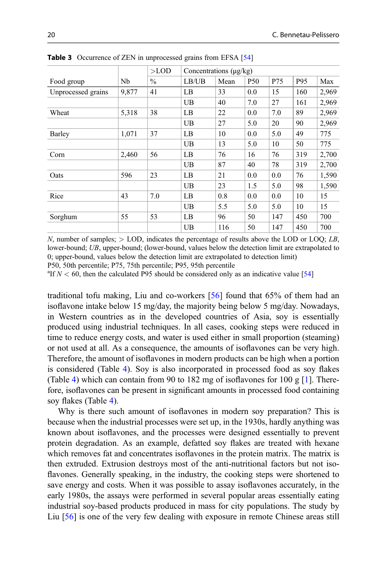|                    |       | $>$ LOD |       | Concentrations $(\mu g/kg)$ |            |     |                 |       |
|--------------------|-------|---------|-------|-----------------------------|------------|-----|-----------------|-------|
| Food group         | Nb    | $\%$    | LB/UB | Mean                        | <b>P50</b> | P75 | P <sub>95</sub> | Max   |
| Unprocessed grains | 9,877 | 41      | LB    | 33                          | 0.0        | 15  | 160             | 2,969 |
|                    |       |         | UB    | 40                          | 7.0        | 27  | 161             | 2,969 |
| Wheat              | 5,318 | 38      | LB    | 22                          | 0.0        | 7.0 | 89              | 2,969 |
|                    |       |         | UB    | 27                          | 5.0        | 20  | 90              | 2,969 |
| Barley             | 1,071 | 37      | LB    | 10                          | 0.0        | 5.0 | 49              | 775   |
|                    |       |         | UB    | 13                          | 5.0        | 10  | 50              | 775   |
| Corn               | 2,460 | 56      | LB    | 76                          | 16         | 76  | 319             | 2,700 |
|                    |       |         | UB    | 87                          | 40         | 78  | 319             | 2,700 |
| Oats               | 596   | 23      | LB    | 21                          | 0.0        | 0.0 | 76              | 1,590 |
|                    |       |         | UB    | 23                          | 1.5        | 5.0 | 98              | 1,590 |
| Rice               | 43    | 7.0     | LB    | 0.8                         | 0.0        | 0.0 | 10              | 15    |
|                    |       |         | UB    | 5.5                         | 5.0        | 5.0 | 10              | 15    |
| Sorghum            | 55    | 53      | LB    | 96                          | 50         | 147 | 450             | 700   |
|                    |       |         | UB    | 116                         | 50         | 147 | 450             | 700   |

<span id="page-19-0"></span>**Table 3** Occurrence of ZEN in unprocessed grains from EFSA [\[54\]](#page-55-0)

 $N$ , number of samples;  $>$  LOD, indicates the percentage of results above the LOD or LOQ; LB, lower-bound; UB, upper-bound; (lower-bound, values below the detection limit are extrapolated to 0; upper-bound, values below the detection limit are extrapolated to detection limit)

P50, 50th percentile; P75, 75th percentile; P95, 95th percentile

<sup>a</sup>If  $N < 60$ , then the calculated P95 should be considered only as an indicative value [\[54\]](#page-55-0)

traditional tofu making, Liu and co-workers [[56\]](#page-55-0) found that 65% of them had an isoflavone intake below 15 mg/day, the majority being below 5 mg/day. Nowadays, in Western countries as in the developed countries of Asia, soy is essentially produced using industrial techniques. In all cases, cooking steps were reduced in time to reduce energy costs, and water is used either in small proportion (steaming) or not used at all. As a consequence, the amounts of isoflavones can be very high. Therefore, the amount of isoflavones in modern products can be high when a portion is considered (Table [4\)](#page-20-0). Soy is also incorporated in processed food as soy flakes (Table [4\)](#page-20-0) which can contain from 90 to 182 mg of isoflavones for 100 g [[1\]](#page-53-0). Therefore, isoflavones can be present in significant amounts in processed food containing soy flakes (Table [4](#page-20-0)).

Why is there such amount of isoflavones in modern soy preparation? This is because when the industrial processes were set up, in the 1930s, hardly anything was known about isoflavones, and the processes were designed essentially to prevent protein degradation. As an example, defatted soy flakes are treated with hexane which removes fat and concentrates isoflavones in the protein matrix. The matrix is then extruded. Extrusion destroys most of the anti-nutritional factors but not isoflavones. Generally speaking, in the industry, the cooking steps were shortened to save energy and costs. When it was possible to assay isoflavones accurately, in the early 1980s, the assays were performed in several popular areas essentially eating industrial soy-based products produced in mass for city populations. The study by Liu [[56\]](#page-55-0) is one of the very few dealing with exposure in remote Chinese areas still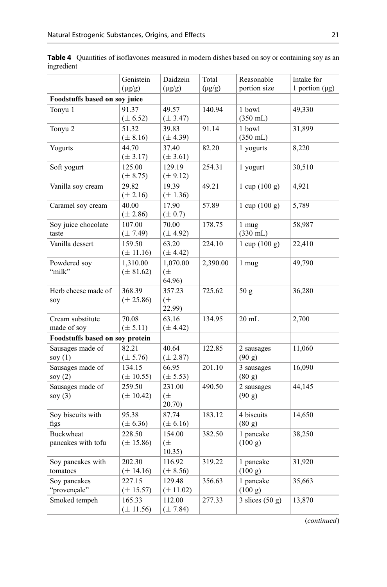|                                 | Genistein     | Daidzein      | Total       | Reasonable                       | Intake for          |
|---------------------------------|---------------|---------------|-------------|----------------------------------|---------------------|
|                                 | $(\mu g/g)$   | $(\mu g/g)$   | $(\mu g/g)$ | portion size                     | 1 portion $(\mu g)$ |
| Foodstuffs based on soy juice   |               |               |             |                                  |                     |
| Tonyu 1                         | 91.37         | 49.57         | 140.94      | 1 bowl                           | 49,330              |
|                                 | $(\pm 6.52)$  | $(\pm 3.47)$  |             | $(350 \text{ mL})$               |                     |
| Tonyu 2                         | 51.32         | 39.83         | 91.14       | 1 bowl                           | 31,899              |
|                                 | $(\pm 8.16)$  | $(\pm 4.39)$  |             | $(350 \text{ mL})$               |                     |
| Yogurts                         | 44.70         | 37.40         | 82.20       | 1 yogurts                        | 8,220               |
|                                 | $(\pm 3.17)$  | $(\pm 3.61)$  |             |                                  |                     |
| Soft yogurt                     | 125.00        | 129.19        | 254.31      | 1 yogurt                         | 30,510              |
|                                 | $(\pm 8.75)$  | $(\pm 9.12)$  |             |                                  |                     |
| Vanilla soy cream               | 29.82         | 19.39         | 49.21       | $1 \text{ cup } (100 \text{ g})$ | 4,921               |
|                                 | $(\pm 2.16)$  | $(\pm 1.36)$  |             |                                  |                     |
| Caramel soy cream               | 40.00         | 17.90         | 57.89       | 1 cup $(100 g)$                  | 5,789               |
|                                 | $(\pm 2.86)$  | $(\pm 0.7)$   |             |                                  |                     |
| Soy juice chocolate             | 107.00        | 70.00         | 178.75      | 1 mug                            | 58,987              |
| taste                           | $(\pm 7.49)$  | $(\pm 4.92)$  |             | $(330 \text{ mL})$               |                     |
| Vanilla dessert                 | 159.50        | 63.20         | 224.10      | $1 \text{ cup } (100 \text{ g})$ | 22,410              |
|                                 | $(\pm 11.16)$ | $(\pm 4.42)$  |             |                                  |                     |
| Powdered soy                    | 1,310.00      | 1,070.00      | 2,390.00    | 1 mug                            | 49,790              |
| "milk"                          | $(\pm 81.62)$ | $(\pm$        |             |                                  |                     |
|                                 |               | 64.96)        |             |                                  |                     |
| Herb cheese made of             | 368.39        | 357.23        | 725.62      | 50 g                             | 36,280              |
| soy                             | $(\pm 25.86)$ | $(\pm$        |             |                                  |                     |
|                                 |               | 22.99)        |             |                                  |                     |
| Cream substitute                | 70.08         | 63.16         | 134.95      | $20$ mL                          | 2,700               |
| made of soy                     | $(\pm 5.11)$  | $(\pm 4.42)$  |             |                                  |                     |
| Foodstuffs based on soy protein |               |               |             |                                  |                     |
| Sausages made of                | 82.21         | 40.64         | 122.85      | 2 sausages                       | 11,060              |
| soy $(1)$                       | $(\pm 5.76)$  | $(\pm 2.87)$  |             | (90 g)                           |                     |
| Sausages made of                | 134.15        | 66.95         | 201.10      | 3 sausages                       | 16,090              |
| soy $(2)$                       | $(\pm 10.55)$ | $(\pm 5.53)$  |             | (80 g)                           |                     |
| Sausages made of                | 259.50        | 231.00        | 490.50      | 2 sausages                       | 44,145              |
| soy $(3)$                       | $(\pm 10.42)$ | $(\pm$        |             | (90 g)                           |                     |
|                                 |               | 20.70)        |             |                                  |                     |
| Soy biscuits with               | 95.38         | 87.74         | 183.12      | 4 biscuits                       | 14,650              |
| figs                            | $(\pm 6.36)$  | $(\pm 6.16)$  |             | (80 g)                           |                     |
| <b>Buckwheat</b>                | 228.50        | 154.00        | 382.50      | 1 pancake                        | 38,250              |
| pancakes with tofu              | $(\pm 15.86)$ | $(\pm$        |             | (100 g)                          |                     |
|                                 |               | 10.35)        |             |                                  |                     |
| Soy pancakes with               | 202.30        | 116.92        | 319.22      | 1 pancake                        | 31,920              |
| tomatoes                        | $(\pm 14.16)$ | $(\pm 8.56)$  |             | (100 g)                          |                     |
| Soy pancakes                    | 227.15        | 129.48        | 356.63      | 1 pancake                        | 35,663              |
| "provençale"                    | $(\pm 15.57)$ | $(\pm 11.02)$ |             | (100 g)                          |                     |
| Smoked tempeh                   | 165.33        | 112.00        | 277.33      | $3$ slices $(50 g)$              | 13,870              |
|                                 | $(\pm 11.56)$ | $(\pm 7.84)$  |             |                                  |                     |

<span id="page-20-0"></span>Table 4 Quantities of isoflavones measured in modern dishes based on soy or containing soy as an ingredient

(continued)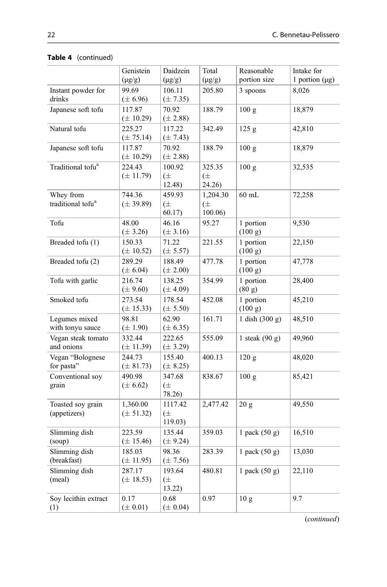|                               | Genistein              | Daidzein               | Total       | Reasonable           | Intake for          |
|-------------------------------|------------------------|------------------------|-------------|----------------------|---------------------|
|                               | $(\mu g/g)$            | $(\mu g/g)$            | $(\mu g/g)$ | portion size         | 1 portion $(\mu g)$ |
| Instant powder for            | 99.69                  | 106.11                 | 205.80      | 3 spoons             | 8,026               |
| drinks                        | $(\pm 6.96)$           | $(\pm 7.35)$           |             |                      |                     |
| Japanese soft tofu            | 117.87                 | 70.92                  | 188.79      | 100 g                | 18,879              |
|                               | $(\pm 10.29)$          | $(\pm 2.88)$           |             |                      |                     |
| Natural tofu                  | 225.27                 | 117.22                 | 342.49      | 125 <sub>g</sub>     | 42,810              |
|                               | $(\pm 75.14)$          | $(\pm 7.43)$           |             |                      |                     |
| Japanese soft tofu            | 117.87                 | 70.92                  | 188.79      | 100 g                | 18,879              |
|                               | $(\pm 10.29)$          | $(\pm 2.88)$           |             |                      |                     |
| Traditional tofu <sup>a</sup> | 224.43                 | 100.92                 | 325.35      | 100 <sub>g</sub>     | 32,535              |
|                               | $(\pm 11.79)$          | $(\pm$                 | $(\pm$      |                      |                     |
|                               |                        | 12.48)                 | 24.26)      |                      |                     |
| Whey from                     | 744.36                 | 459.93                 | 1,204.30    | $60 \; \mathrm{mL}$  | 72,258              |
| traditional tofu <sup>a</sup> | $(\pm 39.89)$          | $(\pm$                 | $(\pm$      |                      |                     |
|                               |                        | 60.17)                 | $100.06$ )  |                      |                     |
| Tofu                          | 48.00                  | 46.16                  | 95.27       | 1 portion            | 9,530               |
|                               | $(\pm 3.26)$           | $(\pm 3.16)$           |             | (100 g)              |                     |
| Breaded tofu (1)              | 150.33                 | 71.22                  | 221.55      | 1 portion            | 22,150              |
|                               | $(\pm 10.52)$          | $(\pm 5.57)$           |             | (100 g)              |                     |
| Breaded tofu (2)              | 289.29<br>$(\pm 6.04)$ | 188.49                 | 477.78      | 1 portion<br>(100 g) | 47,778              |
|                               |                        | $(\pm 2.00)$           |             |                      |                     |
| Tofu with garlic              | 216.74<br>$(\pm 9.60)$ | 138.25<br>$(\pm 4.09)$ | 354.99      | 1 portion<br>(80 g)  | 28,400              |
| Smoked tofu                   | 273.54                 | 178.54                 | 452.08      | 1 portion            | 45,210              |
|                               | $(\pm 15.33)$          | $(\pm 5.50)$           |             | (100 g)              |                     |
| Legumes mixed                 | 98.81                  | 62.90                  | 161.71      | 1 dish (300 g)       | 48,510              |
| with tonyu sauce              | $(\pm 1.90)$           | $(\pm 6.35)$           |             |                      |                     |
| Vegan steak tomato            | 332.44                 | 222.65                 | 555.09      | 1 steak $(90 g)$     | 49,960              |
| and onions                    | $(\pm 11.39)$          | $(\pm 3.29)$           |             |                      |                     |
| Vegan "Bolognese              | 244.73                 | 155.40                 | 400.13      | 120 <sub>g</sub>     | 48,020              |
| for pasta"                    | $(\pm 81.73)$          | $(\pm 8.25)$           |             |                      |                     |
| Conventional soy              | 490.98                 | 347.68                 | 838.67      | 100 <sub>g</sub>     | 85,421              |
| grain                         | $(\pm 6.62)$           | $(\pm$                 |             |                      |                     |
|                               |                        | 78.26)                 |             |                      |                     |
| Toasted soy grain             | 1,360.00               | 1117.42                | 2,477.42    | 20 g                 | 49,550              |
| (appetizers)                  | $(\pm 51.32)$          | $(\pm$                 |             |                      |                     |
|                               |                        | 119.03)                |             |                      |                     |
| Slimming dish                 | 223.59                 | 135.44                 | 359.03      | 1 pack $(50 g)$      | 16,510              |
| (soup)                        | $(\pm 15.46)$          | $(\pm 9.24)$           |             |                      |                     |
| Slimming dish                 | 185.03                 | 98.36                  | 283.39      | 1 pack $(50 g)$      | 13,030              |
| (breakfast)                   | $(\pm 11.95)$          | $(\pm 7.56)$           |             |                      |                     |
| Slimming dish                 | 287.17                 | 193.64                 | 480.81      | 1 pack $(50 g)$      | 22,110              |
| (meal)                        | $(\pm 18.53)$          | $(\pm$                 |             |                      |                     |
|                               |                        | 13.22)                 |             |                      |                     |
| Soy lecithin extract          | 0.17                   | 0.68                   | 0.97        | 10 <sub>g</sub>      | 9.7                 |
| (1)                           | $(\pm 0.01)$           | $(\pm 0.04)$           |             |                      |                     |

# Table 4 (continued)

(continued)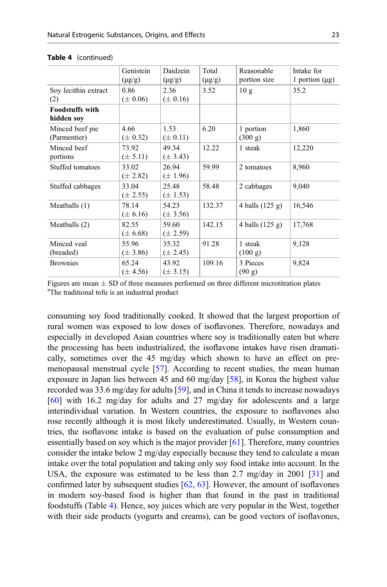|                                      | Genistein<br>$(\mu g/g)$ | Daidzein<br>$(\mu g/g)$ | Total<br>$(\mu g/g)$ | Reasonable<br>portion size | Intake for<br>1 portion $(\mu g)$ |
|--------------------------------------|--------------------------|-------------------------|----------------------|----------------------------|-----------------------------------|
| Soy lecithin extract<br>(2)          | 0.86<br>$(\pm 0.06)$     | 2.36<br>$(\pm 0.16)$    | 3.52                 | 10g                        | 35.2                              |
| <b>Foodstuffs with</b><br>hidden soy |                          |                         |                      |                            |                                   |
| Minced beef pie<br>(Parmentier)      | 4.66<br>$(\pm 0.32)$     | 1.53<br>$(\pm 0.11)$    | 6.20                 | 1 portion<br>(300 g)       | 1,860                             |
| Minced beef<br>portions              | 73.92<br>$(\pm 5.11)$    | 49.34<br>$(\pm 3.43)$   | 12.22                | 1 steak                    | 12,220                            |
| Stuffed tomatoes                     | 33.02<br>$(\pm 2.82)$    | 26.94<br>$(\pm 1.96)$   | 59.99                | 2 tomatoes                 | 8,960                             |
| Stuffed cabbages                     | 33.04<br>$(\pm 2.55)$    | 25.48<br>$(\pm 1.53)$   | 58.48                | 2 cabbages                 | 9,040                             |
| Meatballs $(1)$                      | 78.14<br>$(\pm 6.16)$    | 54.23<br>$(\pm 3.56)$   | 132.37               | 4 balls $(125 g)$          | 16,546                            |
| Meatballs (2)                        | 82.55<br>$(\pm 6.68)$    | 59.60<br>$(\pm 2.59)$   | 142.15               | 4 balls $(125 g)$          | 17,768                            |
| Minced veal<br>(breaded)             | 55.96<br>$(\pm 3.86)$    | 35.32<br>$(\pm 2.45)$   | 91.28                | 1 steak<br>(100 g)         | 9,128                             |
| <b>Brownies</b>                      | 65.24<br>$(\pm 4.56)$    | 43.92<br>$(\pm 3.15)$   | 109.16               | 3 Pieces<br>(90 g)         | 9,824                             |

#### Table 4 (continued)

Figures are mean  $\pm$  SD of three measures performed on three different microtitration plates  ${}^{4}$ The traditional tofu is an industrial product <sup>a</sup>The traditional tofu is an industrial product

consuming soy food traditionally cooked. It showed that the largest proportion of rural women was exposed to low doses of isoflavones. Therefore, nowadays and especially in developed Asian countries where soy is traditionally eaten but where the processing has been industrialized, the isoflavone intakes have risen dramatically, sometimes over the 45 mg/day which shown to have an effect on premenopausal menstrual cycle [[57\]](#page-55-0). According to recent studies, the mean human exposure in Japan lies between 45 and 60 mg/day [[58\]](#page-55-0), in Korea the highest value recorded was 33.6 mg/day for adults [[59\]](#page-55-0), and in China it tends to increase nowadays [\[60](#page-56-0)] with 16.2 mg/day for adults and 27 mg/day for adolescents and a large interindividual variation. In Western countries, the exposure to isoflavones also rose recently although it is most likely underestimated. Usually, in Western countries, the isoflavone intake is based on the evaluation of pulse consumption and essentially based on soy which is the major provider [[61\]](#page-56-0). Therefore, many countries consider the intake below 2 mg/day especially because they tend to calculate a mean intake over the total population and taking only soy food intake into account. In the USA, the exposure was estimated to be less than 2.7 mg/day in 2001 [[31\]](#page-54-0) and confirmed later by subsequent studies  $[62, 63]$  $[62, 63]$  $[62, 63]$  $[62, 63]$ . However, the amount of isoflavones in modern soy-based food is higher than that found in the past in traditional foodstuffs (Table [4\)](#page-20-0). Hence, soy juices which are very popular in the West, together with their side products (yogurts and creams), can be good vectors of isoflavones,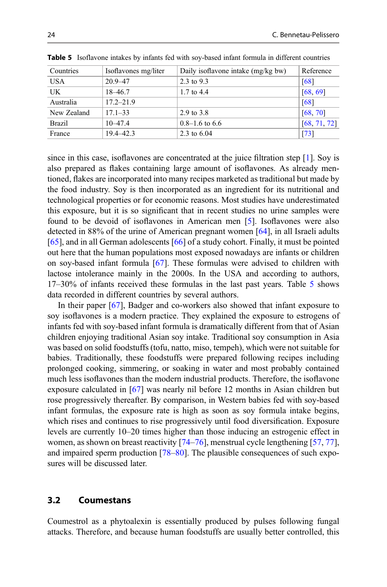| Countries     | Isoflavones mg/liter | Daily is of lavone in take (mg/kg bw) | Reference    |
|---------------|----------------------|---------------------------------------|--------------|
| <b>USA</b>    | $20.9 - 47$          | 2.3 to 9.3                            | [68]         |
| <b>UK</b>     | $18 - 46.7$          | $1.7 \text{ to } 4.4$                 | [68, 69]     |
| Australia     | $17.2 - 21.9$        |                                       | [68]         |
| New Zealand   | $17.1 - 33$          | 2.9 to 3.8                            | [68, 70]     |
| <b>Brazil</b> | $10 - 47.4$          | $0.8 - 1.6$ to 6.6                    | [68, 71, 72] |
| France        | $19.4 - 42.3$        | 2.3 to 6.04                           | [73]         |

Table 5 Isoflavone intakes by infants fed with soy-based infant formula in different countries

since in this case, isoflavones are concentrated at the juice filtration step [\[1](#page-53-0)]. Soy is also prepared as flakes containing large amount of isoflavones. As already mentioned, flakes are incorporated into many recipes marketed as traditional but made by the food industry. Soy is then incorporated as an ingredient for its nutritional and technological properties or for economic reasons. Most studies have underestimated this exposure, but it is so significant that in recent studies no urine samples were found to be devoid of isoflavones in American men [\[5](#page-53-0)]. Isoflavones were also detected in 88% of the urine of American pregnant women [[64\]](#page-56-0), in all Israeli adults [\[65](#page-56-0)], and in all German adolescents [[66\]](#page-56-0) of a study cohort. Finally, it must be pointed out here that the human populations most exposed nowadays are infants or children on soy-based infant formula [[67\]](#page-56-0). These formulas were advised to children with lactose intolerance mainly in the 2000s. In the USA and according to authors, 17–30% of infants received these formulas in the last past years. Table 5 shows data recorded in different countries by several authors.

In their paper [[67\]](#page-56-0), Badger and co-workers also showed that infant exposure to soy isoflavones is a modern practice. They explained the exposure to estrogens of infants fed with soy-based infant formula is dramatically different from that of Asian children enjoying traditional Asian soy intake. Traditional soy consumption in Asia was based on solid foodstuffs (tofu, natto, miso, tempeh), which were not suitable for babies. Traditionally, these foodstuffs were prepared following recipes including prolonged cooking, simmering, or soaking in water and most probably contained much less isoflavones than the modern industrial products. Therefore, the isoflavone exposure calculated in [[67\]](#page-56-0) was nearly nil before 12 months in Asian children but rose progressively thereafter. By comparison, in Western babies fed with soy-based infant formulas, the exposure rate is high as soon as soy formula intake begins, which rises and continues to rise progressively until food diversification. Exposure levels are currently 10–20 times higher than those inducing an estrogenic effect in women, as shown on breast reactivity [\[74](#page-56-0)–[76](#page-56-0)], menstrual cycle lengthening [\[57](#page-55-0), [77\]](#page-56-0), and impaired sperm production [\[78](#page-57-0)–[80](#page-57-0)]. The plausible consequences of such exposures will be discussed later.

# 3.2 Coumestans

Coumestrol as a phytoalexin is essentially produced by pulses following fungal attacks. Therefore, and because human foodstuffs are usually better controlled, this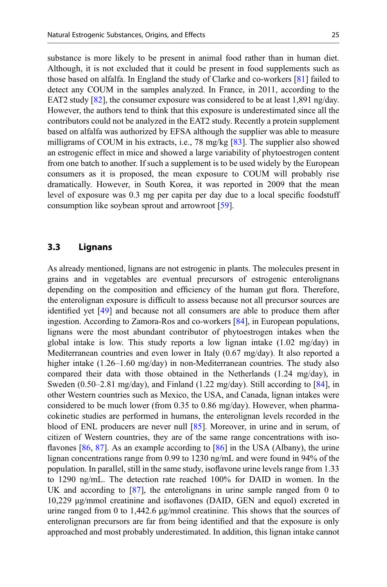substance is more likely to be present in animal food rather than in human diet. Although, it is not excluded that it could be present in food supplements such as those based on alfalfa. In England the study of Clarke and co-workers [\[81](#page-57-0)] failed to detect any COUM in the samples analyzed. In France, in 2011, according to the EAT2 study [\[82](#page-57-0)], the consumer exposure was considered to be at least 1,891 ng/day. However, the authors tend to think that this exposure is underestimated since all the contributors could not be analyzed in the EAT2 study. Recently a protein supplement based on alfalfa was authorized by EFSA although the supplier was able to measure milligrams of COUM in his extracts, i.e., 78 mg/kg [\[83](#page-57-0)]. The supplier also showed an estrogenic effect in mice and showed a large variability of phytoestrogen content from one batch to another. If such a supplement is to be used widely by the European consumers as it is proposed, the mean exposure to COUM will probably rise dramatically. However, in South Korea, it was reported in 2009 that the mean level of exposure was 0.3 mg per capita per day due to a local specific foodstuff consumption like soybean sprout and arrowroot [\[59](#page-55-0)].

# 3.3 Lignans

As already mentioned, lignans are not estrogenic in plants. The molecules present in grains and in vegetables are eventual precursors of estrogenic enterolignans depending on the composition and efficiency of the human gut flora. Therefore, the enterolignan exposure is difficult to assess because not all precursor sources are identified yet [\[49](#page-55-0)] and because not all consumers are able to produce them after ingestion. According to Zamora-Ros and co-workers [\[84](#page-57-0)], in European populations, lignans were the most abundant contributor of phytoestrogen intakes when the global intake is low. This study reports a low lignan intake (1.02 mg/day) in Mediterranean countries and even lower in Italy (0.67 mg/day). It also reported a higher intake (1.26–1.60 mg/day) in non-Mediterranean countries. The study also compared their data with those obtained in the Netherlands (1.24 mg/day), in Sweden (0.50–2.81 mg/day), and Finland (1.22 mg/day). Still according to [\[84](#page-57-0)], in other Western countries such as Mexico, the USA, and Canada, lignan intakes were considered to be much lower (from 0.35 to 0.86 mg/day). However, when pharmacokinetic studies are performed in humans, the enterolignan levels recorded in the blood of ENL producers are never null [[85\]](#page-57-0). Moreover, in urine and in serum, of citizen of Western countries, they are of the same range concentrations with isoflavones [\[86](#page-57-0), [87](#page-57-0)]. As an example according to [\[86](#page-57-0)] in the USA (Albany), the urine lignan concentrations range from 0.99 to 1230 ng/mL and were found in 94% of the population. In parallel, still in the same study, isoflavone urine levels range from 1.33 to 1290 ng/mL. The detection rate reached 100% for DAID in women. In the UK and according to [\[87](#page-57-0)], the enterolignans in urine sample ranged from 0 to 10,229 μg/mmol creatinine and isoflavones (DAID, GEN and equol) excreted in urine ranged from 0 to 1,442.6 μg/mmol creatinine. This shows that the sources of enterolignan precursors are far from being identified and that the exposure is only approached and most probably underestimated. In addition, this lignan intake cannot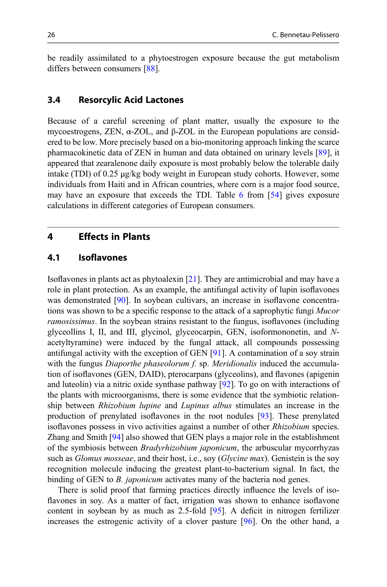be readily assimilated to a phytoestrogen exposure because the gut metabolism differs between consumers [\[88](#page-57-0)].

# 3.4 Resorcylic Acid Lactones

Because of a careful screening of plant matter, usually the exposure to the mycoestrogens, ZEN,  $\alpha$ -ZOL, and β-ZOL in the European populations are considered to be low. More precisely based on a bio-monitoring approach linking the scarce pharmacokinetic data of ZEN in human and data obtained on urinary levels [[89\]](#page-57-0), it appeared that zearalenone daily exposure is most probably below the tolerable daily intake (TDI) of 0.25 μg/kg body weight in European study cohorts. However, some individuals from Haiti and in African countries, where corn is a major food source, may have an exposure that exceeds the TDI. Table [6](#page-26-0) from [\[54](#page-55-0)] gives exposure calculations in different categories of European consumers.

# 4 Effects in Plants

# 4.1 Isoflavones

Isoflavones in plants act as phytoalexin [\[21\]](#page-54-0). They are antimicrobial and may have a role in plant protection. As an example, the antifungal activity of lupin isoflavones was demonstrated [[90\]](#page-57-0). In soybean cultivars, an increase in isoflavone concentrations was shown to be a specific response to the attack of a saprophytic fungi Mucor ramosissimus. In the soybean strains resistant to the fungus, isoflavones (including glyceollins I, II, and III, glycinol, glyceocarpin, GEN, isoformononetin, and Nacetyltyramine) were induced by the fungal attack, all compounds possessing antifungal activity with the exception of GEN [[91\]](#page-57-0). A contamination of a soy strain with the fungus Diaporthe phaseolorum f. sp. Meridionalis induced the accumulation of isoflavones (GEN, DAID), pterocarpans (glyceolins), and flavones (apigenin and luteolin) via a nitric oxide synthase pathway [\[92](#page-58-0)]. To go on with interactions of the plants with microorganisms, there is some evidence that the symbiotic relationship between *Rhizobium lupine* and *Lupinus albus* stimulates an increase in the production of prenylated isoflavones in the root nodules [[93\]](#page-58-0). These prenylated isoflavones possess in vivo activities against a number of other Rhizobium species. Zhang and Smith [\[94](#page-58-0)] also showed that GEN plays a major role in the establishment of the symbiosis between *Bradyrhizobium japonicum*, the arbuscular mycorrhyzas such as *Glomus mosseae*, and their host, i.e., soy *(Glycine max)*. Genistein is the soy recognition molecule inducing the greatest plant-to-bacterium signal. In fact, the binding of GEN to B. *japonicum* activates many of the bacteria nod genes.

There is solid proof that farming practices directly influence the levels of isoflavones in soy. As a matter of fact, irrigation was shown to enhance isoflavone content in soybean by as much as 2.5-fold [[95\]](#page-58-0). A deficit in nitrogen fertilizer increases the estrogenic activity of a clover pasture [[96\]](#page-58-0). On the other hand, a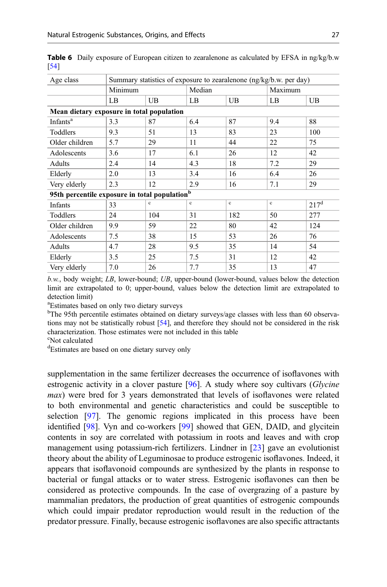| Age class                                                 |         | Summary statistics of exposure to zearalenone (ng/kg/b.w. per day) |              |              |              |                  |
|-----------------------------------------------------------|---------|--------------------------------------------------------------------|--------------|--------------|--------------|------------------|
|                                                           | Minimum |                                                                    | Median       |              | Maximum      |                  |
|                                                           | LB      | UB                                                                 | LB           | UB           | LB           | UB               |
| Mean dietary exposure in total population                 |         |                                                                    |              |              |              |                  |
| Infants <sup>a</sup>                                      | 3.3     | 87                                                                 | 6.4          | 87           | 9.4          | 88               |
| Toddlers                                                  | 9.3     | 51                                                                 | 13           | 83           | 23           | 100              |
| Older children                                            | 5.7     | 29                                                                 | 11           | 44           | 22           | 75               |
| Adolescents                                               | 3.6     | 17                                                                 | 6.1          | 26           | 12           | 42               |
| Adults                                                    | 2.4     | 14                                                                 | 4.3          | 18           | 7.2          | 29               |
| Elderly                                                   | 2.0     | 13                                                                 | 3.4          | 16           | 6.4          | 26               |
| Very elderly                                              | 2.3     | 12                                                                 | 2.9          | 16           | 7.1          | 29               |
| 95th percentile exposure in total population <sup>b</sup> |         |                                                                    |              |              |              |                  |
| Infants                                                   | 33      | $\mathbf c$                                                        | $\mathbf{c}$ | $\mathbf{c}$ | $\mathbf{c}$ | 217 <sup>d</sup> |
| Toddlers                                                  | 24      | 104                                                                | 31           | 182          | 50           | 277              |
| Older children                                            | 9.9     | 59                                                                 | 22           | 80           | 42           | 124              |
| Adolescents                                               | 7.5     | 38                                                                 | 15           | 53           | 26           | 76               |
| Adults                                                    | 4.7     | 28                                                                 | 9.5          | 35           | 14           | 54               |
| Elderly                                                   | 3.5     | 25                                                                 | 7.5          | 31           | 12           | 42               |
| Very elderly                                              | 7.0     | 26                                                                 | 7.7          | 35           | 13           | 47               |

<span id="page-26-0"></span>**Table 6** Daily exposure of European citizen to zearalenone as calculated by EFSA in ng/kg/b.w [[54](#page-55-0)]

b.w., body weight; LB, lower-bound; UB, upper-bound (lower-bound, values below the detection limit are extrapolated to 0; upper-bound, values below the detection limit are extrapolated to detection limit)

<sup>a</sup>Estimates based on only two dietary surveys

<sup>b</sup>The 95th percentile estimates obtained on dietary surveys/age classes with less than 60 observations may not be statistically robust [\[54\]](#page-55-0), and therefore they should not be considered in the risk characterization. Those estimates were not included in this table

<sup>c</sup>Not calculated

d Estimates are based on one dietary survey only

supplementation in the same fertilizer decreases the occurrence of isoflavones with estrogenic activity in a clover pasture [[96\]](#page-58-0). A study where soy cultivars ( $Glycine$ max) were bred for 3 years demonstrated that levels of isoflavones were related to both environmental and genetic characteristics and could be susceptible to selection [[97\]](#page-58-0). The genomic regions implicated in this process have been identified [\[98\]](#page-58-0). Vyn and co-workers [\[99](#page-58-0)] showed that GEN, DAID, and glycitein contents in soy are correlated with potassium in roots and leaves and with crop management using potassium-rich fertilizers. Lindner in [\[23](#page-54-0)] gave an evolutionist theory about the ability of Leguminosae to produce estrogenic isoflavones. Indeed, it appears that isoflavonoid compounds are synthesized by the plants in response to bacterial or fungal attacks or to water stress. Estrogenic isoflavones can then be considered as protective compounds. In the case of overgrazing of a pasture by mammalian predators, the production of great quantities of estrogenic compounds which could impair predator reproduction would result in the reduction of the predator pressure. Finally, because estrogenic isoflavones are also specific attractants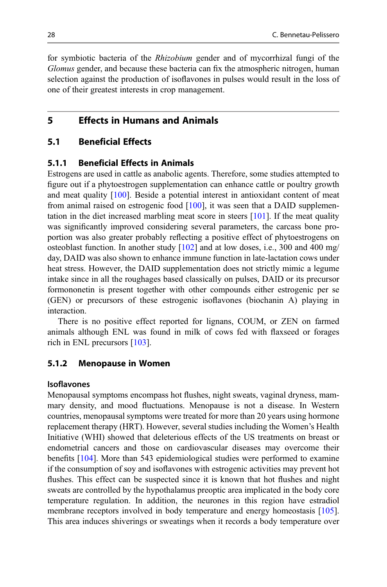for symbiotic bacteria of the Rhizobium gender and of mycorrhizal fungi of the Glomus gender, and because these bacteria can fix the atmospheric nitrogen, human selection against the production of isoflavones in pulses would result in the loss of one of their greatest interests in crop management.

# 5 Effects in Humans and Animals

# 5.1 Beneficial Effects

### 5.1.1 Beneficial Effects in Animals

Estrogens are used in cattle as anabolic agents. Therefore, some studies attempted to figure out if a phytoestrogen supplementation can enhance cattle or poultry growth and meat quality [[100\]](#page-58-0). Beside a potential interest in antioxidant content of meat from animal raised on estrogenic food [\[100](#page-58-0)], it was seen that a DAID supplementation in the diet increased marbling meat score in steers [\[101](#page-58-0)]. If the meat quality was significantly improved considering several parameters, the carcass bone proportion was also greater probably reflecting a positive effect of phytoestrogens on osteoblast function. In another study  $[102]$  $[102]$  and at low doses, i.e., 300 and 400 mg/ day, DAID was also shown to enhance immune function in late-lactation cows under heat stress. However, the DAID supplementation does not strictly mimic a legume intake since in all the roughages based classically on pulses, DAID or its precursor formononetin is present together with other compounds either estrogenic per se (GEN) or precursors of these estrogenic isoflavones (biochanin A) playing in interaction.

There is no positive effect reported for lignans, COUM, or ZEN on farmed animals although ENL was found in milk of cows fed with flaxseed or forages rich in ENL precursors [[103\]](#page-58-0).

### 5.1.2 Menopause in Women

### Isoflavones

Menopausal symptoms encompass hot flushes, night sweats, vaginal dryness, mammary density, and mood fluctuations. Menopause is not a disease. In Western countries, menopausal symptoms were treated for more than 20 years using hormone replacement therapy (HRT). However, several studies including the Women's Health Initiative (WHI) showed that deleterious effects of the US treatments on breast or endometrial cancers and those on cardiovascular diseases may overcome their benefits [[104\]](#page-58-0). More than 543 epidemiological studies were performed to examine if the consumption of soy and isoflavones with estrogenic activities may prevent hot flushes. This effect can be suspected since it is known that hot flushes and night sweats are controlled by the hypothalamus preoptic area implicated in the body core temperature regulation. In addition, the neurones in this region have estradiol membrane receptors involved in body temperature and energy homeostasis [[105\]](#page-58-0). This area induces shiverings or sweatings when it records a body temperature over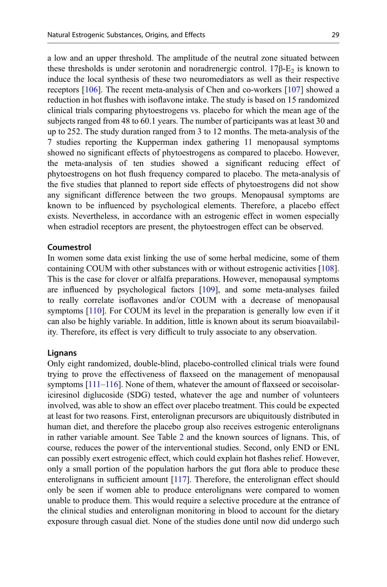a low and an upper threshold. The amplitude of the neutral zone situated between these thresholds is under serotonin and noradrenergic control.  $17\beta$ -E<sub>2</sub> is known to induce the local synthesis of these two neuromediators as well as their respective receptors [\[106](#page-58-0)]. The recent meta-analysis of Chen and co-workers [\[107](#page-58-0)] showed a reduction in hot flushes with isoflavone intake. The study is based on 15 randomized clinical trials comparing phytoestrogens vs. placebo for which the mean age of the subjects ranged from 48 to 60.1 years. The number of participants was at least 30 and up to 252. The study duration ranged from 3 to 12 months. The meta-analysis of the 7 studies reporting the Kupperman index gathering 11 menopausal symptoms showed no significant effects of phytoestrogens as compared to placebo. However, the meta-analysis of ten studies showed a significant reducing effect of phytoestrogens on hot flush frequency compared to placebo. The meta-analysis of the five studies that planned to report side effects of phytoestrogens did not show any significant difference between the two groups. Menopausal symptoms are known to be influenced by psychological elements. Therefore, a placebo effect exists. Nevertheless, in accordance with an estrogenic effect in women especially when estradiol receptors are present, the phytoestrogen effect can be observed.

### Coumestrol

In women some data exist linking the use of some herbal medicine, some of them containing COUM with other substances with or without estrogenic activities [[108\]](#page-58-0). This is the case for clover or alfalfa preparations. However, menopausal symptoms are influenced by psychological factors [\[109](#page-59-0)], and some meta-analyses failed to really correlate isoflavones and/or COUM with a decrease of menopausal symptoms [[110\]](#page-59-0). For COUM its level in the preparation is generally low even if it can also be highly variable. In addition, little is known about its serum bioavailability. Therefore, its effect is very difficult to truly associate to any observation.

#### Lignans

Only eight randomized, double-blind, placebo-controlled clinical trials were found trying to prove the effectiveness of flaxseed on the management of menopausal symptoms  $[111-116]$  $[111-116]$  $[111-116]$  $[111-116]$ . None of them, whatever the amount of flaxseed or secoisolariciresinol diglucoside (SDG) tested, whatever the age and number of volunteers involved, was able to show an effect over placebo treatment. This could be expected at least for two reasons. First, enterolignan precursors are ubiquitously distributed in human diet, and therefore the placebo group also receives estrogenic enterolignans in rather variable amount. See Table [2](#page-14-0) and the known sources of lignans. This, of course, reduces the power of the interventional studies. Second, only END or ENL can possibly exert estrogenic effect, which could explain hot flashes relief. However, only a small portion of the population harbors the gut flora able to produce these enterolignans in sufficient amount [\[117](#page-59-0)]. Therefore, the enterolignan effect should only be seen if women able to produce enterolignans were compared to women unable to produce them. This would require a selective procedure at the entrance of the clinical studies and enterolignan monitoring in blood to account for the dietary exposure through casual diet. None of the studies done until now did undergo such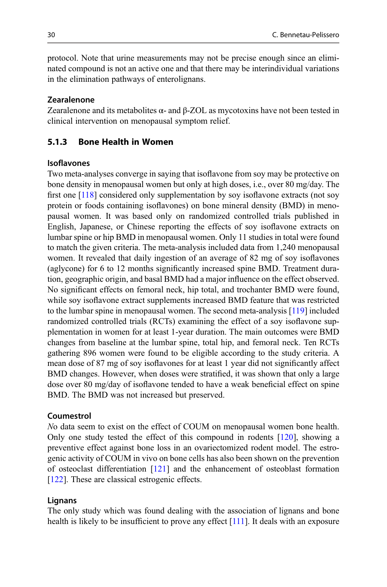protocol. Note that urine measurements may not be precise enough since an eliminated compound is not an active one and that there may be interindividual variations in the elimination pathways of enterolignans.

### Zearalenone

Zearalenone and its metabolites α- and β-ZOL as mycotoxins have not been tested in clinical intervention on menopausal symptom relief.

# 5.1.3 Bone Health in Women

### Isoflavones

Two meta-analyses converge in saying that isoflavone from soy may be protective on bone density in menopausal women but only at high doses, i.e., over 80 mg/day. The first one [\[118\]](#page-59-0) considered only supplementation by soy isoflavone extracts (not soy protein or foods containing isoflavones) on bone mineral density (BMD) in menopausal women. It was based only on randomized controlled trials published in English, Japanese, or Chinese reporting the effects of soy isoflavone extracts on lumbar spine or hip BMD in menopausal women. Only 11 studies in total were found to match the given criteria. The meta-analysis included data from 1,240 menopausal women. It revealed that daily ingestion of an average of 82 mg of soy isoflavones (aglycone) for 6 to 12 months significantly increased spine BMD. Treatment duration, geographic origin, and basal BMD had a major influence on the effect observed. No significant effects on femoral neck, hip total, and trochanter BMD were found, while soy isoflavone extract supplements increased BMD feature that was restricted to the lumbar spine in menopausal women. The second meta-analysis [\[119\]](#page-59-0) included randomized controlled trials (RCTs) examining the effect of a soy isoflavone supplementation in women for at least 1-year duration. The main outcomes were BMD changes from baseline at the lumbar spine, total hip, and femoral neck. Ten RCTs gathering 896 women were found to be eligible according to the study criteria. A mean dose of 87 mg of soy isoflavones for at least 1 year did not significantly affect BMD changes. However, when doses were stratified, it was shown that only a large dose over 80 mg/day of isoflavone tended to have a weak beneficial effect on spine BMD. The BMD was not increased but preserved.

#### Coumestrol

No data seem to exist on the effect of COUM on menopausal women bone health. Only one study tested the effect of this compound in rodents [\[120](#page-59-0)], showing a preventive effect against bone loss in an ovariectomized rodent model. The estrogenic activity of COUM in vivo on bone cells has also been shown on the prevention of osteoclast differentiation [\[121](#page-59-0)] and the enhancement of osteoblast formation [\[122](#page-59-0)]. These are classical estrogenic effects.

#### Lignans

The only study which was found dealing with the association of lignans and bone health is likely to be insufficient to prove any effect [[111](#page-59-0)]. It deals with an exposure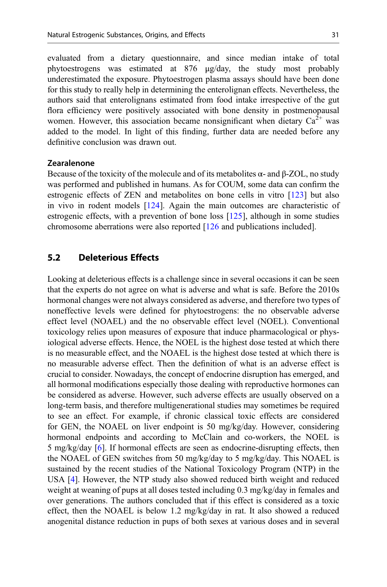evaluated from a dietary questionnaire, and since median intake of total phytoestrogens was estimated at 876 μg/day, the study most probably underestimated the exposure. Phytoestrogen plasma assays should have been done for this study to really help in determining the enterolignan effects. Nevertheless, the authors said that enterolignans estimated from food intake irrespective of the gut flora efficiency were positively associated with bone density in postmenopausal women. However, this association became nonsignificant when dietary  $Ca^{2+}$  was added to the model. In light of this finding, further data are needed before any definitive conclusion was drawn out.

### Zearalenone

Because of the toxicity of the molecule and of its metabolites  $\alpha$ - and  $\beta$ -ZOL, no study was performed and published in humans. As for COUM, some data can confirm the estrogenic effects of ZEN and metabolites on bone cells in vitro [\[123](#page-59-0)] but also in vivo in rodent models [[124\]](#page-59-0). Again the main outcomes are characteristic of estrogenic effects, with a prevention of bone loss [\[125](#page-59-0)], although in some studies chromosome aberrations were also reported [[126](#page-59-0) and publications included].

# 5.2 Deleterious Effects

Looking at deleterious effects is a challenge since in several occasions it can be seen that the experts do not agree on what is adverse and what is safe. Before the 2010s hormonal changes were not always considered as adverse, and therefore two types of noneffective levels were defined for phytoestrogens: the no observable adverse effect level (NOAEL) and the no observable effect level (NOEL). Conventional toxicology relies upon measures of exposure that induce pharmacological or physiological adverse effects. Hence, the NOEL is the highest dose tested at which there is no measurable effect, and the NOAEL is the highest dose tested at which there is no measurable adverse effect. Then the definition of what is an adverse effect is crucial to consider. Nowadays, the concept of endocrine disruption has emerged, and all hormonal modifications especially those dealing with reproductive hormones can be considered as adverse. However, such adverse effects are usually observed on a long-term basis, and therefore multigenerational studies may sometimes be required to see an effect. For example, if chronic classical toxic effects are considered for GEN, the NOAEL on liver endpoint is 50 mg/kg/day. However, considering hormonal endpoints and according to McClain and co-workers, the NOEL is 5 mg/kg/day [[6\]](#page-53-0). If hormonal effects are seen as endocrine-disrupting effects, then the NOAEL of GEN switches from 50 mg/kg/day to 5 mg/kg/day. This NOAEL is sustained by the recent studies of the National Toxicology Program (NTP) in the USA [\[4](#page-53-0)]. However, the NTP study also showed reduced birth weight and reduced weight at weaning of pups at all doses tested including 0.3 mg/kg/day in females and over generations. The authors concluded that if this effect is considered as a toxic effect, then the NOAEL is below 1.2 mg/kg/day in rat. It also showed a reduced anogenital distance reduction in pups of both sexes at various doses and in several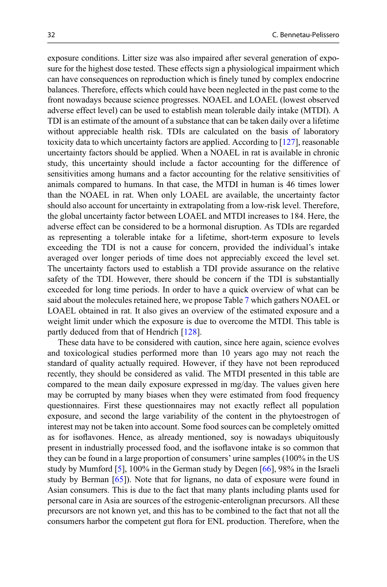exposure conditions. Litter size was also impaired after several generation of exposure for the highest dose tested. These effects sign a physiological impairment which can have consequences on reproduction which is finely tuned by complex endocrine balances. Therefore, effects which could have been neglected in the past come to the front nowadays because science progresses. NOAEL and LOAEL (lowest observed adverse effect level) can be used to establish mean tolerable daily intake (MTDI). A TDI is an estimate of the amount of a substance that can be taken daily over a lifetime without appreciable health risk. TDIs are calculated on the basis of laboratory toxicity data to which uncertainty factors are applied. According to [[127\]](#page-59-0), reasonable uncertainty factors should be applied. When a NOAEL in rat is available in chronic study, this uncertainty should include a factor accounting for the difference of sensitivities among humans and a factor accounting for the relative sensitivities of animals compared to humans. In that case, the MTDI in human is 46 times lower than the NOAEL in rat. When only LOAEL are available, the uncertainty factor should also account for uncertainty in extrapolating from a low-risk level. Therefore, the global uncertainty factor between LOAEL and MTDI increases to 184. Here, the adverse effect can be considered to be a hormonal disruption. As TDIs are regarded as representing a tolerable intake for a lifetime, short-term exposure to levels exceeding the TDI is not a cause for concern, provided the individual's intake averaged over longer periods of time does not appreciably exceed the level set. The uncertainty factors used to establish a TDI provide assurance on the relative safety of the TDI. However, there should be concern if the TDI is substantially exceeded for long time periods. In order to have a quick overview of what can be said about the molecules retained here, we propose Table [7](#page-32-0) which gathers NOAEL or LOAEL obtained in rat. It also gives an overview of the estimated exposure and a weight limit under which the exposure is due to overcome the MTDI. This table is partly deduced from that of Hendrich [[128\]](#page-60-0).

These data have to be considered with caution, since here again, science evolves and toxicological studies performed more than 10 years ago may not reach the standard of quality actually required. However, if they have not been reproduced recently, they should be considered as valid. The MTDI presented in this table are compared to the mean daily exposure expressed in mg/day. The values given here may be corrupted by many biases when they were estimated from food frequency questionnaires. First these questionnaires may not exactly reflect all population exposure, and second the large variability of the content in the phytoestrogen of interest may not be taken into account. Some food sources can be completely omitted as for isoflavones. Hence, as already mentioned, soy is nowadays ubiquitously present in industrially processed food, and the isoflavone intake is so common that they can be found in a large proportion of consumers' urine samples (100% in the US study by Mumford [[5\]](#page-53-0), 100% in the German study by Degen [\[66](#page-56-0)], 98% in the Israeli study by Berman [[65\]](#page-56-0)). Note that for lignans, no data of exposure were found in Asian consumers. This is due to the fact that many plants including plants used for personal care in Asia are sources of the estrogenic-enterolignan precursors. All these precursors are not known yet, and this has to be combined to the fact that not all the consumers harbor the competent gut flora for ENL production. Therefore, when the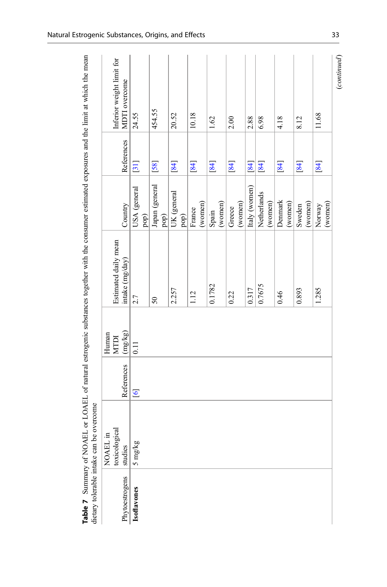<span id="page-32-0"></span>

| :<br>$m \cap$ limit of $m \cap$                   |        |
|---------------------------------------------------|--------|
| worrier ce<br>5                                   |        |
| :<br>;<br>へへ へいき ちょうこう<br>is alla ri              |        |
| てしく                                               |        |
| こくく うくそくよう こうく くっちく くうい<br>معت المستخدم مصر 111 م |        |
| ט שבע<br>ן<br>יי^ הם י                            | r<br>F |
| ı                                                 | ł<br>ì |
| y<br>5                                            | ļ<br>; |

|                | dietary tolerable intake can be overcome |                |                      |                      |                |            | Table 7 Summary of NOAEL or LOAEL of natural estrogenic substances together with the consumer estimated exposures and the limit at which the mean |
|----------------|------------------------------------------|----------------|----------------------|----------------------|----------------|------------|---------------------------------------------------------------------------------------------------------------------------------------------------|
|                | toxicological<br>NOAEL in                |                | Human<br><b>MTDI</b> | Estimated daily mean |                |            | Inferior weight limit for                                                                                                                         |
| Phytoestrogens | studies                                  | References     | (mg/kg)              | intake (mg/day)      | Country        | References | MDTI overcome                                                                                                                                     |
| Isoflavones    | $5 \text{ mg/kg}$                        | $\overline{6}$ | 0.11                 | 2.7                  | USA (general   | $[31]$     | 24.55                                                                                                                                             |
|                |                                          |                |                      |                      | pop)           |            |                                                                                                                                                   |
|                |                                          |                |                      | $50\,$               | Japan (general | [58]       | 454.55                                                                                                                                            |
|                |                                          |                |                      |                      | pop)           |            |                                                                                                                                                   |
|                |                                          |                |                      | 2.257                | UK (general    | [84]       | 20.52                                                                                                                                             |
|                |                                          |                |                      |                      | pop)           |            |                                                                                                                                                   |
|                |                                          |                |                      | 1.12                 | France         | [84]       | 10.18                                                                                                                                             |
|                |                                          |                |                      |                      | (wonen)        |            |                                                                                                                                                   |
|                |                                          |                |                      | 0.1782               | Spain          | [84]       | 1.62                                                                                                                                              |
|                |                                          |                |                      |                      | (wonen)        |            |                                                                                                                                                   |
|                |                                          |                |                      | 0.22                 | Greece         | [84]       | 2.00                                                                                                                                              |
|                |                                          |                |                      |                      | (wonen)        |            |                                                                                                                                                   |
|                |                                          |                |                      | 0.317                | Italy (women)  | [84]       | 2.88                                                                                                                                              |
|                |                                          |                |                      | 0.7675               | Netherlands    | [84]       | 6.98                                                                                                                                              |
|                |                                          |                |                      |                      | (women)        |            |                                                                                                                                                   |
|                |                                          |                |                      | 0.46                 | Denmark        | [84]       | 4.18                                                                                                                                              |
|                |                                          |                |                      |                      | (women)        |            |                                                                                                                                                   |
|                |                                          |                |                      | 0.893                | Sweden         | [84]       | 8.12                                                                                                                                              |
|                |                                          |                |                      |                      | (women)        |            |                                                                                                                                                   |
|                |                                          |                |                      | 1.285                | Norway         | [84]       | 11.68                                                                                                                                             |
|                |                                          |                |                      |                      | (women)        |            |                                                                                                                                                   |
|                |                                          |                |                      |                      |                |            | (continued)                                                                                                                                       |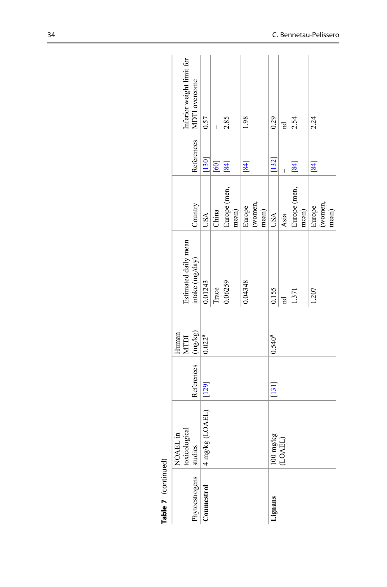| Table 7 (continued) |                                                                                                   |            |                                                                         |                      |                            |            |                           |
|---------------------|---------------------------------------------------------------------------------------------------|------------|-------------------------------------------------------------------------|----------------------|----------------------------|------------|---------------------------|
|                     | $\begin{tabular}{ l } \hline NOAEL in \\ \hline toxicological \\ studies \\ \hline \end{tabular}$ |            | $\begin{array}{c} {\rm Human}\\ {\rm MTDI}\\ ({\rm mg/kg}) \end{array}$ | Estimated daily mean |                            |            | Inferior weight limit for |
| Phytoestrogens      |                                                                                                   | References |                                                                         | intake (mg/day)      | Country                    | References | MDTI overcome             |
| Coumestrol          | $4 \text{ mg/kg}$ (LOAEL)                                                                         | $[129]$    | $\frac{0.022^a}{\sqrt{2.02}}$                                           | 0.01243              | USA                        | [130]      | 0.57                      |
|                     |                                                                                                   |            |                                                                         | Trace                | China                      | [60]       | $\overline{1}$            |
|                     |                                                                                                   |            |                                                                         | 0.06259              | Europe (men,               | $[84]$     | 2.85                      |
|                     |                                                                                                   |            |                                                                         |                      | mean)                      |            |                           |
|                     |                                                                                                   |            |                                                                         | 0.04348              | Europe<br>(women,<br>mean) | $[84]$     | 1.98                      |
|                     |                                                                                                   |            |                                                                         |                      |                            |            |                           |
|                     |                                                                                                   |            |                                                                         |                      |                            |            |                           |
| Lignans             | $100~\mathrm{mg/kg}$ (LOAEL)                                                                      | $[131]$    | $0.540^{a}$                                                             | 0.155                | USA                        | [132]      | 0.29                      |
|                     |                                                                                                   |            |                                                                         | nd<br>E              | Asia                       | I          | 'n,                       |
|                     |                                                                                                   |            |                                                                         | 1.371                | Europe (men,               | [84]       | 2.54                      |
|                     |                                                                                                   |            |                                                                         |                      | mean)                      |            |                           |
|                     |                                                                                                   |            |                                                                         | 1.207                | Europe<br>(women,          | [84]       | 2.24                      |
|                     |                                                                                                   |            |                                                                         |                      |                            |            |                           |
|                     |                                                                                                   |            |                                                                         |                      | mean)                      |            |                           |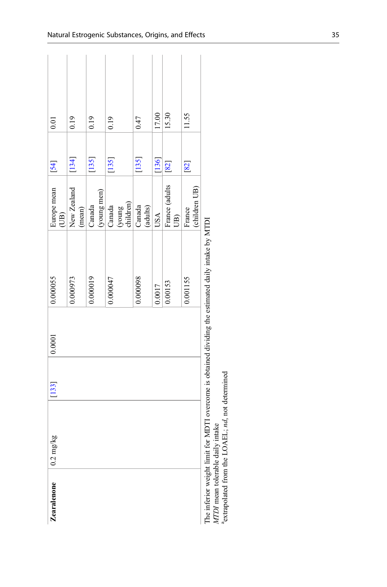| Zearalenone               | $0.2 \; \rm mg/kg$ | $[133]$ | 0.0001 | 0.000055                                                                  | Europe mean                | 54     | 0.01  |
|---------------------------|--------------------|---------|--------|---------------------------------------------------------------------------|----------------------------|--------|-------|
|                           |                    |         |        |                                                                           | $\overline{(\mathsf{UB})}$ |        |       |
|                           |                    |         |        | 0.000973                                                                  | New Zealand                | [134]  | 0.19  |
|                           |                    |         |        |                                                                           | (mean)                     |        |       |
|                           |                    |         |        | 0.000019                                                                  | Canada                     | [135]  | 0.19  |
|                           |                    |         |        |                                                                           | (young men)                |        |       |
|                           |                    |         |        | 0.000047                                                                  | Canada                     | [135]  | 0.19  |
|                           |                    |         |        |                                                                           | (young<br>children)        |        |       |
|                           |                    |         |        |                                                                           |                            |        |       |
|                           |                    |         |        | 0.000098                                                                  | Canada                     | [135]  | 0.47  |
|                           |                    |         |        |                                                                           | (adults)                   |        |       |
|                           |                    |         |        | 0.0017                                                                    | USA                        | [136]  | 17.00 |
|                           |                    |         |        | 0.00153                                                                   | France (adults             | [82]   | 15.30 |
|                           |                    |         |        |                                                                           | $\widehat{\mathbb{B}}$     |        |       |
|                           |                    |         |        | 0.001155                                                                  | France                     | $[82]$ | 11.55 |
|                           |                    |         |        |                                                                           | (children UB)              |        |       |
| The inferior weight limit |                    |         |        | for MDTI overcome is obtained dividing the estimated daily intake by MTDI |                            |        |       |

The inferior weight limit for MDTI overcome is obtained dividing the estimated daily intake by MTDI , S  $\mathfrak{g}$ 

ATDI mean weight military interference is over<br>MTDI mean tolerable daily intake<br><sup>a</sup>extrapolated from the LOAEL; *nd*, not determined *MTDI* mean tolerable daily intake<br><sup>a</sup>extrapolated from the LOAEL; *nd*, not determined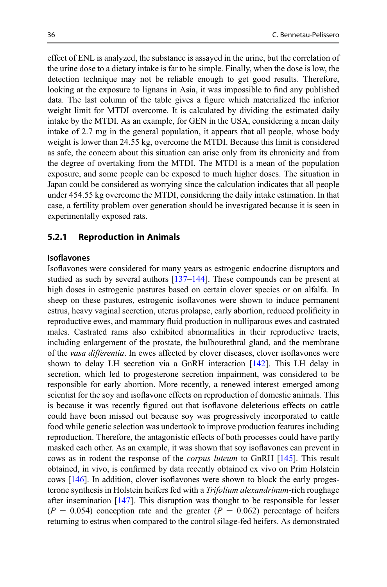effect of ENL is analyzed, the substance is assayed in the urine, but the correlation of the urine dose to a dietary intake is far to be simple. Finally, when the dose is low, the detection technique may not be reliable enough to get good results. Therefore, looking at the exposure to lignans in Asia, it was impossible to find any published data. The last column of the table gives a figure which materialized the inferior weight limit for MTDI overcome. It is calculated by dividing the estimated daily intake by the MTDI. As an example, for GEN in the USA, considering a mean daily intake of 2.7 mg in the general population, it appears that all people, whose body weight is lower than 24.55 kg, overcome the MTDI. Because this limit is considered as safe, the concern about this situation can arise only from its chronicity and from the degree of overtaking from the MTDI. The MTDI is a mean of the population exposure, and some people can be exposed to much higher doses. The situation in Japan could be considered as worrying since the calculation indicates that all people under 454.55 kg overcome the MTDI, considering the daily intake estimation. In that case, a fertility problem over generation should be investigated because it is seen in experimentally exposed rats.

#### 5.2.1 Reproduction in Animals

### Isoflavones

Isoflavones were considered for many years as estrogenic endocrine disruptors and studied as such by several authors [[137](#page-60-0)–[144\]](#page-60-0). These compounds can be present at high doses in estrogenic pastures based on certain clover species or on alfalfa. In sheep on these pastures, estrogenic isoflavones were shown to induce permanent estrus, heavy vaginal secretion, uterus prolapse, early abortion, reduced prolificity in reproductive ewes, and mammary fluid production in nulliparous ewes and castrated males. Castrated rams also exhibited abnormalities in their reproductive tracts, including enlargement of the prostate, the bulbourethral gland, and the membrane of the vasa differentia. In ewes affected by clover diseases, clover isoflavones were shown to delay LH secretion via a GnRH interaction [[142\]](#page-60-0). This LH delay in secretion, which led to progesterone secretion impairment, was considered to be responsible for early abortion. More recently, a renewed interest emerged among scientist for the soy and isoflavone effects on reproduction of domestic animals. This is because it was recently figured out that isoflavone deleterious effects on cattle could have been missed out because soy was progressively incorporated to cattle food while genetic selection was undertook to improve production features including reproduction. Therefore, the antagonistic effects of both processes could have partly masked each other. As an example, it was shown that soy isoflavones can prevent in cows as in rodent the response of the corpus luteum to GnRH [[145\]](#page-60-0). This result obtained, in vivo, is confirmed by data recently obtained ex vivo on Prim Holstein cows [[146\]](#page-61-0). In addition, clover isoflavones were shown to block the early progesterone synthesis in Holstein heifers fed with a Trifolium alexandrinum-rich roughage after insemination [\[147](#page-61-0)]. This disruption was thought to be responsible for lesser  $(P = 0.054)$  conception rate and the greater  $(P = 0.062)$  percentage of heifers returning to estrus when compared to the control silage-fed heifers. As demonstrated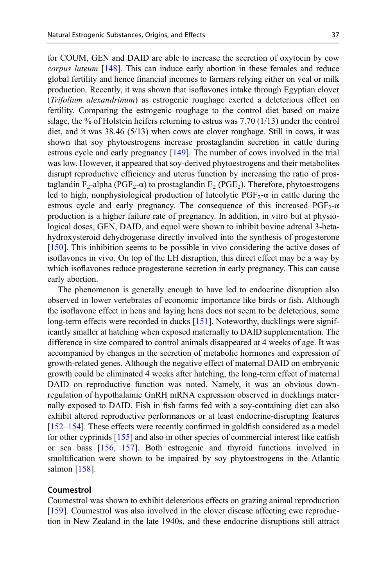for COUM, GEN and DAID are able to increase the secretion of oxytocin by cow corpus luteum [\[148](#page-61-0)]. This can induce early abortion in these females and reduce global fertility and hence financial incomes to farmers relying either on veal or milk production. Recently, it was shown that isoflavones intake through Egyptian clover (Trifolium alexandrinum) as estrogenic roughage exerted a deleterious effect on fertility. Comparing the estrogenic roughage to the control diet based on maize silage, the % of Holstein heifers returning to estrus was  $7.70$  (1/13) under the control diet, and it was 38.46 (5/13) when cows ate clover roughage. Still in cows, it was shown that soy phytoestrogens increase prostaglandin secretion in cattle during estrous cycle and early pregnancy [\[149](#page-61-0)]. The number of cows involved in the trial was low. However, it appeared that soy-derived phytoestrogens and their metabolites disrupt reproductive efficiency and uterus function by increasing the ratio of prostaglandin F<sub>2</sub>-alpha (PGF<sub>2</sub>- $\alpha$ ) to prostaglandin E<sub>2</sub> (PGE<sub>2</sub>). Therefore, phytoestrogens led to high, nonphysiological production of luteolytic  $PGF<sub>2</sub> - \alpha$  in cattle during the estrous cycle and early pregnancy. The consequence of this increased  $PGF<sub>2</sub>-\alpha$ production is a higher failure rate of pregnancy. In addition, in vitro but at physiological doses, GEN, DAID, and equol were shown to inhibit bovine adrenal 3-betahydroxysteroid dehydrogenase directly involved into the synthesis of progesterone [\[150](#page-61-0)]. This inhibition seems to be possible in vivo considering the active doses of isoflavones in vivo. On top of the LH disruption, this direct effect may be a way by which isoflavones reduce progesterone secretion in early pregnancy. This can cause early abortion.

The phenomenon is generally enough to have led to endocrine disruption also observed in lower vertebrates of economic importance like birds or fish. Although the isoflavone effect in hens and laying hens does not seem to be deleterious, some long-term effects were recorded in ducks [[151\]](#page-61-0). Noteworthy, ducklings were significantly smaller at hatching when exposed maternally to DAID supplementation. The difference in size compared to control animals disappeared at 4 weeks of age. It was accompanied by changes in the secretion of metabolic hormones and expression of growth-related genes. Although the negative effect of maternal DAID on embryonic growth could be eliminated 4 weeks after hatching, the long-term effect of maternal DAID on reproductive function was noted. Namely, it was an obvious downregulation of hypothalamic GnRH mRNA expression observed in ducklings maternally exposed to DAID. Fish in fish farms fed with a soy-containing diet can also exhibit altered reproductive performances or at least endocrine-disrupting features [\[152](#page-61-0)–[154](#page-61-0)]. These effects were recently confirmed in goldfish considered as a model for other cyprinids [[155\]](#page-61-0) and also in other species of commercial interest like catfish or sea bass [\[156](#page-61-0), [157\]](#page-61-0). Both estrogenic and thyroid functions involved in smoltification were shown to be impaired by soy phytoestrogens in the Atlantic salmon [\[158](#page-61-0)].

#### Coumestrol

Coumestrol was shown to exhibit deleterious effects on grazing animal reproduction [\[159](#page-61-0)]. Coumestrol was also involved in the clover disease affecting ewe reproduction in New Zealand in the late 1940s, and these endocrine disruptions still attract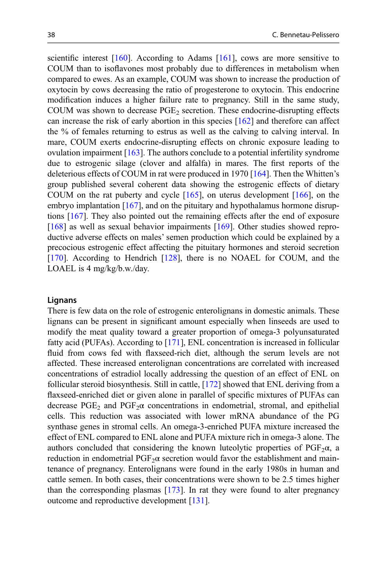scientific interest  $[160]$  $[160]$ . According to Adams  $[161]$  $[161]$ , cows are more sensitive to COUM than to isoflavones most probably due to differences in metabolism when compared to ewes. As an example, COUM was shown to increase the production of oxytocin by cows decreasing the ratio of progesterone to oxytocin. This endocrine modification induces a higher failure rate to pregnancy. Still in the same study, COUM was shown to decrease  $PGE<sub>2</sub>$  secretion. These endocrine-disrupting effects can increase the risk of early abortion in this species [\[162](#page-61-0)] and therefore can affect the % of females returning to estrus as well as the calving to calving interval. In mare, COUM exerts endocrine-disrupting effects on chronic exposure leading to ovulation impairment [\[163](#page-62-0)]. The authors conclude to a potential infertility syndrome due to estrogenic silage (clover and alfalfa) in mares. The first reports of the deleterious effects of COUM in rat were produced in 1970 [[164\]](#page-62-0). Then the Whitten's group published several coherent data showing the estrogenic effects of dietary COUM on the rat puberty and cycle  $[165]$  $[165]$ , on uterus development  $[166]$  $[166]$ , on the embryo implantation  $[167]$  $[167]$ , and on the pituitary and hypothalamus hormone disruptions [[167\]](#page-62-0). They also pointed out the remaining effects after the end of exposure [\[168](#page-62-0)] as well as sexual behavior impairments [\[169](#page-62-0)]. Other studies showed reproductive adverse effects on males' semen production which could be explained by a precocious estrogenic effect affecting the pituitary hormones and steroid secretion [\[170](#page-62-0)]. According to Hendrich [\[128](#page-60-0)], there is no NOAEL for COUM, and the LOAEL is 4 mg/kg/b.w./day.

#### Lignans

There is few data on the role of estrogenic enterolignans in domestic animals. These lignans can be present in significant amount especially when linseeds are used to modify the meat quality toward a greater proportion of omega-3 polyunsaturated fatty acid (PUFAs). According to [\[171](#page-62-0)], ENL concentration is increased in follicular fluid from cows fed with flaxseed-rich diet, although the serum levels are not affected. These increased enterolignan concentrations are correlated with increased concentrations of estradiol locally addressing the question of an effect of ENL on follicular steroid biosynthesis. Still in cattle, [[172\]](#page-62-0) showed that ENL deriving from a flaxseed-enriched diet or given alone in parallel of specific mixtures of PUFAs can decrease PGE<sub>2</sub> and PGF<sub>2</sub> $\alpha$  concentrations in endometrial, stromal, and epithelial cells. This reduction was associated with lower mRNA abundance of the PG synthase genes in stromal cells. An omega-3-enriched PUFA mixture increased the effect of ENL compared to ENL alone and PUFA mixture rich in omega-3 alone. The authors concluded that considering the known luteolytic properties of  $PGF<sub>2</sub>α$ , a reduction in endometrial  $PGF<sub>2</sub>α$  secretion would favor the establishment and maintenance of pregnancy. Enterolignans were found in the early 1980s in human and cattle semen. In both cases, their concentrations were shown to be 2.5 times higher than the corresponding plasmas [[173\]](#page-62-0). In rat they were found to alter pregnancy outcome and reproductive development [[131\]](#page-60-0).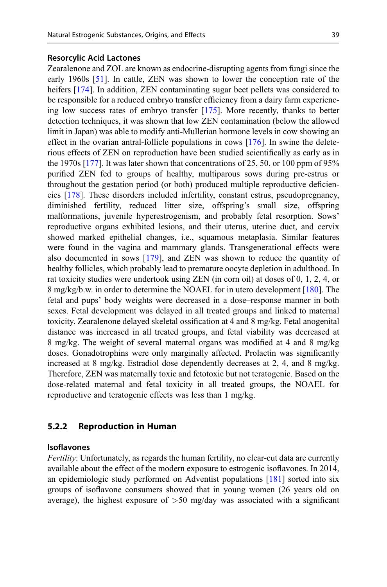### Resorcylic Acid Lactones

Zearalenone and ZOL are known as endocrine-disrupting agents from fungi since the early 1960s [[51\]](#page-55-0). In cattle, ZEN was shown to lower the conception rate of the heifers [[174\]](#page-62-0). In addition, ZEN contaminating sugar beet pellets was considered to be responsible for a reduced embryo transfer efficiency from a dairy farm experiencing low success rates of embryo transfer [[175\]](#page-62-0). More recently, thanks to better detection techniques, it was shown that low ZEN contamination (below the allowed limit in Japan) was able to modify anti-Mullerian hormone levels in cow showing an effect in the ovarian antral-follicle populations in cows  $[176]$  $[176]$ . In swine the deleterious effects of ZEN on reproduction have been studied scientifically as early as in the 1970s [\[177](#page-62-0)]. It was later shown that concentrations of 25, 50, or 100 ppm of 95% purified ZEN fed to groups of healthy, multiparous sows during pre-estrus or throughout the gestation period (or both) produced multiple reproductive deficiencies [\[178](#page-62-0)]. These disorders included infertility, constant estrus, pseudopregnancy, diminished fertility, reduced litter size, offspring's small size, offspring malformations, juvenile hyperestrogenism, and probably fetal resorption. Sows' reproductive organs exhibited lesions, and their uterus, uterine duct, and cervix showed marked epithelial changes, i.e., squamous metaplasia. Similar features were found in the vagina and mammary glands. Transgenerational effects were also documented in sows [[179\]](#page-62-0), and ZEN was shown to reduce the quantity of healthy follicles, which probably lead to premature oocyte depletion in adulthood. In rat toxicity studies were undertook using ZEN (in corn oil) at doses of 0, 1, 2, 4, or 8 mg/kg/b.w. in order to determine the NOAEL for in utero development [\[180](#page-62-0)]. The fetal and pups' body weights were decreased in a dose–response manner in both sexes. Fetal development was delayed in all treated groups and linked to maternal toxicity. Zearalenone delayed skeletal ossification at 4 and 8 mg/kg. Fetal anogenital distance was increased in all treated groups, and fetal viability was decreased at 8 mg/kg. The weight of several maternal organs was modified at 4 and 8 mg/kg doses. Gonadotrophins were only marginally affected. Prolactin was significantly increased at 8 mg/kg. Estradiol dose dependently decreases at 2, 4, and 8 mg/kg. Therefore, ZEN was maternally toxic and fetotoxic but not teratogenic. Based on the dose-related maternal and fetal toxicity in all treated groups, the NOAEL for reproductive and teratogenic effects was less than 1 mg/kg.

#### 5.2.2 Reproduction in Human

#### Isoflavones

Fertility: Unfortunately, as regards the human fertility, no clear-cut data are currently available about the effect of the modern exposure to estrogenic isoflavones. In 2014, an epidemiologic study performed on Adventist populations [\[181](#page-62-0)] sorted into six groups of isoflavone consumers showed that in young women (26 years old on average), the highest exposure of  $>50$  mg/day was associated with a significant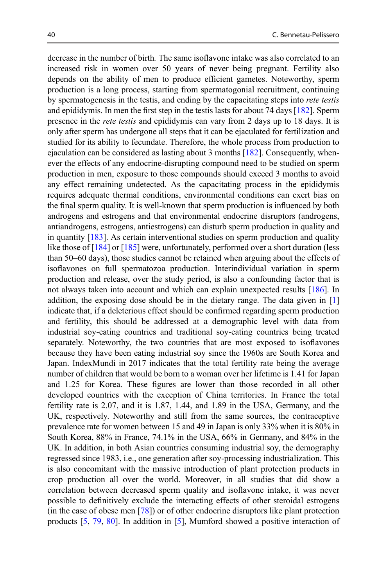decrease in the number of birth. The same isoflavone intake was also correlated to an increased risk in women over 50 years of never being pregnant. Fertility also depends on the ability of men to produce efficient gametes. Noteworthy, sperm production is a long process, starting from spermatogonial recruitment, continuing by spermatogenesis in the testis, and ending by the capacitating steps into rete testis and epididymis. In men the first step in the testis lasts for about 74 days  $[182]$  $[182]$ . Sperm presence in the rete testis and epididymis can vary from 2 days up to 18 days. It is only after sperm has undergone all steps that it can be ejaculated for fertilization and studied for its ability to fecundate. Therefore, the whole process from production to ejaculation can be considered as lasting about 3 months [[182\]](#page-62-0). Consequently, whenever the effects of any endocrine-disrupting compound need to be studied on sperm production in men, exposure to those compounds should exceed 3 months to avoid any effect remaining undetected. As the capacitating process in the epididymis requires adequate thermal conditions, environmental conditions can exert bias on the final sperm quality. It is well-known that sperm production is influenced by both androgens and estrogens and that environmental endocrine disruptors (androgens, antiandrogens, estrogens, antiestrogens) can disturb sperm production in quality and in quantity [\[183](#page-63-0)]. As certain interventional studies on sperm production and quality like those of [\[184](#page-63-0)] or [[185\]](#page-63-0) were, unfortunately, performed over a short duration (less than 50–60 days), those studies cannot be retained when arguing about the effects of isoflavones on full spermatozoa production. Interindividual variation in sperm production and release, over the study period, is also a confounding factor that is not always taken into account and which can explain unexpected results [\[186](#page-63-0)]. In addition, the exposing dose should be in the dietary range. The data given in [\[1](#page-53-0)] indicate that, if a deleterious effect should be confirmed regarding sperm production and fertility, this should be addressed at a demographic level with data from industrial soy-eating countries and traditional soy-eating countries being treated separately. Noteworthy, the two countries that are most exposed to isoflavones because they have been eating industrial soy since the 1960s are South Korea and Japan. IndexMundi in 2017 indicates that the total fertility rate being the average number of children that would be born to a woman over her lifetime is 1.41 for Japan and 1.25 for Korea. These figures are lower than those recorded in all other developed countries with the exception of China territories. In France the total fertility rate is 2.07, and it is 1.87, 1.44, and 1.89 in the USA, Germany, and the UK, respectively. Noteworthy and still from the same sources, the contraceptive prevalence rate for women between 15 and 49 in Japan is only 33% when it is 80% in South Korea, 88% in France, 74.1% in the USA, 66% in Germany, and 84% in the UK. In addition, in both Asian countries consuming industrial soy, the demography regressed since 1983, i.e., one generation after soy-processing industrialization. This is also concomitant with the massive introduction of plant protection products in crop production all over the world. Moreover, in all studies that did show a correlation between decreased sperm quality and isoflavone intake, it was never possible to definitively exclude the interacting effects of other steroidal estrogens (in the case of obese men [[78\]](#page-57-0)) or of other endocrine disruptors like plant protection products [\[5](#page-53-0), [79](#page-57-0), [80\]](#page-57-0). In addition in [\[5](#page-53-0)], Mumford showed a positive interaction of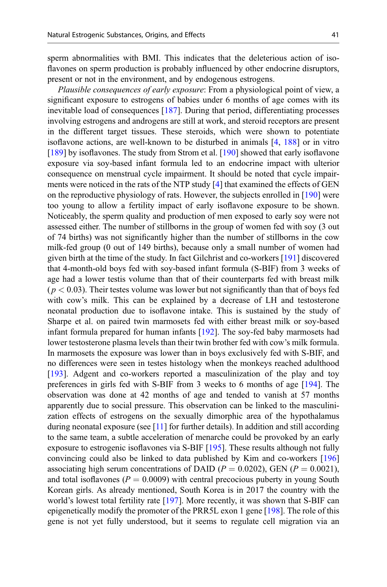sperm abnormalities with BMI. This indicates that the deleterious action of isoflavones on sperm production is probably influenced by other endocrine disruptors, present or not in the environment, and by endogenous estrogens.

Plausible consequences of early exposure: From a physiological point of view, a significant exposure to estrogens of babies under 6 months of age comes with its inevitable load of consequences [[187\]](#page-63-0). During that period, differentiating processes involving estrogens and androgens are still at work, and steroid receptors are present in the different target tissues. These steroids, which were shown to potentiate isoflavone actions, are well-known to be disturbed in animals [\[4](#page-53-0), [188](#page-63-0)] or in vitro [\[189](#page-63-0)] by isoflavones. The study from Strom et al. [[190\]](#page-63-0) showed that early isoflavone exposure via soy-based infant formula led to an endocrine impact with ulterior consequence on menstrual cycle impairment. It should be noted that cycle impairments were noticed in the rats of the NTP study [[4\]](#page-53-0) that examined the effects of GEN on the reproductive physiology of rats. However, the subjects enrolled in [[190\]](#page-63-0) were too young to allow a fertility impact of early isoflavone exposure to be shown. Noticeably, the sperm quality and production of men exposed to early soy were not assessed either. The number of stillborns in the group of women fed with soy (3 out of 74 births) was not significantly higher than the number of stillborns in the cow milk-fed group (0 out of 149 births), because only a small number of women had given birth at the time of the study. In fact Gilchrist and co-workers [\[191](#page-63-0)] discovered that 4-month-old boys fed with soy-based infant formula (S-BIF) from 3 weeks of age had a lower testis volume than that of their counterparts fed with breast milk  $(p < 0.03)$ . Their testes volume was lower but not significantly than that of boys fed with cow's milk. This can be explained by a decrease of LH and testosterone neonatal production due to isoflavone intake. This is sustained by the study of Sharpe et al. on paired twin marmosets fed with either breast milk or soy-based infant formula prepared for human infants [[192\]](#page-63-0). The soy-fed baby marmosets had lower testosterone plasma levels than their twin brother fed with cow's milk formula. In marmosets the exposure was lower than in boys exclusively fed with S-BIF, and no differences were seen in testes histology when the monkeys reached adulthood [\[193](#page-63-0)]. Adgent and co-workers reported a masculinization of the play and toy preferences in girls fed with S-BIF from 3 weeks to 6 months of age [[194\]](#page-63-0). The observation was done at 42 months of age and tended to vanish at 57 months apparently due to social pressure. This observation can be linked to the masculinization effects of estrogens on the sexually dimorphic area of the hypothalamus during neonatal exposure (see [[11](#page-53-0)] for further details). In addition and still according to the same team, a subtle acceleration of menarche could be provoked by an early exposure to estrogenic isoflavones via S-BIF [[195\]](#page-63-0). These results although not fully convincing could also be linked to data published by Kim and co-workers [\[196](#page-63-0)] associating high serum concentrations of DAID ( $P = 0.0202$ ), GEN ( $P = 0.0021$ ), and total isoflavones ( $P = 0.0009$ ) with central precocious puberty in young South Korean girls. As already mentioned, South Korea is in 2017 the country with the world's lowest total fertility rate [[197\]](#page-63-0). More recently, it was shown that S-BIF can epigenetically modify the promoter of the PRR5L exon 1 gene [\[198](#page-63-0)]. The role of this gene is not yet fully understood, but it seems to regulate cell migration via an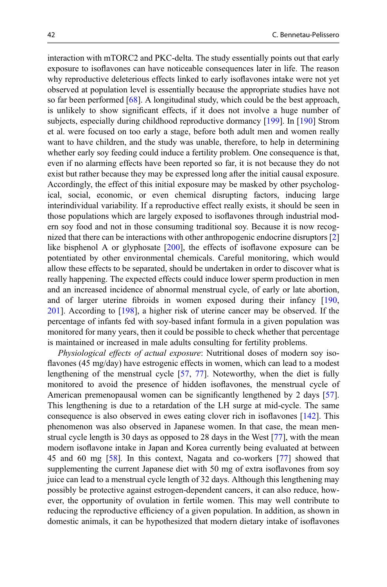interaction with mTORC2 and PKC-delta. The study essentially points out that early exposure to isoflavones can have noticeable consequences later in life. The reason why reproductive deleterious effects linked to early isoflavones intake were not yet observed at population level is essentially because the appropriate studies have not so far been performed  $[68]$  $[68]$ . A longitudinal study, which could be the best approach, is unlikely to show significant effects, if it does not involve a huge number of subjects, especially during childhood reproductive dormancy [[199\]](#page-63-0). In [\[190](#page-63-0)] Strom et al. were focused on too early a stage, before both adult men and women really want to have children, and the study was unable, therefore, to help in determining whether early soy feeding could induce a fertility problem. One consequence is that, even if no alarming effects have been reported so far, it is not because they do not exist but rather because they may be expressed long after the initial causal exposure. Accordingly, the effect of this initial exposure may be masked by other psychological, social, economic, or even chemical disrupting factors, inducing large interindividual variability. If a reproductive effect really exists, it should be seen in those populations which are largely exposed to isoflavones through industrial modern soy food and not in those consuming traditional soy. Because it is now recognized that there can be interactions with other anthropogenic endocrine disruptors [\[2](#page-53-0)] like bisphenol A or glyphosate [[200\]](#page-63-0), the effects of isoflavone exposure can be potentiated by other environmental chemicals. Careful monitoring, which would allow these effects to be separated, should be undertaken in order to discover what is really happening. The expected effects could induce lower sperm production in men and an increased incidence of abnormal menstrual cycle, of early or late abortion, and of larger uterine fibroids in women exposed during their infancy [\[190](#page-63-0), [201\]](#page-63-0). According to [[198\]](#page-63-0), a higher risk of uterine cancer may be observed. If the percentage of infants fed with soy-based infant formula in a given population was monitored for many years, then it could be possible to check whether that percentage is maintained or increased in male adults consulting for fertility problems.

Physiological effects of actual exposure: Nutritional doses of modern soy isoflavones (45 mg/day) have estrogenic effects in women, which can lead to a modest lengthening of the menstrual cycle [[57,](#page-55-0) [77\]](#page-56-0). Noteworthy, when the diet is fully monitored to avoid the presence of hidden isoflavones, the menstrual cycle of American premenopausal women can be significantly lengthened by 2 days [[57\]](#page-55-0). This lengthening is due to a retardation of the LH surge at mid-cycle. The same consequence is also observed in ewes eating clover rich in isoflavones [\[142](#page-60-0)]. This phenomenon was also observed in Japanese women. In that case, the mean menstrual cycle length is 30 days as opposed to 28 days in the West [\[77](#page-56-0)], with the mean modern isoflavone intake in Japan and Korea currently being evaluated at between 45 and 60 mg [[58\]](#page-55-0). In this context, Nagata and co-workers [\[77](#page-56-0)] showed that supplementing the current Japanese diet with 50 mg of extra isoflavones from soy juice can lead to a menstrual cycle length of 32 days. Although this lengthening may possibly be protective against estrogen-dependent cancers, it can also reduce, however, the opportunity of ovulation in fertile women. This may well contribute to reducing the reproductive efficiency of a given population. In addition, as shown in domestic animals, it can be hypothesized that modern dietary intake of isoflavones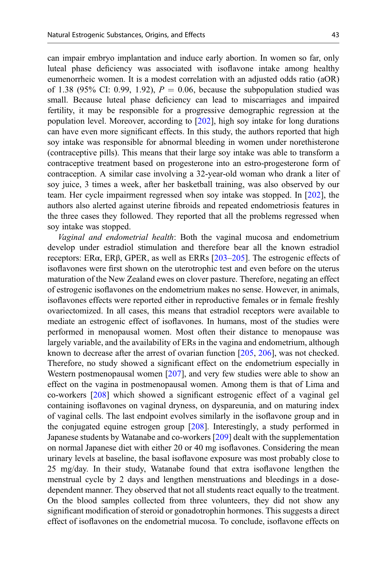can impair embryo implantation and induce early abortion. In women so far, only luteal phase deficiency was associated with isoflavone intake among healthy eumenorrheic women. It is a modest correlation with an adjusted odds ratio (aOR) of 1.38 (95% CI: 0.99, 1.92),  $P = 0.06$ , because the subpopulation studied was small. Because luteal phase deficiency can lead to miscarriages and impaired fertility, it may be responsible for a progressive demographic regression at the population level. Moreover, according to [[202\]](#page-64-0), high soy intake for long durations can have even more significant effects. In this study, the authors reported that high soy intake was responsible for abnormal bleeding in women under norethisterone (contraceptive pills). This means that their large soy intake was able to transform a contraceptive treatment based on progesterone into an estro-progesterone form of contraception. A similar case involving a 32-year-old woman who drank a liter of soy juice, 3 times a week, after her basketball training, was also observed by our team. Her cycle impairment regressed when soy intake was stopped. In [\[202](#page-64-0)], the authors also alerted against uterine fibroids and repeated endometriosis features in the three cases they followed. They reported that all the problems regressed when soy intake was stopped.

Vaginal and endometrial health: Both the vaginal mucosa and endometrium develop under estradiol stimulation and therefore bear all the known estradiol receptors: ERα, ERβ, GPER, as well as ERRs [\[203](#page-64-0)–[205](#page-64-0)]. The estrogenic effects of isoflavones were first shown on the uterotrophic test and even before on the uterus maturation of the New Zealand ewes on clover pasture. Therefore, negating an effect of estrogenic isoflavones on the endometrium makes no sense. However, in animals, isoflavones effects were reported either in reproductive females or in female freshly ovariectomized. In all cases, this means that estradiol receptors were available to mediate an estrogenic effect of isoflavones. In humans, most of the studies were performed in menopausal women. Most often their distance to menopause was largely variable, and the availability of ERs in the vagina and endometrium, although known to decrease after the arrest of ovarian function [\[205](#page-64-0), [206](#page-64-0)], was not checked. Therefore, no study showed a significant effect on the endometrium especially in Western postmenopausal women [[207\]](#page-64-0), and very few studies were able to show an effect on the vagina in postmenopausal women. Among them is that of Lima and co-workers [[208\]](#page-64-0) which showed a significant estrogenic effect of a vaginal gel containing isoflavones on vaginal dryness, on dyspareunia, and on maturing index of vaginal cells. The last endpoint evolves similarly in the isoflavone group and in the conjugated equine estrogen group [\[208](#page-64-0)]. Interestingly, a study performed in Japanese students by Watanabe and co-workers [[209\]](#page-64-0) dealt with the supplementation on normal Japanese diet with either 20 or 40 mg isoflavones. Considering the mean urinary levels at baseline, the basal isoflavone exposure was most probably close to 25 mg/day. In their study, Watanabe found that extra isoflavone lengthen the menstrual cycle by 2 days and lengthen menstruations and bleedings in a dosedependent manner. They observed that not all students react equally to the treatment. On the blood samples collected from three volunteers, they did not show any significant modification of steroid or gonadotrophin hormones. This suggests a direct effect of isoflavones on the endometrial mucosa. To conclude, isoflavone effects on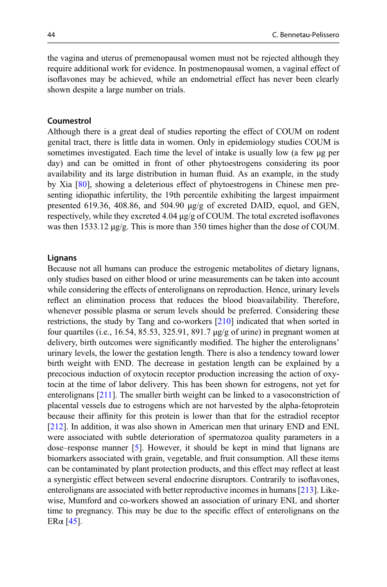the vagina and uterus of premenopausal women must not be rejected although they require additional work for evidence. In postmenopausal women, a vaginal effect of isoflavones may be achieved, while an endometrial effect has never been clearly shown despite a large number on trials.

#### Coumestrol

Although there is a great deal of studies reporting the effect of COUM on rodent genital tract, there is little data in women. Only in epidemiology studies COUM is sometimes investigated. Each time the level of intake is usually low (a few μg per day) and can be omitted in front of other phytoestrogens considering its poor availability and its large distribution in human fluid. As an example, in the study by Xia [[80\]](#page-57-0), showing a deleterious effect of phytoestrogens in Chinese men presenting idiopathic infertility, the 19th percentile exhibiting the largest impairment presented 619.36, 408.86, and 504.90  $\mu$ g/g of excreted DAID, equol, and GEN, respectively, while they excreted  $4.04 \mu g/g$  of COUM. The total excreted isoflavones was then 1533.12 μg/g. This is more than 350 times higher than the dose of COUM.

#### Lignans

Because not all humans can produce the estrogenic metabolites of dietary lignans, only studies based on either blood or urine measurements can be taken into account while considering the effects of enterolignans on reproduction. Hence, urinary levels reflect an elimination process that reduces the blood bioavailability. Therefore, whenever possible plasma or serum levels should be preferred. Considering these restrictions, the study by Tang and co-workers [\[210](#page-64-0)] indicated that when sorted in four quartiles (i.e., 16.54, 85.53, 325.91, 891.7  $\mu$ g/g of urine) in pregnant women at delivery, birth outcomes were significantly modified. The higher the enterolignans' urinary levels, the lower the gestation length. There is also a tendency toward lower birth weight with END. The decrease in gestation length can be explained by a precocious induction of oxytocin receptor production increasing the action of oxytocin at the time of labor delivery. This has been shown for estrogens, not yet for enterolignans [[211\]](#page-64-0). The smaller birth weight can be linked to a vasoconstriction of placental vessels due to estrogens which are not harvested by the alpha-fetoprotein because their affinity for this protein is lower than that for the estradiol receptor [\[212](#page-64-0)]. In addition, it was also shown in American men that urinary END and ENL were associated with subtle deterioration of spermatozoa quality parameters in a dose–response manner [[5\]](#page-53-0). However, it should be kept in mind that lignans are biomarkers associated with grain, vegetable, and fruit consumption. All these items can be contaminated by plant protection products, and this effect may reflect at least a synergistic effect between several endocrine disruptors. Contrarily to isoflavones, enterolignans are associated with better reproductive incomes in humans [[213\]](#page-64-0). Likewise, Mumford and co-workers showed an association of urinary ENL and shorter time to pregnancy. This may be due to the specific effect of enterolignans on the ERα [[45\]](#page-55-0).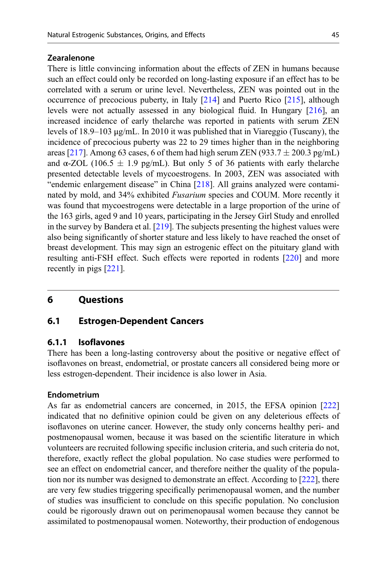### Zearalenone

There is little convincing information about the effects of ZEN in humans because such an effect could only be recorded on long-lasting exposure if an effect has to be correlated with a serum or urine level. Nevertheless, ZEN was pointed out in the occurrence of precocious puberty, in Italy [\[214](#page-64-0)] and Puerto Rico [\[215](#page-64-0)], although levels were not actually assessed in any biological fluid. In Hungary [[216\]](#page-64-0), an increased incidence of early thelarche was reported in patients with serum ZEN levels of 18.9–103 μg/mL. In 2010 it was published that in Viareggio (Tuscany), the incidence of precocious puberty was 22 to 29 times higher than in the neighboring areas [\[217](#page-64-0)]. Among 63 cases, 6 of them had high serum ZEN (933.7  $\pm$  200.3 pg/mL) and  $\alpha$ -ZOL (106.5  $\pm$  1.9 pg/mL). But only 5 of 36 patients with early thelarche presented detectable levels of mycoestrogens. In 2003, ZEN was associated with "endemic enlargement disease" in China [\[218](#page-64-0)]. All grains analyzed were contaminated by mold, and 34% exhibited Fusarium species and COUM. More recently it was found that mycoestrogens were detectable in a large proportion of the urine of the 163 girls, aged 9 and 10 years, participating in the Jersey Girl Study and enrolled in the survey by Bandera et al. [\[219](#page-64-0)]. The subjects presenting the highest values were also being significantly of shorter stature and less likely to have reached the onset of breast development. This may sign an estrogenic effect on the pituitary gland with resulting anti-FSH effect. Such effects were reported in rodents [\[220](#page-64-0)] and more recently in pigs [\[221](#page-64-0)].

# 6 Questions

# 6.1 Estrogen-Dependent Cancers

#### 6.1.1 Isoflavones

There has been a long-lasting controversy about the positive or negative effect of isoflavones on breast, endometrial, or prostate cancers all considered being more or less estrogen-dependent. Their incidence is also lower in Asia.

#### Endometrium

As far as endometrial cancers are concerned, in 2015, the EFSA opinion [\[222](#page-65-0)] indicated that no definitive opinion could be given on any deleterious effects of isoflavones on uterine cancer. However, the study only concerns healthy peri- and postmenopausal women, because it was based on the scientific literature in which volunteers are recruited following specific inclusion criteria, and such criteria do not, therefore, exactly reflect the global population. No case studies were performed to see an effect on endometrial cancer, and therefore neither the quality of the population nor its number was designed to demonstrate an effect. According to [[222\]](#page-65-0), there are very few studies triggering specifically perimenopausal women, and the number of studies was insufficient to conclude on this specific population. No conclusion could be rigorously drawn out on perimenopausal women because they cannot be assimilated to postmenopausal women. Noteworthy, their production of endogenous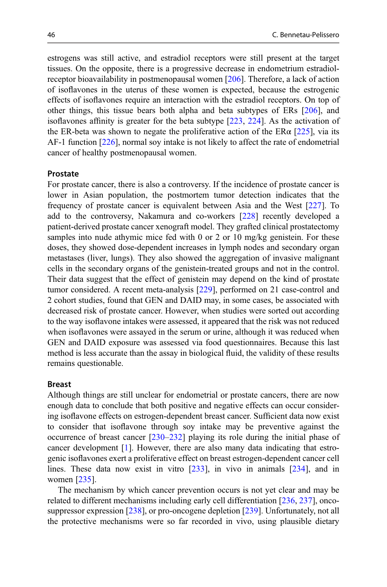estrogens was still active, and estradiol receptors were still present at the target tissues. On the opposite, there is a progressive decrease in endometrium estradiolreceptor bioavailability in postmenopausal women [[206\]](#page-64-0). Therefore, a lack of action of isoflavones in the uterus of these women is expected, because the estrogenic effects of isoflavones require an interaction with the estradiol receptors. On top of other things, this tissue bears both alpha and beta subtypes of ERs [[206\]](#page-64-0), and isoflavones affinity is greater for the beta subtype [[223,](#page-65-0) [224\]](#page-65-0). As the activation of the ER-beta was shown to negate the proliferative action of the ER $\alpha$  [\[225](#page-65-0)], via its AF-1 function [[226\]](#page-65-0), normal soy intake is not likely to affect the rate of endometrial cancer of healthy postmenopausal women.

#### Prostate

For prostate cancer, there is also a controversy. If the incidence of prostate cancer is lower in Asian population, the postmortem tumor detection indicates that the frequency of prostate cancer is equivalent between Asia and the West [\[227](#page-65-0)]. To add to the controversy, Nakamura and co-workers [\[228](#page-65-0)] recently developed a patient-derived prostate cancer xenograft model. They grafted clinical prostatectomy samples into nude athymic mice fed with 0 or 2 or 10 mg/kg genistein. For these doses, they showed dose-dependent increases in lymph nodes and secondary organ metastases (liver, lungs). They also showed the aggregation of invasive malignant cells in the secondary organs of the genistein-treated groups and not in the control. Their data suggest that the effect of genistein may depend on the kind of prostate tumor considered. A recent meta-analysis [\[229](#page-65-0)], performed on 21 case-control and 2 cohort studies, found that GEN and DAID may, in some cases, be associated with decreased risk of prostate cancer. However, when studies were sorted out according to the way isoflavone intakes were assessed, it appeared that the risk was not reduced when isoflavones were assayed in the serum or urine, although it was reduced when GEN and DAID exposure was assessed via food questionnaires. Because this last method is less accurate than the assay in biological fluid, the validity of these results remains questionable.

#### Breast

Although things are still unclear for endometrial or prostate cancers, there are now enough data to conclude that both positive and negative effects can occur considering isoflavone effects on estrogen-dependent breast cancer. Sufficient data now exist to consider that isoflavone through soy intake may be preventive against the occurrence of breast cancer [\[230](#page-65-0)–[232](#page-65-0)] playing its role during the initial phase of cancer development [\[1](#page-53-0)]. However, there are also many data indicating that estrogenic isoflavones exert a proliferative effect on breast estrogen-dependent cancer cell lines. These data now exist in vitro [[233\]](#page-65-0), in vivo in animals [\[234](#page-65-0)], and in women [\[235](#page-65-0)].

The mechanism by which cancer prevention occurs is not yet clear and may be related to different mechanisms including early cell differentiation [\[236](#page-65-0), [237\]](#page-65-0), oncosuppressor expression [\[238](#page-65-0)], or pro-oncogene depletion [\[239](#page-66-0)]. Unfortunately, not all the protective mechanisms were so far recorded in vivo, using plausible dietary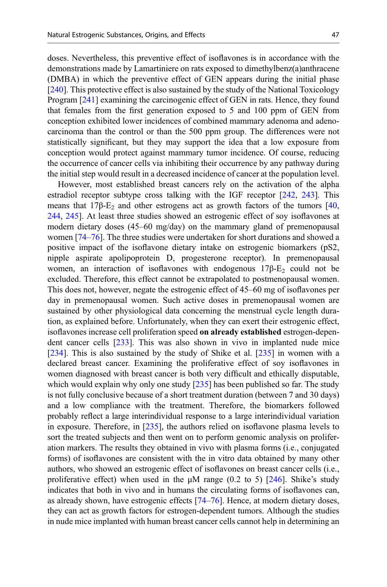doses. Nevertheless, this preventive effect of isoflavones is in accordance with the demonstrations made by Lamartiniere on rats exposed to dimethylbenz(a)anthracene (DMBA) in which the preventive effect of GEN appears during the initial phase [\[240](#page-66-0)]. This protective effect is also sustained by the study of the National Toxicology Program [\[241](#page-66-0)] examining the carcinogenic effect of GEN in rats. Hence, they found that females from the first generation exposed to 5 and 100 ppm of GEN from conception exhibited lower incidences of combined mammary adenoma and adenocarcinoma than the control or than the 500 ppm group. The differences were not statistically significant, but they may support the idea that a low exposure from conception would protect against mammary tumor incidence. Of course, reducing the occurrence of cancer cells via inhibiting their occurrence by any pathway during the initial step would result in a decreased incidence of cancer at the population level.

However, most established breast cancers rely on the activation of the alpha estradiol receptor subtype cross talking with the IGF receptor [[242,](#page-66-0) [243\]](#page-66-0). This means that  $17\beta$ -E<sub>2</sub> and other estrogens act as growth factors of the tumors [\[40](#page-55-0), [244,](#page-66-0) [245\]](#page-66-0). At least three studies showed an estrogenic effect of soy isoflavones at modern dietary doses (45–60 mg/day) on the mammary gland of premenopausal women [\[74](#page-56-0)–[76](#page-56-0)]. The three studies were undertaken for short durations and showed a positive impact of the isoflavone dietary intake on estrogenic biomarkers (pS2, nipple aspirate apolipoprotein D, progesterone receptor). In premenopausal women, an interaction of isoflavones with endogenous  $17β$ -E<sub>2</sub> could not be excluded. Therefore, this effect cannot be extrapolated to postmenopausal women. This does not, however, negate the estrogenic effect of 45–60 mg of isoflavones per day in premenopausal women. Such active doses in premenopausal women are sustained by other physiological data concerning the menstrual cycle length duration, as explained before. Unfortunately, when they can exert their estrogenic effect, isoflavones increase cell proliferation speed on already established estrogen-dependent cancer cells [[233\]](#page-65-0). This was also shown in vivo in implanted nude mice [\[234](#page-65-0)]. This is also sustained by the study of Shike et al. [[235\]](#page-65-0) in women with a declared breast cancer. Examining the proliferative effect of soy isoflavones in women diagnosed with breast cancer is both very difficult and ethically disputable, which would explain why only one study  $[235]$  $[235]$  has been published so far. The study is not fully conclusive because of a short treatment duration (between 7 and 30 days) and a low compliance with the treatment. Therefore, the biomarkers followed probably reflect a large interindividual response to a large interindividual variation in exposure. Therefore, in [\[235](#page-65-0)], the authors relied on isoflavone plasma levels to sort the treated subjects and then went on to perform genomic analysis on proliferation markers. The results they obtained in vivo with plasma forms (i.e., conjugated forms) of isoflavones are consistent with the in vitro data obtained by many other authors, who showed an estrogenic effect of isoflavones on breast cancer cells (i.e., proliferative effect) when used in the  $\mu$ M range (0.2 to 5) [[246](#page-66-0)]. Shike's study indicates that both in vivo and in humans the circulating forms of isoflavones can, as already shown, have estrogenic effects [\[74](#page-56-0)–[76](#page-56-0)]. Hence, at modern dietary doses, they can act as growth factors for estrogen-dependent tumors. Although the studies in nude mice implanted with human breast cancer cells cannot help in determining an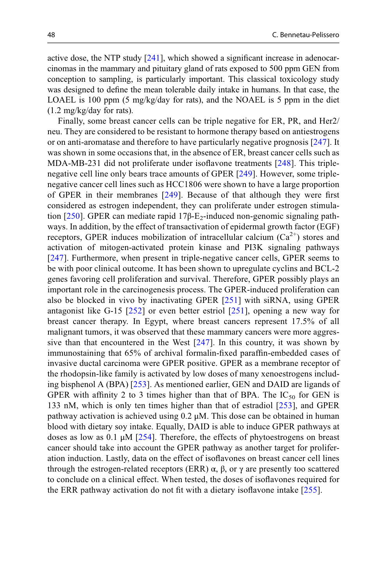active dose, the NTP study [\[241](#page-66-0)], which showed a significant increase in adenocarcinomas in the mammary and pituitary gland of rats exposed to 500 ppm GEN from conception to sampling, is particularly important. This classical toxicology study was designed to define the mean tolerable daily intake in humans. In that case, the LOAEL is 100 ppm (5 mg/kg/day for rats), and the NOAEL is 5 ppm in the diet (1.2 mg/kg/day for rats).

Finally, some breast cancer cells can be triple negative for ER, PR, and Her2/ neu. They are considered to be resistant to hormone therapy based on antiestrogens or on anti-aromatase and therefore to have particularly negative prognosis [[247](#page-66-0)]. It was shown in some occasions that, in the absence of ER, breast cancer cells such as MDA-MB-231 did not proliferate under isoflavone treatments [\[248\]](#page-66-0). This triplenegative cell line only bears trace amounts of GPER [[249\]](#page-66-0). However, some triplenegative cancer cell lines such as HCC1806 were shown to have a large proportion of GPER in their membranes [[249](#page-66-0)]. Because of that although they were first considered as estrogen independent, they can proliferate under estrogen stimula-tion [[250\]](#page-66-0). GPER can mediate rapid  $17\beta$ -E<sub>2</sub>-induced non-genomic signaling pathways. In addition, by the effect of transactivation of epidermal growth factor (EGF) receptors, GPER induces mobilization of intracellular calcium  $(Ca^{2+})$  stores and activation of mitogen-activated protein kinase and PI3K signaling pathways [\[247](#page-66-0)]. Furthermore, when present in triple-negative cancer cells, GPER seems to be with poor clinical outcome. It has been shown to upregulate cyclins and BCL-2 genes favoring cell proliferation and survival. Therefore, GPER possibly plays an important role in the carcinogenesis process. The GPER-induced proliferation can also be blocked in vivo by inactivating GPER [\[251\]](#page-66-0) with siRNA, using GPER antagonist like G-15  $[252]$  $[252]$  or even better estriol  $[251]$  $[251]$  $[251]$ , opening a new way for breast cancer therapy. In Egypt, where breast cancers represent 17.5% of all malignant tumors, it was observed that these mammary cancers were more aggressive than that encountered in the West  $[247]$  $[247]$  $[247]$ . In this country, it was shown by immunostaining that 65% of archival formalin-fixed paraffin-embedded cases of invasive ductal carcinoma were GPER positive. GPER as a membrane receptor of the rhodopsin-like family is activated by low doses of many xenoestrogens including bisphenol A (BPA) [[253\]](#page-66-0). As mentioned earlier, GEN and DAID are ligands of GPER with affinity 2 to 3 times higher than that of BPA. The IC<sub>50</sub> for GEN is 133 nM, which is only ten times higher than that of estradiol [[253](#page-66-0)], and GPER pathway activation is achieved using 0.2 μM. This dose can be obtained in human blood with dietary soy intake. Equally, DAID is able to induce GPER pathways at doses as low as 0.1  $\mu$ M [\[254\]](#page-66-0). Therefore, the effects of phytoestrogens on breast cancer should take into account the GPER pathway as another target for proliferation induction. Lastly, data on the effect of isoflavones on breast cancer cell lines through the estrogen-related receptors (ERR)  $\alpha$ ,  $\beta$ , or γ are presently too scattered to conclude on a clinical effect. When tested, the doses of isoflavones required for the ERR pathway activation do not fit with a dietary isoflavone intake [\[255\]](#page-66-0).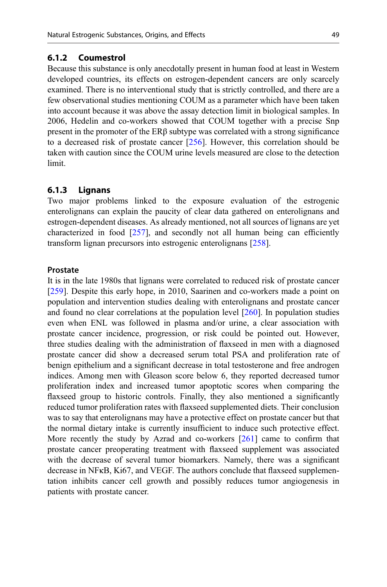### 6.1.2 Coumestrol

Because this substance is only anecdotally present in human food at least in Western developed countries, its effects on estrogen-dependent cancers are only scarcely examined. There is no interventional study that is strictly controlled, and there are a few observational studies mentioning COUM as a parameter which have been taken into account because it was above the assay detection limit in biological samples. In 2006, Hedelin and co-workers showed that COUM together with a precise Snp present in the promoter of the  $ER\beta$  subtype was correlated with a strong significance to a decreased risk of prostate cancer [[256\]](#page-66-0). However, this correlation should be taken with caution since the COUM urine levels measured are close to the detection limit.

### 6.1.3 Lignans

Two major problems linked to the exposure evaluation of the estrogenic enterolignans can explain the paucity of clear data gathered on enterolignans and estrogen-dependent diseases. As already mentioned, not all sources of lignans are yet characterized in food  $[257]$  $[257]$ , and secondly not all human being can efficiently transform lignan precursors into estrogenic enterolignans [\[258](#page-67-0)].

#### Prostate

It is in the late 1980s that lignans were correlated to reduced risk of prostate cancer [\[259](#page-67-0)]. Despite this early hope, in 2010, Saarinen and co-workers made a point on population and intervention studies dealing with enterolignans and prostate cancer and found no clear correlations at the population level [[260\]](#page-67-0). In population studies even when ENL was followed in plasma and/or urine, a clear association with prostate cancer incidence, progression, or risk could be pointed out. However, three studies dealing with the administration of flaxseed in men with a diagnosed prostate cancer did show a decreased serum total PSA and proliferation rate of benign epithelium and a significant decrease in total testosterone and free androgen indices. Among men with Gleason score below 6, they reported decreased tumor proliferation index and increased tumor apoptotic scores when comparing the flaxseed group to historic controls. Finally, they also mentioned a significantly reduced tumor proliferation rates with flaxseed supplemented diets. Their conclusion was to say that enterolignans may have a protective effect on prostate cancer but that the normal dietary intake is currently insufficient to induce such protective effect. More recently the study by Azrad and co-workers [\[261](#page-67-0)] came to confirm that prostate cancer preoperating treatment with flaxseed supplement was associated with the decrease of several tumor biomarkers. Namely, there was a significant decrease in NFκB, Ki67, and VEGF. The authors conclude that flaxseed supplementation inhibits cancer cell growth and possibly reduces tumor angiogenesis in patients with prostate cancer.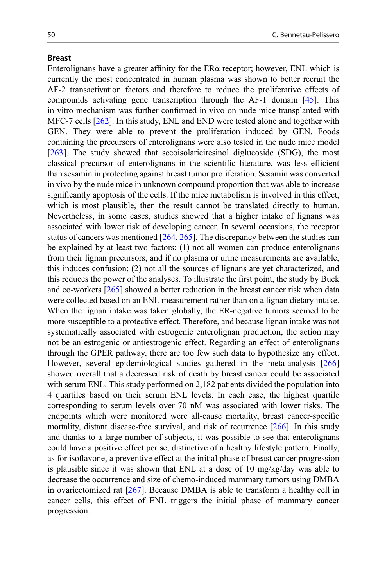Enterolignans have a greater affinity for the  $ER\alpha$  receptor; however, ENL which is currently the most concentrated in human plasma was shown to better recruit the AF-2 transactivation factors and therefore to reduce the proliferative effects of compounds activating gene transcription through the AF-1 domain [[45\]](#page-55-0). This in vitro mechanism was further confirmed in vivo on nude mice transplanted with MFC-7 cells [[262\]](#page-67-0). In this study, ENL and END were tested alone and together with GEN. They were able to prevent the proliferation induced by GEN. Foods containing the precursors of enterolignans were also tested in the nude mice model [\[263](#page-67-0)]. The study showed that secoisolariciresinol diglucoside (SDG), the most classical precursor of enterolignans in the scientific literature, was less efficient than sesamin in protecting against breast tumor proliferation. Sesamin was converted in vivo by the nude mice in unknown compound proportion that was able to increase significantly apoptosis of the cells. If the mice metabolism is involved in this effect, which is most plausible, then the result cannot be translated directly to human. Nevertheless, in some cases, studies showed that a higher intake of lignans was associated with lower risk of developing cancer. In several occasions, the receptor status of cancers was mentioned [[264,](#page-67-0) [265\]](#page-67-0). The discrepancy between the studies can be explained by at least two factors: (1) not all women can produce enterolignans from their lignan precursors, and if no plasma or urine measurements are available, this induces confusion; (2) not all the sources of lignans are yet characterized, and this reduces the power of the analyses. To illustrate the first point, the study by Buck and co-workers [\[265](#page-67-0)] showed a better reduction in the breast cancer risk when data were collected based on an ENL measurement rather than on a lignan dietary intake. When the lignan intake was taken globally, the ER-negative tumors seemed to be more susceptible to a protective effect. Therefore, and because lignan intake was not systematically associated with estrogenic enterolignan production, the action may not be an estrogenic or antiestrogenic effect. Regarding an effect of enterolignans through the GPER pathway, there are too few such data to hypothesize any effect. However, several epidemiological studies gathered in the meta-analysis [\[266](#page-67-0)] showed overall that a decreased risk of death by breast cancer could be associated with serum ENL. This study performed on 2,182 patients divided the population into 4 quartiles based on their serum ENL levels. In each case, the highest quartile corresponding to serum levels over 70 nM was associated with lower risks. The endpoints which were monitored were all-cause mortality, breast cancer-specific mortality, distant disease-free survival, and risk of recurrence [\[266](#page-67-0)]. In this study and thanks to a large number of subjects, it was possible to see that enterolignans could have a positive effect per se, distinctive of a healthy lifestyle pattern. Finally, as for isoflavone, a preventive effect at the initial phase of breast cancer progression is plausible since it was shown that ENL at a dose of 10 mg/kg/day was able to decrease the occurrence and size of chemo-induced mammary tumors using DMBA in ovariectomized rat  $[267]$  $[267]$ . Because DMBA is able to transform a healthy cell in cancer cells, this effect of ENL triggers the initial phase of mammary cancer progression.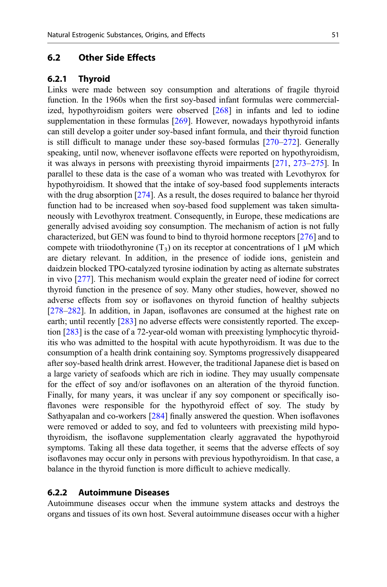# 6.2 Other Side Effects

### 6.2.1 Thyroid

Links were made between soy consumption and alterations of fragile thyroid function. In the 1960s when the first soy-based infant formulas were commercialized, hypothyroidism goiters were observed [[268\]](#page-67-0) in infants and led to iodine supplementation in these formulas [\[269](#page-67-0)]. However, nowadays hypothyroid infants can still develop a goiter under soy-based infant formula, and their thyroid function is still difficult to manage under these soy-based formulas [[270](#page-67-0)–[272\]](#page-67-0). Generally speaking, until now, whenever isoflavone effects were reported on hypothyroidism, it was always in persons with preexisting thyroid impairments [[271,](#page-67-0) [273](#page-67-0)–[275](#page-67-0)]. In parallel to these data is the case of a woman who was treated with Levothyrox for hypothyroidism. It showed that the intake of soy-based food supplements interacts with the drug absorption [[274\]](#page-67-0). As a result, the doses required to balance her thyroid function had to be increased when soy-based food supplement was taken simultaneously with Levothyrox treatment. Consequently, in Europe, these medications are generally advised avoiding soy consumption. The mechanism of action is not fully characterized, but GEN was found to bind to thyroid hormone receptors [[276\]](#page-67-0) and to compete with triiodothyronine  $(T_3)$  on its receptor at concentrations of 1  $\mu$ M which are dietary relevant. In addition, in the presence of iodide ions, genistein and daidzein blocked TPO-catalyzed tyrosine iodination by acting as alternate substrates in vivo [\[277](#page-68-0)]. This mechanism would explain the greater need of iodine for correct thyroid function in the presence of soy. Many other studies, however, showed no adverse effects from soy or isoflavones on thyroid function of healthy subjects [\[278](#page-68-0)–[282](#page-68-0)]. In addition, in Japan, isoflavones are consumed at the highest rate on earth; until recently [\[283\]](#page-68-0) no adverse effects were consistently reported. The exception [[283\]](#page-68-0) is the case of a 72-year-old woman with preexisting lymphocytic thyroiditis who was admitted to the hospital with acute hypothyroidism. It was due to the consumption of a health drink containing soy. Symptoms progressively disappeared after soy-based health drink arrest. However, the traditional Japanese diet is based on a large variety of seafoods which are rich in iodine. They may usually compensate for the effect of soy and/or isoflavones on an alteration of the thyroid function. Finally, for many years, it was unclear if any soy component or specifically isoflavones were responsible for the hypothyroid effect of soy. The study by Sathyapalan and co-workers [\[284](#page-68-0)] finally answered the question. When isoflavones were removed or added to soy, and fed to volunteers with preexisting mild hypothyroidism, the isoflavone supplementation clearly aggravated the hypothyroid symptoms. Taking all these data together, it seems that the adverse effects of soy isoflavones may occur only in persons with previous hypothyroidism. In that case, a balance in the thyroid function is more difficult to achieve medically.

### 6.2.2 Autoimmune Diseases

Autoimmune diseases occur when the immune system attacks and destroys the organs and tissues of its own host. Several autoimmune diseases occur with a higher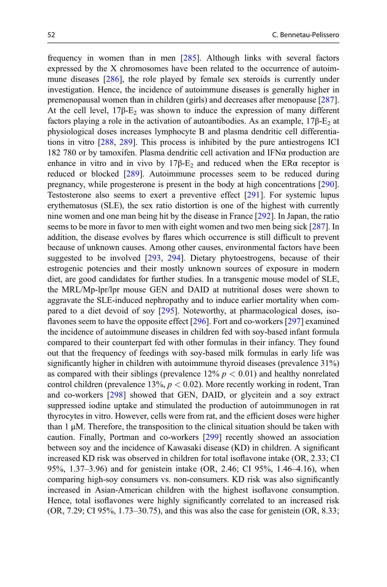frequency in women than in men [\[285](#page-68-0)]. Although links with several factors expressed by the X chromosomes have been related to the occurrence of autoimmune diseases [[286](#page-68-0)], the role played by female sex steroids is currently under investigation. Hence, the incidence of autoimmune diseases is generally higher in premenopausal women than in children (girls) and decreases after menopause [[287\]](#page-68-0). At the cell level,  $17\beta$ - $E_2$  was shown to induce the expression of many different factors playing a role in the activation of autoantibodies. As an example,  $17\beta$ -E<sub>2</sub> at physiological doses increases lymphocyte B and plasma dendritic cell differentiations in vitro [\[288](#page-68-0), [289\]](#page-68-0). This process is inhibited by the pure antiestrogens ICI 182 780 or by tamoxifen. Plasma dendritic cell activation and IFN $\alpha$  production are enhance in vitro and in vivo by 17β-E<sub>2</sub> and reduced when the ER $\alpha$  receptor is reduced or blocked [[289\]](#page-68-0). Autoimmune processes seem to be reduced during pregnancy, while progesterone is present in the body at high concentrations [[290\]](#page-68-0). Testosterone also seems to exert a preventive effect [[291\]](#page-68-0). For systemic lupus erythematosus (SLE), the sex ratio distortion is one of the highest with currently nine women and one man being hit by the disease in France [[292\]](#page-68-0). In Japan, the ratio seems to be more in favor to men with eight women and two men being sick [[287\]](#page-68-0). In addition, the disease evolves by flares which occurrence is still difficult to prevent because of unknown causes. Among other causes, environmental factors have been suggested to be involved [[293,](#page-68-0) [294](#page-68-0)]. Dietary phytoestrogens, because of their estrogenic potencies and their mostly unknown sources of exposure in modern diet, are good candidates for further studies. In a transgenic mouse model of SLE, the MRL/Mp-lpr/lpr mouse GEN and DAID at nutritional doses were shown to aggravate the SLE-induced nephropathy and to induce earlier mortality when compared to a diet devoid of soy [\[295](#page-68-0)]. Noteworthy, at pharmacological doses, isoflavones seem to have the opposite effect [\[296](#page-68-0)]. Fort and co-workers [[297\]](#page-69-0) examined the incidence of autoimmune diseases in children fed with soy-based infant formula compared to their counterpart fed with other formulas in their infancy. They found out that the frequency of feedings with soy-based milk formulas in early life was significantly higher in children with autoimmune thyroid diseases (prevalence 31%) as compared with their siblings (prevalence  $12\% p < 0.01$ ) and healthy nonrelated control children (prevalence 13%,  $p < 0.02$ ). More recently working in rodent, Tran and co-workers [[298\]](#page-69-0) showed that GEN, DAID, or glycitein and a soy extract suppressed iodine uptake and stimulated the production of autoimmunogen in rat thyrocytes in vitro. However, cells were from rat, and the efficient doses were higher than  $1 \mu$ M. Therefore, the transposition to the clinical situation should be taken with caution. Finally, Portman and co-workers [[299\]](#page-69-0) recently showed an association between soy and the incidence of Kawasaki disease (KD) in children. A significant increased KD risk was observed in children for total isoflavone intake (OR, 2.33; CI 95%, 1.37–3.96) and for genistein intake (OR, 2.46; CI 95%, 1.46–4.16), when comparing high-soy consumers vs. non-consumers. KD risk was also significantly increased in Asian-American children with the highest isoflavone consumption. Hence, total isoflavones were highly significantly correlated to an increased risk (OR, 7.29; CI 95%, 1.73–30.75), and this was also the case for genistein (OR, 8.33;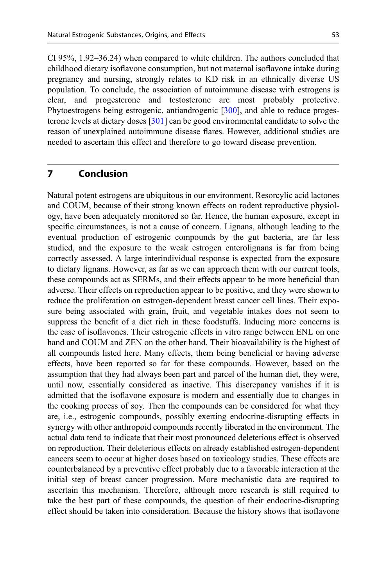CI 95%, 1.92–36.24) when compared to white children. The authors concluded that childhood dietary isoflavone consumption, but not maternal isoflavone intake during pregnancy and nursing, strongly relates to KD risk in an ethnically diverse US population. To conclude, the association of autoimmune disease with estrogens is clear, and progesterone and testosterone are most probably protective. Phytoestrogens being estrogenic, antiandrogenic [\[300](#page-69-0)], and able to reduce progesterone levels at dietary doses [[301\]](#page-69-0) can be good environmental candidate to solve the reason of unexplained autoimmune disease flares. However, additional studies are needed to ascertain this effect and therefore to go toward disease prevention.

# 7 Conclusion

Natural potent estrogens are ubiquitous in our environment. Resorcylic acid lactones and COUM, because of their strong known effects on rodent reproductive physiology, have been adequately monitored so far. Hence, the human exposure, except in specific circumstances, is not a cause of concern. Lignans, although leading to the eventual production of estrogenic compounds by the gut bacteria, are far less studied, and the exposure to the weak estrogen enterolignans is far from being correctly assessed. A large interindividual response is expected from the exposure to dietary lignans. However, as far as we can approach them with our current tools, these compounds act as SERMs, and their effects appear to be more beneficial than adverse. Their effects on reproduction appear to be positive, and they were shown to reduce the proliferation on estrogen-dependent breast cancer cell lines. Their exposure being associated with grain, fruit, and vegetable intakes does not seem to suppress the benefit of a diet rich in these foodstuffs. Inducing more concerns is the case of isoflavones. Their estrogenic effects in vitro range between ENL on one hand and COUM and ZEN on the other hand. Their bioavailability is the highest of all compounds listed here. Many effects, them being beneficial or having adverse effects, have been reported so far for these compounds. However, based on the assumption that they had always been part and parcel of the human diet, they were, until now, essentially considered as inactive. This discrepancy vanishes if it is admitted that the isoflavone exposure is modern and essentially due to changes in the cooking process of soy. Then the compounds can be considered for what they are, i.e., estrogenic compounds, possibly exerting endocrine-disrupting effects in synergy with other anthropoid compounds recently liberated in the environment. The actual data tend to indicate that their most pronounced deleterious effect is observed on reproduction. Their deleterious effects on already established estrogen-dependent cancers seem to occur at higher doses based on toxicology studies. These effects are counterbalanced by a preventive effect probably due to a favorable interaction at the initial step of breast cancer progression. More mechanistic data are required to ascertain this mechanism. Therefore, although more research is still required to take the best part of these compounds, the question of their endocrine-disrupting effect should be taken into consideration. Because the history shows that isoflavone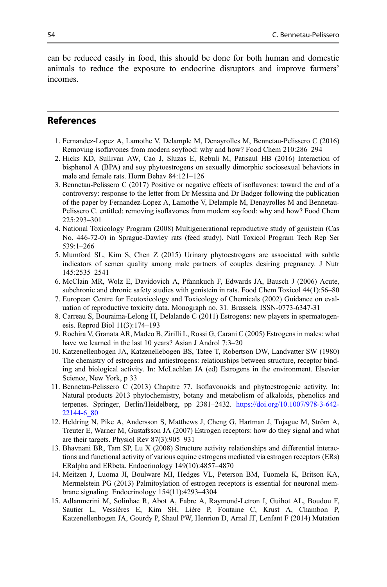<span id="page-53-0"></span>can be reduced easily in food, this should be done for both human and domestic animals to reduce the exposure to endocrine disruptors and improve farmers' incomes.

# References

- 1. Fernandez-Lopez A, Lamothe V, Delample M, Denayrolles M, Bennetau-Pelissero C (2016) Removing isoflavones from modern soyfood: why and how? Food Chem 210:286–294
- 2. Hicks KD, Sullivan AW, Cao J, Sluzas E, Rebuli M, Patisaul HB (2016) Interaction of bisphenol A (BPA) and soy phytoestrogens on sexually dimorphic sociosexual behaviors in male and female rats. Horm Behav 84:121–126
- 3. Bennetau-Pelissero C (2017) Positive or negative effects of isoflavones: toward the end of a controversy: response to the letter from Dr Messina and Dr Badger following the publication of the paper by Fernandez-Lopez A, Lamothe V, Delample M, Denayrolles M and Bennetau-Pelissero C. entitled: removing isoflavones from modern soyfood: why and how? Food Chem 225:293–301
- 4. National Toxicology Program (2008) Multigenerational reproductive study of genistein (Cas No. 446-72-0) in Sprague-Dawley rats (feed study). Natl Toxicol Program Tech Rep Ser 539:1–266
- 5. Mumford SL, Kim S, Chen Z (2015) Urinary phytoestrogens are associated with subtle indicators of semen quality among male partners of couples desiring pregnancy. J Nutr 145:2535–2541
- 6. McClain MR, Wolz E, Davidovich A, Pfannkuch F, Edwards JA, Bausch J (2006) Acute, subchronic and chronic safety studies with genistein in rats. Food Chem Toxicol 44(1):56–80
- 7. European Centre for Ecotoxicology and Toxicology of Chemicals (2002) Guidance on evaluation of reproductive toxicity data. Monograph no. 31. Brussels. ISSN-0773-6347-31
- 8. Carreau S, Bouraima-Lelong H, Delalande C (2011) Estrogens: new players in spermatogenesis. Reprod Biol 11(3):174–193
- 9. Rochira V, Granata AR, Madeo B, Zirilli L, Rossi G, Carani C (2005) Estrogens in males: what have we learned in the last 10 years? Asian J Androl 7:3–20
- 10. Katzenellenbogen JA, Katzenellebogen BS, Tatee T, Robertson DW, Landvatter SW (1980) The chemistry of estrogens and antiestrogens: relationships between structure, receptor binding and biological activity. In: McLachlan JA (ed) Estrogens in the environment. Elsevier Science, New York, p 33
- 11. Bennetau-Pelissero C (2013) Chapitre 77. Isoflavonoids and phytoestrogenic activity. In: Natural products 2013 phytochemistry, botany and metabolism of alkaloids, phenolics and terpenes. Springer, Berlin/Heidelberg, pp 2381–2432. [https://doi.org/10.1007/978-3-642-](https://doi.org/10.1007/978-3-642-22144-6_80) [22144-6\\_80](https://doi.org/10.1007/978-3-642-22144-6_80)
- 12. Heldring N, Pike A, Andersson S, Matthews J, Cheng G, Hartman J, Tujague M, Ström A, Treuter E, Warner M, Gustafsson JA (2007) Estrogen receptors: how do they signal and what are their targets. Physiol Rev 87(3):905–931
- 13. Bhavnani BR, Tam SP, Lu X (2008) Structure activity relationships and differential interactions and functional activity of various equine estrogens mediated via estrogen receptors (ERs) ERalpha and ERbeta. Endocrinology 149(10):4857–4870
- 14. Meitzen J, Luoma JI, Boulware MI, Hedges VL, Peterson BM, Tuomela K, Britson KA, Mermelstein PG (2013) Palmitoylation of estrogen receptors is essential for neuronal membrane signaling. Endocrinology 154(11):4293–4304
- 15. Adlanmerini M, Solinhac R, Abot A, Fabre A, Raymond-Letron I, Guihot AL, Boudou F, Sautier L, Vessières E, Kim SH, Lière P, Fontaine C, Krust A, Chambon P, Katzenellenbogen JA, Gourdy P, Shaul PW, Henrion D, Arnal JF, Lenfant F (2014) Mutation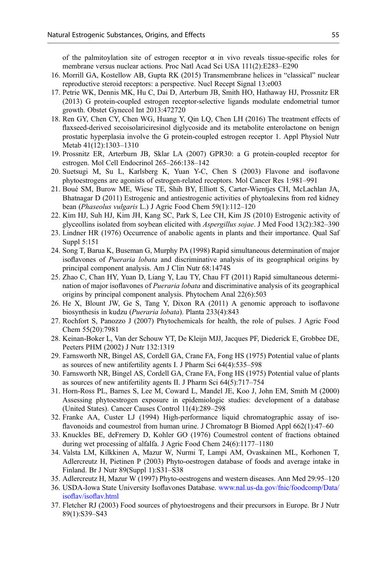<span id="page-54-0"></span>of the palmitoylation site of estrogen receptor  $\alpha$  in vivo reveals tissue-specific roles for membrane versus nuclear actions. Proc Natl Acad Sci USA 111(2):E283–E290

- 16. Morrill GA, Kostellow AB, Gupta RK (2015) Transmembrane helices in "classical" nuclear reproductive steroid receptors: a perspective. Nucl Recept Signal 13:e003
- 17. Petrie WK, Dennis MK, Hu C, Dai D, Arterburn JB, Smith HO, Hathaway HJ, Prossnitz ER (2013) G protein-coupled estrogen receptor-selective ligands modulate endometrial tumor growth. Obstet Gynecol Int 2013:472720
- 18. Ren GY, Chen CY, Chen WG, Huang Y, Qin LQ, Chen LH (2016) The treatment effects of flaxseed-derived secoisolariciresinol diglycoside and its metabolite enterolactone on benign prostatic hyperplasia involve the G protein-coupled estrogen receptor 1. Appl Physiol Nutr Metab 41(12):1303–1310
- 19. Prossnitz ER, Arterburn JB, Sklar LA (2007) GPR30: a G protein-coupled receptor for estrogen. Mol Cell Endocrinol 265–266:138–142
- 20. Suetsugi M, Su L, Karlsberg K, Yuan Y-C, Chen S (2003) Flavone and isoflavone phytoestrogens are agonists of estrogen-related receptors. Mol Cancer Res 1:981–991
- 21. Boué SM, Burow ME, Wiese TE, Shih BY, Elliott S, Carter-Wientjes CH, McLachlan JA, Bhatnagar D (2011) Estrogenic and antiestrogenic activities of phytoalexins from red kidney bean (Phaseolus vulgaris L.) J Agric Food Chem 59(1):112–120
- 22. Kim HJ, Suh HJ, Kim JH, Kang SC, Park S, Lee CH, Kim JS (2010) Estrogenic activity of glyceollins isolated from soybean elicited with Aspergillus sojae. J Med Food 13(2):382–390
- 23. Lindner HR (1976) Occurrence of anabolic agents in plants and their importance. Qual Saf Suppl 5:151
- 24. Song T, Barua K, Buseman G, Murphy PA (1998) Rapid simultaneous determination of major isoflavones of *Pueraria lobata* and discriminative analysis of its geographical origins by principal component analysis. Am J Clin Nutr 68:1474S
- 25. Zhao C, Chan HY, Yuan D, Liang Y, Lau TY, Chau FT (2011) Rapid simultaneous determination of major isoflavones of Pueraria lobata and discriminative analysis of its geographical origins by principal component analysis. Phytochem Anal 22(6):503
- 26. He X, Blount JW, Ge S, Tang Y, Dixon RA (2011) A genomic approach to isoflavone biosynthesis in kudzu (Pueraria lobata). Planta 233(4):843
- 27. Rochfort S, Panozzo J (2007) Phytochemicals for health, the role of pulses. J Agric Food Chem 55(20):7981
- 28. Keinan-Boker L, Van der Schouw YT, De Kleijn MJJ, Jacques PF, Diederick E, Grobbee DE, Peeters PHM (2002) J Nutr 132:1319
- 29. Farnsworth NR, Bingel AS, Cordell GA, Crane FA, Fong HS (1975) Potential value of plants as sources of new antifertility agents I. J Pharm Sci 64(4):535–598
- 30. Farnsworth NR, Bingel AS, Cordell GA, Crane FA, Fong HS (1975) Potential value of plants as sources of new antifertility agents II. J Pharm Sci 64(5):717–754
- 31. Horn-Ross PL, Barnes S, Lee M, Coward L, Mandel JE, Koo J, John EM, Smith M (2000) Assessing phytoestrogen exposure in epidemiologic studies: development of a database (United States). Cancer Causes Control 11(4):289–298
- 32. Franke AA, Custer LJ (1994) High-performance liquid chromatographic assay of isoflavonoids and coumestrol from human urine. J Chromatogr B Biomed Appl 662(1):47–60
- 33. Knuckles BE, deFremery D, Kohler GO (1976) Coumestrol content of fractions obtained during wet processing of alfalfa. J Agric Food Chem 24(6):1177–1180
- 34. Valsta LM, Kilkkinen A, Mazur W, Nurmi T, Lampi AM, Ovaskainen ML, Korhonen T, Adlercreutz H, Pietinen P (2003) Phyto-oestrogen database of foods and average intake in Finland. Br J Nutr 89(Suppl 1):S31–S38
- 35. Adlercreutz H, Mazur W (1997) Phyto-oestrogens and western diseases. Ann Med 29:95–120
- 36. USDA-Iowa State University Isoflavones Database. [www.nal.us-da.gov/fnic/foodcomp/Data/](http://www.nal.us-da.gov/fnic/foodcomp/Data/isoflav/isoflav.html) isoflav/isofl[av.html](http://www.nal.us-da.gov/fnic/foodcomp/Data/isoflav/isoflav.html)
- 37. Fletcher RJ (2003) Food sources of phytoestrogens and their precursors in Europe. Br J Nutr 89(1):S39–S43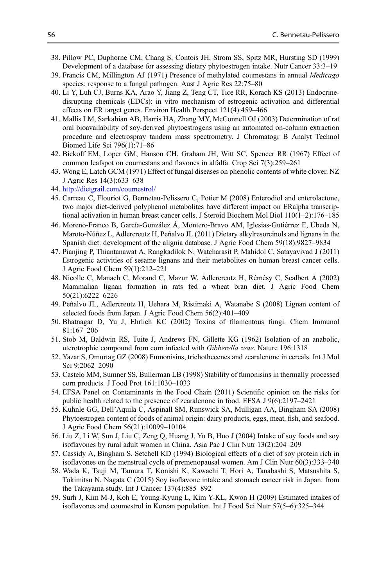- <span id="page-55-0"></span>38. Pillow PC, Duphorne CM, Chang S, Contois JH, Strom SS, Spitz MR, Hursting SD (1999) Development of a database for assessing dietary phytoestrogen intake. Nutr Cancer 33:3–19
- 39. Francis CM, Millington AJ (1971) Presence of methylated coumestans in annual Medicago species; response to a fungal pathogen. Aust J Agric Res 22:75–80
- 40. Li Y, Luh CJ, Burns KA, Arao Y, Jiang Z, Teng CT, Tice RR, Korach KS (2013) Endocrinedisrupting chemicals (EDCs): in vitro mechanism of estrogenic activation and differential effects on ER target genes. Environ Health Perspect 121(4):459–466
- 41. Mallis LM, Sarkahian AB, Harris HA, Zhang MY, McConnell OJ (2003) Determination of rat oral bioavailability of soy-derived phytoestrogens using an automated on-column extraction procedure and electrospray tandem mass spectrometry. J Chromatogr B Analyt Technol Biomed Life Sci 796(1):71–86
- 42. Bickoff EM, Loper GM, Hanson CH, Graham JH, Witt SC, Spencer RR (1967) Effect of common leafspot on coumestans and flavones in alfalfa. Crop Sci 7(3):259–261
- 43. Wong E, Latch GCM (1971) Effect of fungal diseases on phenolic contents of white clover. NZ J Agric Res 14(3):633–638
- 44. <http://dietgrail.com/coumestrol/>
- 45. Carreau C, Flouriot G, Bennetau-Pelissero C, Potier M (2008) Enterodiol and enterolactone, two major diet-derived polyphenol metabolites have different impact on ERalpha transcriptional activation in human breast cancer cells. J Steroid Biochem Mol Biol 110(1–2):176–185
- 46. Moreno-Franco B, García-González Á, Montero-Bravo AM, Iglesias-Gutiérrez E, Úbeda N, Maroto-Núñez L, Adlercreutz H, Peñalvo JL (2011) Dietary alkylresorcinols and lignans in the Spanish diet: development of the alignia database. J Agric Food Chem 59(18):9827–9834
- 47. Pianjing P, Thiantanawat A, Rangkadilok N, Watcharasit P, Mahidol C, Satayavivad J (2011) Estrogenic activities of sesame lignans and their metabolites on human breast cancer cells. J Agric Food Chem 59(1):212–221
- 48. Nicolle C, Manach C, Morand C, Mazur W, Adlercreutz H, Rémésy C, Scalbert A (2002) Mammalian lignan formation in rats fed a wheat bran diet. J Agric Food Chem 50(21):6222–6226
- 49. Peñalvo JL, Adlercreutz H, Uehara M, Ristimaki A, Watanabe S (2008) Lignan content of selected foods from Japan. J Agric Food Chem 56(2):401–409
- 50. Bhatnagar D, Yu J, Ehrlich KC (2002) Toxins of filamentous fungi. Chem Immunol 81:167–206
- 51. Stob M, Baldwin RS, Tuite J, Andrews FN, Gillette KG (1962) Isolation of an anabolic, uterotrophic compound from corn infected with Gibberella zeae. Nature 196:1318
- 52. Yazar S, Omurtag GZ (2008) Fumonisins, trichothecenes and zearalenone in cereals. Int J Mol Sci 9:2062–2090
- 53. Castelo MM, Sumner SS, Bullerman LB (1998) Stability of fumonisins in thermally processed corn products. J Food Prot 161:1030–1033
- 54. EFSA Panel on Contaminants in the Food Chain (2011) Scientific opinion on the risks for public health related to the presence of zearalenone in food. EFSA J 9(6):2197–2421
- 55. Kuhnle GG, Dell'Aquila C, Aspinall SM, Runswick SA, Mulligan AA, Bingham SA (2008) Phytoestrogen content of foods of animal origin: dairy products, eggs, meat, fish, and seafood. J Agric Food Chem 56(21):10099–10104
- 56. Liu Z, Li W, Sun J, Liu C, Zeng Q, Huang J, Yu B, Huo J (2004) Intake of soy foods and soy isoflavones by rural adult women in China. Asia Pac J Clin Nutr 13(2):204–209
- 57. Cassidy A, Bingham S, Setchell KD (1994) Biological effects of a diet of soy protein rich in isoflavones on the menstrual cycle of premenopausal women. Am J Clin Nutr 60(3):333–340
- 58. Wada K, Tsuji M, Tamura T, Konishi K, Kawachi T, Hori A, Tanabashi S, Matsushita S, Tokimitsu N, Nagata C (2015) Soy isoflavone intake and stomach cancer risk in Japan: from the Takayama study. Int J Cancer 137(4):885–892
- 59. Surh J, Kim M-J, Koh E, Young-Kyung L, Kim Y-KL, Kwon H (2009) Estimated intakes of isoflavones and coumestrol in Korean population. Int J Food Sci Nutr 57(5–6):325–344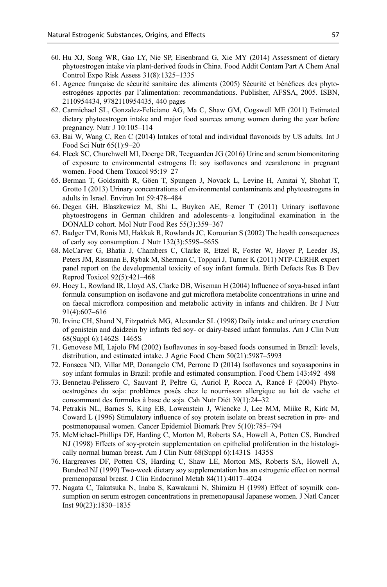- <span id="page-56-0"></span>60. Hu XJ, Song WR, Gao LY, Nie SP, Eisenbrand G, Xie MY (2014) Assessment of dietary phytoestrogen intake via plant-derived foods in China. Food Addit Contam Part A Chem Anal Control Expo Risk Assess 31(8):1325–1335
- 61. Agence française de sécurité sanitaire des aliments (2005) Sécurité et bénéfices des phytoestrogènes apportés par l'alimentation: recommandations. Publisher, AFSSA, 2005. ISBN, 2110954434, 9782110954435, 440 pages
- 62. Carmichael SL, Gonzalez-Feliciano AG, Ma C, Shaw GM, Cogswell ME (2011) Estimated dietary phytoestrogen intake and major food sources among women during the year before pregnancy. Nutr J 10:105–114
- 63. Bai W, Wang C, Ren C (2014) Intakes of total and individual flavonoids by US adults. Int J Food Sci Nutr 65(1):9–20
- 64. Fleck SC, Churchwell MI, Doerge DR, Teeguarden JG (2016) Urine and serum biomonitoring of exposure to environmental estrogens II: soy isoflavones and zearalenone in pregnant women. Food Chem Toxicol 95:19–27
- 65. Berman T, Goldsmith R, Göen T, Spungen J, Novack L, Levine H, Amitai Y, Shohat T, Grotto I (2013) Urinary concentrations of environmental contaminants and phytoestrogens in adults in Israel. Environ Int 59:478–484
- 66. Degen GH, Blaszkewicz M, Shi L, Buyken AE, Remer T (2011) Urinary isoflavone phytoestrogens in German children and adolescents–a longitudinal examination in the DONALD cohort. Mol Nutr Food Res 55(3):359–367
- 67. Badger TM, Ronis MJ, Hakkak R, Rowlands JC, Korourian S (2002) The health consequences of early soy consumption. J Nutr 132(3):559S–565S
- 68. McCarver G, Bhatia J, Chambers C, Clarke R, Etzel R, Foster W, Hoyer P, Leeder JS, Peters JM, Rissman E, Rybak M, Sherman C, Toppari J, Turner K (2011) NTP-CERHR expert panel report on the developmental toxicity of soy infant formula. Birth Defects Res B Dev Reprod Toxicol 92(5):421–468
- 69. Hoey L, Rowland IR, Lloyd AS, Clarke DB, Wiseman H (2004) Influence of soya-based infant formula consumption on isoflavone and gut microflora metabolite concentrations in urine and on faecal microflora composition and metabolic activity in infants and children. Br J Nutr 91(4):607–616
- 70. Irvine CH, Shand N, Fitzpatrick MG, Alexander SL (1998) Daily intake and urinary excretion of genistein and daidzein by infants fed soy- or dairy-based infant formulas. Am J Clin Nutr 68(Suppl 6):1462S–1465S
- 71. Genovese MI, Lajolo FM (2002) Isoflavones in soy-based foods consumed in Brazil: levels, distribution, and estimated intake. J Agric Food Chem 50(21):5987–5993
- 72. Fonseca ND, Villar MP, Donangelo CM, Perrone D (2014) Isoflavones and soyasaponins in soy infant formulas in Brazil: profile and estimated consumption. Food Chem 143:492–498
- 73. Bennetau-Pelissero C, Sauvant P, Peltre G, Auriol P, Rocca A, Rancé F (2004) Phytooestrogènes du soja: problèmes posés chez le nourrisson allergique au lait de vache et consommant des formules à base de soja. Cah Nutr Diét 39(1):24–32
- 74. Petrakis NL, Barnes S, King EB, Lowenstein J, Wiencke J, Lee MM, Miike R, Kirk M, Coward L (1996) Stimulatory influence of soy protein isolate on breast secretion in pre- and postmenopausal women. Cancer Epidemiol Biomark Prev 5(10):785–794
- 75. McMichael-Phillips DF, Harding C, Morton M, Roberts SA, Howell A, Potten CS, Bundred NJ (1998) Effects of soy-protein supplementation on epithelial proliferation in the histologically normal human breast. Am J Clin Nutr 68(Suppl 6):1431S–1435S
- 76. Hargreaves DF, Potten CS, Harding C, Shaw LE, Morton MS, Roberts SA, Howell A, Bundred NJ (1999) Two-week dietary soy supplementation has an estrogenic effect on normal premenopausal breast. J Clin Endocrinol Metab 84(11):4017–4024
- 77. Nagata C, Takatsuka N, Inaba S, Kawakami N, Shimizu H (1998) Effect of soymilk consumption on serum estrogen concentrations in premenopausal Japanese women. J Natl Cancer Inst 90(23):1830–1835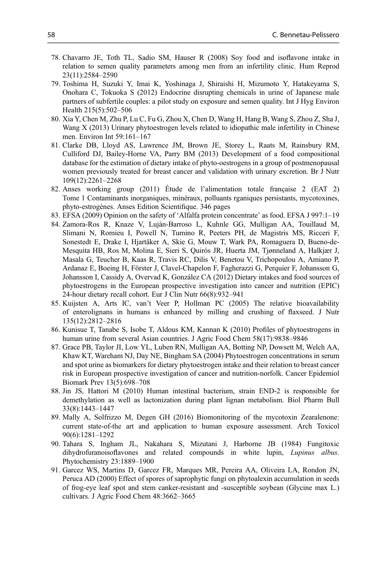- <span id="page-57-0"></span>78. Chavarro JE, Toth TL, Sadio SM, Hauser R (2008) Soy food and isoflavone intake in relation to semen quality parameters among men from an infertility clinic. Hum Reprod 23(11):2584–2590
- 79. Toshima H, Suzuki Y, Imai K, Yoshinaga J, Shiraishi H, Mizumoto Y, Hatakeyama S, Onohara C, Tokuoka S (2012) Endocrine disrupting chemicals in urine of Japanese male partners of subfertile couples: a pilot study on exposure and semen quality. Int J Hyg Environ Health 215(5):502–506
- 80. Xia Y, Chen M, Zhu P, Lu C, Fu G, Zhou X, Chen D, Wang H, Hang B, Wang S, Zhou Z, Sha J, Wang X (2013) Urinary phytoestrogen levels related to idiopathic male infertility in Chinese men. Environ Int 59:161–167
- 81. Clarke DB, Lloyd AS, Lawrence JM, Brown JE, Storey L, Raats M, Rainsbury RM, Culliford DJ, Bailey-Horne VA, Parry BM (2013) Development of a food compositional database for the estimation of dietary intake of phyto-oestrogens in a group of postmenopausal women previously treated for breast cancer and validation with urinary excretion. Br J Nutr 109(12):2261–2268
- 82. Anses working group (2011) Étude de l'alimentation totale française 2 (EAT 2) Tome 1 Contaminants inorganiques, minéraux, polluants rganiques persistants, mycotoxines, phyto-estrogènes. Anses Edition Scientifique. 346 pages
- 83. EFSA (2009) Opinion on the safety of 'Alfalfa protein concentrate' as food. EFSA J 997:1–19
- 84. Zamora-Ros R, Knaze V, Luján-Barroso L, Kuhnle GG, Mulligan AA, Touillaud M, Slimani N, Romieu I, Powell N, Tumino R, Peeters PH, de Magistris MS, Ricceri F, Sonestedt E, Drake I, Hjartåker A, Skie G, Mouw T, Wark PA, Romaguera D, Bueno-de-Mesquita HB, Ros M, Molina E, Sieri S, Quirós JR, Huerta JM, Tjønneland A, Halkjær J, Masala G, Teucher B, Kaas R, Travis RC, Dilis V, Benetou V, Trichopoulou A, Amiano P, Ardanaz E, Boeing H, Förster J, Clavel-Chapelon F, Fagherazzi G, Perquier F, Johansson G, Johansson I, Cassidy A, Overvad K, González CA (2012) Dietary intakes and food sources of phytoestrogens in the European prospective investigation into cancer and nutrition (EPIC) 24-hour dietary recall cohort. Eur J Clin Nutr 66(8):932–941
- 85. Kuijsten A, Arts IC, van't Veer P, Hollman PC (2005) The relative bioavailability of enterolignans in humans is enhanced by milling and crushing of flaxseed. J Nutr 135(12):2812–2816
- 86. Kunisue T, Tanabe S, Isobe T, Aldous KM, Kannan K (2010) Profiles of phytoestrogens in human urine from several Asian countries. J Agric Food Chem 58(17):9838–9846
- 87. Grace PB, Taylor JI, Low YL, Luben RN, Mulligan AA, Botting NP, Dowsett M, Welch AA, Khaw KT, Wareham NJ, Day NE, Bingham SA (2004) Phytoestrogen concentrations in serum and spot urine as biomarkers for dietary phytoestrogen intake and their relation to breast cancer risk in European prospective investigation of cancer and nutrition-norfolk. Cancer Epidemiol Biomark Prev 13(5):698–708
- 88. Jin JS, Hattori M (2010) Human intestinal bacterium, strain END-2 is responsible for demethylation as well as lactonization during plant lignan metabolism. Biol Pharm Bull 33(8):1443–1447
- 89. Mally A, Solfrizzo M, Degen GH (2016) Biomonitoring of the mycotoxin Zearalenone: current state-of-the art and application to human exposure assessment. Arch Toxicol 90(6):1281–1292
- 90. Tahara S, Ingham JL, Nakahara S, Mizutani J, Harborne JB (1984) Fungitoxic dihydrofuranoisoflavones and related compounds in white lupin, Lupinus albus. Phytochemistry 23:1889–1900
- 91. Garcez WS, Martins D, Garcez FR, Marques MR, Pereira AA, Oliveira LA, Rondon JN, Peruca AD (2000) Effect of spores of saprophytic fungi on phytoalexin accumulation in seeds of frog-eye leaf spot and stem canker-resistant and -susceptible soybean (Glycine max L.) cultivars. J Agric Food Chem 48:3662–3665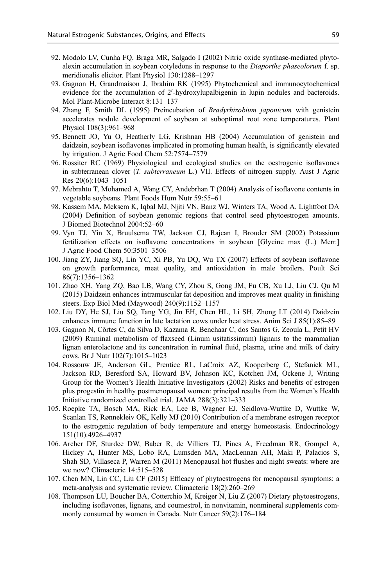- <span id="page-58-0"></span>92. Modolo LV, Cunha FQ, Braga MR, Salgado I (2002) Nitric oxide synthase-mediated phytoalexin accumulation in soybean cotyledons in response to the *Diaporthe phaseolorum* f. sp. meridionalis elicitor. Plant Physiol 130:1288–1297
- 93. Gagnon H, Grandmaison J, Ibrahim RK (1995) Phytochemical and immunocytochemical evidence for the accumulation of  $2'$ -hydroxylupalbigenin in lupin nodules and bacteroids. Mol Plant-Microbe Interact 8:131–137
- 94. Zhang F, Smith DL (1995) Preincubation of Bradyrhizobium japonicum with genistein accelerates nodule development of soybean at suboptimal root zone temperatures. Plant Physiol 108(3):961–968
- 95. Bennett JO, Yu O, Heatherly LG, Krishnan HB (2004) Accumulation of genistein and daidzein, soybean isoflavones implicated in promoting human health, is significantly elevated by irrigation. J Agric Food Chem 52:7574–7579
- 96. Rossiter RC (1969) Physiological and ecological studies on the oestrogenic isoflavones in subterranean clover (T. *subterraneum* L.) VII. Effects of nitrogen supply. Aust J Agric Res 20(6):1043–1051
- 97. Mebrahtu T, Mohamed A, Wang CY, Andebrhan T (2004) Analysis of isoflavone contents in vegetable soybeans. Plant Foods Hum Nutr 59:55–61
- 98. Kassem MA, Meksem K, Iqbal MJ, Njiti VN, Banz WJ, Winters TA, Wood A, Lightfoot DA (2004) Definition of soybean genomic regions that control seed phytoestrogen amounts. J Biomed Biotechnol 2004:52–60
- 99. Vyn TJ, Yin X, Bruulsema TW, Jackson CJ, Rajcan I, Brouder SM (2002) Potassium fertilization effects on isoflavone concentrations in soybean [Glycine max (L.) Merr.] J Agric Food Chem 50:3501–3506
- 100. Jiang ZY, Jiang SQ, Lin YC, Xi PB, Yu DQ, Wu TX (2007) Effects of soybean isoflavone on growth performance, meat quality, and antioxidation in male broilers. Poult Sci 86(7):1356–1362
- 101. Zhao XH, Yang ZQ, Bao LB, Wang CY, Zhou S, Gong JM, Fu CB, Xu LJ, Liu CJ, Qu M (2015) Daidzein enhances intramuscular fat deposition and improves meat quality in finishing steers. Exp Biol Med (Maywood) 240(9):1152–1157
- 102. Liu DY, He SJ, Liu SQ, Tang YG, Jin EH, Chen HL, Li SH, Zhong LT (2014) Daidzein enhances immune function in late lactation cows under heat stress. Anim Sci J 85(1):85–89
- 103. Gagnon N, Côrtes C, da Silva D, Kazama R, Benchaar C, dos Santos G, Zeoula L, Petit HV (2009) Ruminal metabolism of flaxseed (Linum usitatissimum) lignans to the mammalian lignan enterolactone and its concentration in ruminal fluid, plasma, urine and milk of dairy cows. Br J Nutr 102(7):1015–1023
- 104. Rossouw JE, Anderson GL, Prentice RL, LaCroix AZ, Kooperberg C, Stefanick ML, Jackson RD, Beresford SA, Howard BV, Johnson KC, Kotchen JM, Ockene J, Writing Group for the Women's Health Initiative Investigators (2002) Risks and benefits of estrogen plus progestin in healthy postmenopausal women: principal results from the Women's Health Initiative randomized controlled trial. JAMA 288(3):321–333
- 105. Roepke TA, Bosch MA, Rick EA, Lee B, Wagner EJ, Seidlova-Wuttke D, Wuttke W, Scanlan TS, Rønnekleiv OK, Kelly MJ (2010) Contribution of a membrane estrogen receptor to the estrogenic regulation of body temperature and energy homeostasis. Endocrinology 151(10):4926–4937
- 106. Archer DF, Sturdee DW, Baber R, de Villiers TJ, Pines A, Freedman RR, Gompel A, Hickey A, Hunter MS, Lobo RA, Lumsden MA, MacLennan AH, Maki P, Palacios S, Shah SD, Villaseca P, Warren M (2011) Menopausal hot flushes and night sweats: where are we now? Climacteric 14:515–528
- 107. Chen MN, Lin CC, Liu CF (2015) Efficacy of phytoestrogens for menopausal symptoms: a meta-analysis and systematic review. Climacteric 18(2):260–269
- 108. Thompson LU, Boucher BA, Cotterchio M, Kreiger N, Liu Z (2007) Dietary phytoestrogens, including isoflavones, lignans, and coumestrol, in nonvitamin, nonmineral supplements commonly consumed by women in Canada. Nutr Cancer 59(2):176–184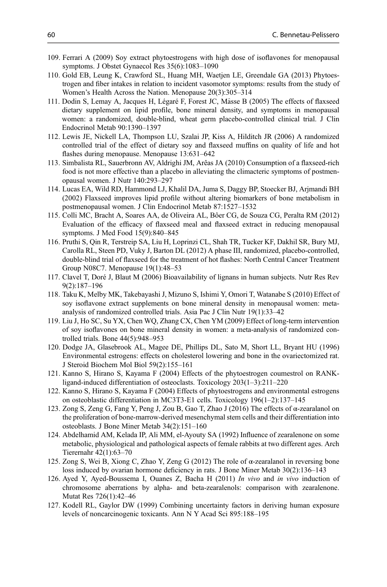- <span id="page-59-0"></span>109. Ferrari A (2009) Soy extract phytoestrogens with high dose of isoflavones for menopausal symptoms. J Obstet Gynaecol Res 35(6):1083–1090
- 110. Gold EB, Leung K, Crawford SL, Huang MH, Waetjen LE, Greendale GA (2013) Phytoestrogen and fiber intakes in relation to incident vasomotor symptoms: results from the study of Women's Health Across the Nation. Menopause 20(3):305–314
- 111. Dodin S, Lemay A, Jacques H, Légaré F, Forest JC, M^asse B (2005) The effects of flaxseed dietary supplement on lipid profile, bone mineral density, and symptoms in menopausal women: a randomized, double-blind, wheat germ placebo-controlled clinical trial. J Clin Endocrinol Metab 90:1390–1397
- 112. Lewis JE, Nickell LA, Thompson LU, Szalai JP, Kiss A, Hilditch JR (2006) A randomized controlled trial of the effect of dietary soy and flaxseed muffins on quality of life and hot flashes during menopause. Menopause 13:631–642
- 113. Simbalista RL, Sauerbronn AV, Aldrighi JM, Arêas JA (2010) Consumption of a flaxseed-rich food is not more effective than a placebo in alleviating the climacteric symptoms of postmenopausal women. J Nutr 140:293–297
- 114. Lucas EA, Wild RD, Hammond LJ, Khalil DA, Juma S, Daggy BP, Stoecker BJ, Arjmandi BH (2002) Flaxseed improves lipid profile without altering biomarkers of bone metabolism in postmenopausal women. J Clin Endocrinol Metab 87:1527–1532
- 115. Colli MC, Bracht A, Soares AA, de Oliveira AL, Bôer CG, de Souza CG, Peralta RM (2012) Evaluation of the efficacy of flaxseed meal and flaxseed extract in reducing menopausal symptoms. J Med Food 15(9):840–845
- 116. Pruthi S, Qin R, Terstreip SA, Liu H, Loprinzi CL, Shah TR, Tucker KF, Dakhil SR, Bury MJ, Carolla RL, Steen PD, Vuky J, Barton DL (2012) A phase III, randomized, placebo-controlled, double-blind trial of flaxseed for the treatment of hot flashes: North Central Cancer Treatment Group N08C7. Menopause 19(1):48–53
- 117. Clavel T, Doré J, Blaut M (2006) Bioavailability of lignans in human subjects. Nutr Res Rev 9(2):187–196
- 118. Taku K, Melby MK, Takebayashi J, Mizuno S, Ishimi Y, Omori T, Watanabe S (2010) Effect of soy isoflavone extract supplements on bone mineral density in menopausal women: metaanalysis of randomized controlled trials. Asia Pac J Clin Nutr 19(1):33–42
- 119. Liu J, Ho SC, Su YX, Chen WQ, Zhang CX, Chen YM (2009) Effect of long-term intervention of soy isoflavones on bone mineral density in women: a meta-analysis of randomized controlled trials. Bone 44(5):948–953
- 120. Dodge JA, Glasebrook AL, Magee DE, Phillips DL, Sato M, Short LL, Bryant HU (1996) Environmental estrogens: effects on cholesterol lowering and bone in the ovariectomized rat. J Steroid Biochem Mol Biol 59(2):155–161
- 121. Kanno S, Hirano S, Kayama F (2004) Effects of the phytoestrogen coumestrol on RANKligand-induced differentiation of osteoclasts. Toxicology 203(1–3):211–220
- 122. Kanno S, Hirano S, Kayama F (2004) Effects of phytoestrogens and environmental estrogens on osteoblastic differentiation in MC3T3-E1 cells. Toxicology 196(1–2):137–145
- 123. Zong S, Zeng G, Fang Y, Peng J, Zou B, Gao T, Zhao J (2016) The effects of α-zearalanol on the proliferation of bone-marrow-derived mesenchymal stem cells and their differentiation into osteoblasts. J Bone Miner Metab 34(2):151–160
- 124. Abdelhamid AM, Kelada IP, Ali MM, el-Ayouty SA (1992) Influence of zearalenone on some metabolic, physiological and pathological aspects of female rabbits at two different ages. Arch Tierernahr 42(1):63–70
- 125. Zong S, Wei B, Xiong C, Zhao Y, Zeng G (2012) The role of α-zearalanol in reversing bone loss induced by ovarian hormone deficiency in rats. J Bone Miner Metab 30(2):136–143
- 126. Ayed Y, Ayed-Boussema I, Ouanes Z, Bacha H (2011) In vivo and in vivo induction of chromosome aberrations by alpha- and beta-zearalenols: comparison with zearalenone. Mutat Res 726(1):42–46
- 127. Kodell RL, Gaylor DW (1999) Combining uncertainty factors in deriving human exposure levels of noncarcinogenic toxicants. Ann N Y Acad Sci 895:188–195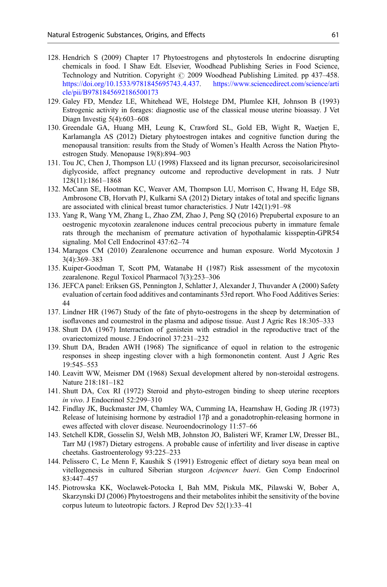- <span id="page-60-0"></span>128. Hendrich S (2009) Chapter 17 Phytoestrogens and phytosterols In endocrine disrupting chemicals in food. I Shaw Edt. Elsevier, Woodhead Publishing Series in Food Science, Technology and Nutrition. Copyright # 2009 Woodhead Publishing Limited. pp 437–458. [https://doi.org/10.1533/9781845695743.4.437.](https://doi.org/10.1533/9781845695743.4.437) [cle/pii/B9781845692186500173](https://www.sciencedirect.com/science/article/pii/B9781845692186500173)
- 129. Galey FD, Mendez LE, Whitehead WE, Holstege DM, Plumlee KH, Johnson B (1993) Estrogenic activity in forages: diagnostic use of the classical mouse uterine bioassay. J Vet Diagn Investig 5(4):603–608
- 130. Greendale GA, Huang MH, Leung K, Crawford SL, Gold EB, Wight R, Waetjen E, Karlamangla AS (2012) Dietary phytoestrogen intakes and cognitive function during the menopausal transition: results from the Study of Women's Health Across the Nation Phytoestrogen Study. Menopause 19(8):894–903
- 131. Tou JC, Chen J, Thompson LU (1998) Flaxseed and its lignan precursor, secoisolariciresinol diglycoside, affect pregnancy outcome and reproductive development in rats. J Nutr 128(11):1861–1868
- 132. McCann SE, Hootman KC, Weaver AM, Thompson LU, Morrison C, Hwang H, Edge SB, Ambrosone CB, Horvath PJ, Kulkarni SA (2012) Dietary intakes of total and specific lignans are associated with clinical breast tumor characteristics. J Nutr 142(1):91–98
- 133. Yang R, Wang YM, Zhang L, Zhao ZM, Zhao J, Peng SQ (2016) Prepubertal exposure to an oestrogenic mycotoxin zearalenone induces central precocious puberty in immature female rats through the mechanism of premature activation of hypothalamic kisspeptin-GPR54 signaling. Mol Cell Endocrinol 437:62–74
- 134. Maragos CM (2010) Zearalenone occurrence and human exposure. World Mycotoxin J 3(4):369–383
- 135. Kuiper-Goodman T, Scott PM, Watanabe H (1987) Risk assessment of the mycotoxin zearalenone. Regul Toxicol Pharmacol 7(3):253–306
- 136. JEFCA panel: Eriksen GS, Pennington J, Schlatter J, Alexander J, Thuvander A (2000) Safety evaluation of certain food additives and contaminants 53rd report. Who Food Additives Series: 44
- 137. Lindner HR (1967) Study of the fate of phyto-oestrogens in the sheep by determination of isoflavones and coumestrol in the plasma and adipose tissue. Aust J Agric Res 18:305–333
- 138. Shutt DA (1967) Interraction of genistein with estradiol in the reproductive tract of the ovariectomized mouse. J Endocrinol 37:231–232
- 139. Shutt DA, Braden AWH (1968) The significance of equol in relation to the estrogenic responses in sheep ingesting clover with a high formononetin content. Aust J Agric Res 19:545–553
- 140. Leavitt WW, Meismer DM (1968) Sexual development altered by non-steroidal œstrogens. Nature 218:181–182
- 141. Shutt DA, Cox RI (1972) Steroid and phyto-estrogen binding to sheep uterine receptors in vivo. J Endocrinol 52:299–310
- 142. Findlay JK, Buckmaster JM, Chamley WA, Cumming IA, Hearnshaw H, Goding JR (1973) Release of luteinising hormone by œstradiol 17β and a gonadotrophin-releasing hormone in ewes affected with clover disease. Neuroendocrinology 11:57–66
- 143. Setchell KDR, Gosselin SJ, Welsh MB, Johnston JO, Balisteri WF, Kramer LW, Dresser BL, Tarr MJ (1987) Dietary estrogens. A probable cause of infertility and liver disease in captive cheetahs. Gastroenterology 93:225–233
- 144. Pelissero C, Le Menn F, Kaushik S (1991) Estrogenic effect of dietary soya bean meal on vitellogenesis in cultured Siberian sturgeon Acipencer baeri. Gen Comp Endocrinol 83:447–457
- 145. Piotrowska KK, Woclawek-Potocka I, Bah MM, Piskula MK, Pilawski W, Bober A, Skarzynski DJ (2006) Phytoestrogens and their metabolites inhibit the sensitivity of the bovine corpus luteum to luteotropic factors. J Reprod Dev 52(1):33–41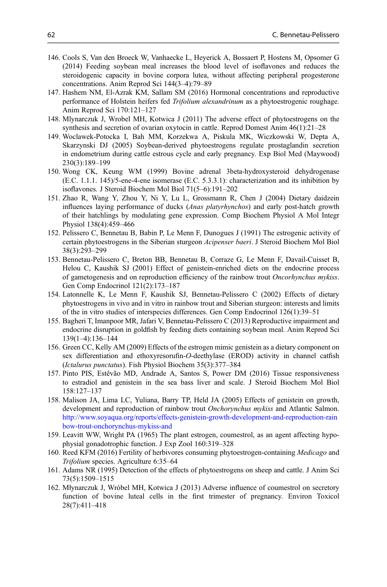- <span id="page-61-0"></span>146. Cools S, Van den Broeck W, Vanhaecke L, Heyerick A, Bossaert P, Hostens M, Opsomer G (2014) Feeding soybean meal increases the blood level of isoflavones and reduces the steroidogenic capacity in bovine corpora lutea, without affecting peripheral progesterone concentrations. Anim Reprod Sci 144(3–4):79–89
- 147. Hashem NM, El-Azrak KM, Sallam SM (2016) Hormonal concentrations and reproductive performance of Holstein heifers fed Trifolium alexandrinum as a phytoestrogenic roughage. Anim Reprod Sci 170:121–127
- 148. Mlynarczuk J, Wrobel MH, Kotwica J (2011) The adverse effect of phytoestrogens on the synthesis and secretion of ovarian oxytocin in cattle. Reprod Domest Anim 46(1):21–28
- 149. Woclawek-Potocka I, Bah MM, Korzekwa A, Piskula MK, Wiczkowski W, Depta A, Skarzynski DJ (2005) Soybean-derived phytoestrogens regulate prostaglandin secretion in endometrium during cattle estrous cycle and early pregnancy. Exp Biol Med (Maywood) 230(3):189–199
- 150. Wong CK, Keung WM (1999) Bovine adrenal 3beta-hydroxysteroid dehydrogenase (E.C. 1.1.1. 145)/5-ene-4-ene isomerase (E.C. 5.3.3.1): characterization and its inhibition by isoflavones. J Steroid Biochem Mol Biol 71(5–6):191–202
- 151. Zhao R, Wang Y, Zhou Y, Ni Y, Lu L, Grossmann R, Chen J (2004) Dietary daidzein influences laying performance of ducks (Anas platyrhynchos) and early post-hatch growth of their hatchlings by modulating gene expression. Comp Biochem Physiol A Mol Integr Physiol 138(4):459–466
- 152. Pelissero C, Bennetau B, Babin P, Le Menn F, Dunogues J (1991) The estrogenic activity of certain phytoestrogens in the Siberian sturgeon Acipenser baeri. J Steroid Biochem Mol Biol 38(3):293–299
- 153. Bennetau-Pelissero C, Breton BB, Bennetau B, Corraze G, Le Menn F, Davail-Cuisset B, Helou C, Kaushik SJ (2001) Effect of genistein-enriched diets on the endocrine process of gametogenesis and on reproduction efficiency of the rainbow trout Oncorhynchus mykiss. Gen Comp Endocrinol 121(2):173–187
- 154. Latonnelle K, Le Menn F, Kaushik SJ, Bennetau-Pelissero C (2002) Effects of dietary phytoestrogens in vivo and in vitro in rainbow trout and Siberian sturgeon: interests and limits of the in vitro studies of interspecies differences. Gen Comp Endocrinol 126(1):39–51
- 155. Bagheri T, Imanpoor MR, Jafari V, Bennetau-Pelissero C (2013) Reproductive impairment and endocrine disruption in goldfish by feeding diets containing soybean meal. Anim Reprod Sci 139(1–4):136–144
- 156. Green CC, Kelly AM (2009) Effects of the estrogen mimic genistein as a dietary component on sex differentiation and ethoxyresorufin-O-deethylase (EROD) activity in channel catfish (Ictalurus punctatus). Fish Physiol Biochem 35(3):377–384
- 157. Pinto PIS, Estêvão MD, Andrade A, Santos S, Power DM (2016) Tissue responsiveness to estradiol and genistein in the sea bass liver and scale. J Steroid Biochem Mol Biol 158:127–137
- 158. Malison JA, Lima LC, Yuliana, Barry TP, Held JA (2005) Effects of genistein on growth, development and reproduction of rainbow trout Onchorynchus mykiss and Atlantic Salmon. [http://www.soyaqua.org/reports/effects-genistein-growth-development-and-reproduction-rain](http://www.soyaqua.org/reports/effects-genistein-growth-development-and-reproduction-rainbow-trout-onchorynchus-mykiss-and) [bow-trout-onchorynchus-mykiss-and](http://www.soyaqua.org/reports/effects-genistein-growth-development-and-reproduction-rainbow-trout-onchorynchus-mykiss-and)
- 159. Leavitt WW, Wright PA (1965) The plant estrogen, coumestrol, as an agent affecting hypophysial gonadotrophic function. J Exp Zool 160:319–328
- 160. Reed KFM (2016) Fertility of herbivores consuming phytoestrogen-containing Medicago and Trifolium species. Agriculture 6:35–64
- 161. Adams NR (1995) Detection of the effects of phytoestrogens on sheep and cattle. J Anim Sci 73(5):1509–1515
- 162. Młynarczuk J, Wróbel MH, Kotwica J (2013) Adverse influence of coumestrol on secretory function of bovine luteal cells in the first trimester of pregnancy. Environ Toxicol 28(7):411–418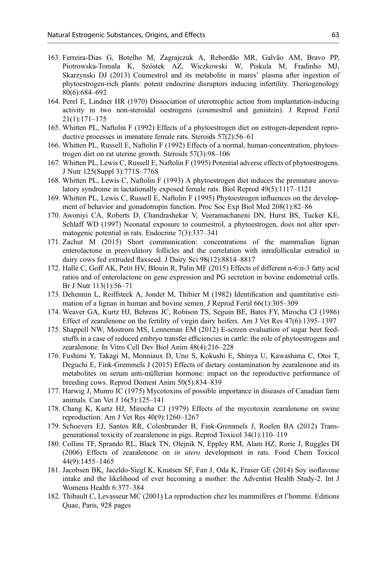- <span id="page-62-0"></span>163. Ferreira-Dias G, Botelho M, Zagrajczuk A, Rebordão MR, Galvão AM, Bravo PP, Piotrowska-Tomala K, Szóstek AZ, Wiczkowski W, Piskula M, Fradinho MJ, Skarzynski DJ (2013) Coumestrol and its metabolite in mares' plasma after ingestion of phytoestrogen-rich plants: potent endocrine disruptors inducing infertility. Theriogenology 80(6):684–692
- 164. Perel E, Lindner HR (1970) Dissociation of uterotrophic action from implantation-inducing activity in two non-steroidal oestrogens (coumestrol and genistein). J Reprod Fertil 21(1):171–175
- 165. Whitten PL, Naftolin F (1992) Effects of a phytoestrogen diet on estrogen-dependent reproductive processes in immature female rats. Steroids 57(2):56–61
- 166. Whitten PL, Russell E, Naftolin F (1992) Effects of a normal, human-concentration, phytoestrogen diet on rat uterine growth. Steroids 57(3):98–106
- 167. Whitten PL, Lewis C, Russell E, Naftolin F (1995) Potential adverse effects of phytoestrogens. J Nutr 125(Suppl 3):771S–776S
- 168. Whitten PL, Lewis C, Naftolin F (1993) A phytoestrogen diet induces the premature anovulatory syndrome in lactationally exposed female rats. Biol Reprod 49(5):1117–1121
- 169. Whitten PL, Lewis C, Russell E, Naftolin F (1995) Phytoestrogen influences on the development of behavior and gonadotropin function. Proc Soc Exp Biol Med 208(1):82–86
- 170. Awoniyi CA, Roberts D, Chandrashekar V, Veeramachaneni DN, Hurst BS, Tucker KE, Schlaff WD (1997) Neonatal exposure to coumestrol, a phytoestrogen, does not alter spermatogenic potential in rats. Endocrine 7(3):337–341
- 171. Zachut M (2015) Short communication: concentrations of the mammalian lignan enterolactone in preovulatory follicles and the correlation with intrafollicular estradiol in dairy cows fed extruded flaxseed. J Dairy Sci 98(12):8814–8817
- 172. Hallé C, Goff AK, Petit HV, Blouin R, Palin MF (2015) Effects of different n-6:n-3 fatty acid ratios and of enterolactone on gene expression and PG secretion in bovine endometrial cells. Br J Nutr 113(1):56–71
- 173. Dehennin L, Reiffsteck A, Jondet M, Thibier M (1982) Identification and quantitative estimation of a lignan in human and bovine semen. J Reprod Fertil 66(1):305–309
- 174. Weaver GA, Kurtz HJ, Behrens JC, Robison TS, Seguin BE, Bates FY, Mirocha CJ (1986) Effect of zearalenone on the fertility of virgin dairy heifers. Am J Vet Res 47(6):1395–1397
- 175. Shappell NW, Mostrom MS, Lenneman EM (2012) E-screen evaluation of sugar beet feedstuffs in a case of reduced embryo transfer efficiencies in cattle: the role of phytoestrogens and zearalenone. In Vitro Cell Dev Biol Anim 48(4):216–228
- 176. Fushimi Y, Takagi M, Monniaux D, Uno S, Kokushi E, Shinya U, Kawashima C, Otoi T, Deguchi E, Fink-Gremmels J (2015) Effects of dietary contamination by zearalenone and its metabolites on serum anti-müllerian hormone: impact on the reproductive performance of breeding cows. Reprod Domest Anim 50(5):834–839
- 177. Harwig J, Munro IC (1975) Mycotoxins of possible importance in diseases of Canadian farm animals. Can Vet J 16(5):125–141
- 178. Chang K, Kurtz HJ, Mirocha CJ (1979) Effects of the mycotoxin zearalenone on swine reproduction. Am J Vet Res 40(9):1260–1267
- 179. Schoevers EJ, Santos RR, Colenbrander B, Fink-Gremmels J, Roelen BA (2012) Transgenerational toxicity of zearalenone in pigs. Reprod Toxicol 34(1):110–119
- 180. Collins TF, Sprando RL, Black TN, Olejnik N, Eppley RM, Alam HZ, Rorie J, Ruggles DI (2006) Effects of zearalenone on in utero development in rats. Food Chem Toxicol 44(9):1455–1465
- 181. Jacobsen BK, Jaceldo-Siegl K, Knutsen SF, Fan J, Oda K, Fraser GE (2014) Soy isoflavone intake and the likelihood of ever becoming a mother: the Adventist Health Study-2. Int J Womens Health 6:377–384
- 182. Thibault C, Levasseur MC (2001) La reproduction chez les mammifères et l'homme. Editions Quae, Paris, 928 pages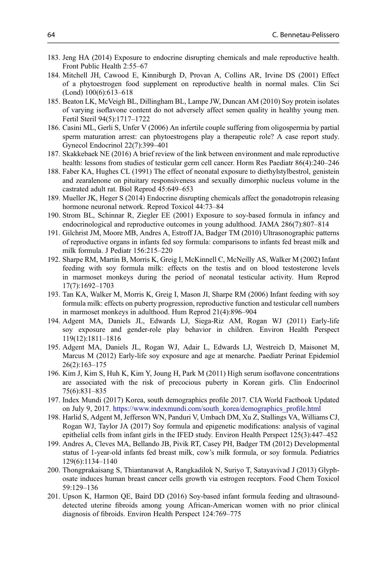- <span id="page-63-0"></span>183. Jeng HA (2014) Exposure to endocrine disrupting chemicals and male reproductive health. Front Public Health 2:55–67
- 184. Mitchell JH, Cawood E, Kinniburgh D, Provan A, Collins AR, Irvine DS (2001) Effect of a phytoestrogen food supplement on reproductive health in normal males. Clin Sci (Lond) 100(6):613–618
- 185. Beaton LK, McVeigh BL, Dillingham BL, Lampe JW, Duncan AM (2010) Soy protein isolates of varying isoflavone content do not adversely affect semen quality in healthy young men. Fertil Steril 94(5):1717–1722
- 186. Casini ML, Gerli S, Unfer V (2006) An infertile couple suffering from oligospermia by partial sperm maturation arrest: can phytoestrogens play a therapeutic role? A case report study. Gynecol Endocrinol 22(7):399–401
- 187. Skakkebaek NE (2016) A brief review of the link between environment and male reproductive health: lessons from studies of testicular germ cell cancer. Horm Res Paediatr 86(4):240–246
- 188. Faber KA, Hughes CL (1991) The effect of neonatal exposure to diethylstylbestrol, genistein and zearalenone on pituitary responsiveness and sexually dimorphic nucleus volume in the castrated adult rat. Biol Reprod 45:649–653
- 189. Mueller JK, Heger S (2014) Endocrine disrupting chemicals affect the gonadotropin releasing hormone neuronal network. Reprod Toxicol 44:73–84
- 190. Strom BL, Schinnar R, Ziegler EE (2001) Exposure to soy-based formula in infancy and endocrinological and reproductive outcomes in young adulthood. JAMA 286(7):807–814
- 191. Gilchrist JM, Moore MB, Andres A, Estroff JA, Badger TM (2010) Ultrasonographic patterns of reproductive organs in infants fed soy formula: comparisons to infants fed breast milk and milk formula. J Pediatr 156:215–220
- 192. Sharpe RM, Martin B, Morris K, Greig I, McKinnell C, McNeilly AS, Walker M (2002) Infant feeding with soy formula milk: effects on the testis and on blood testosterone levels in marmoset monkeys during the period of neonatal testicular activity. Hum Reprod 17(7):1692–1703
- 193. Tan KA, Walker M, Morris K, Greig I, Mason JI, Sharpe RM (2006) Infant feeding with soy formula milk: effects on puberty progression, reproductive function and testicular cell numbers in marmoset monkeys in adulthood. Hum Reprod 21(4):896–904
- 194. Adgent MA, Daniels JL, Edwards LJ, Siega-Riz AM, Rogan WJ (2011) Early-life soy exposure and gender-role play behavior in children. Environ Health Perspect 119(12):1811–1816
- 195. Adgent MA, Daniels JL, Rogan WJ, Adair L, Edwards LJ, Westreich D, Maisonet M, Marcus M (2012) Early-life soy exposure and age at menarche. Paediatr Perinat Epidemiol 26(2):163–175
- 196. Kim J, Kim S, Huh K, Kim Y, Joung H, Park M (2011) High serum isoflavone concentrations are associated with the risk of precocious puberty in Korean girls. Clin Endocrinol 75(6):831–835
- 197. Index Mundi (2017) Korea, south demographics profile 2017. CIA World Factbook Updated on July 9, 2017. [https://www.indexmundi.com/south\\_korea/demographics\\_pro](https://www.indexmundi.com/south_korea/demographics_profile.html)file.html
- 198. Harlid S, Adgent M, Jefferson WN, Panduri V, Umbach DM, Xu Z, Stallings VA, Williams CJ, Rogan WJ, Taylor JA (2017) Soy formula and epigenetic modifications: analysis of vaginal epithelial cells from infant girls in the IFED study. Environ Health Perspect 125(3):447–452
- 199. Andres A, Cleves MA, Bellando JB, Pivik RT, Casey PH, Badger TM (2012) Developmental status of 1-year-old infants fed breast milk, cow's milk formula, or soy formula. Pediatrics 129(6):1134–1140
- 200. Thongprakaisang S, Thiantanawat A, Rangkadilok N, Suriyo T, Satayavivad J (2013) Glyphosate induces human breast cancer cells growth via estrogen receptors. Food Chem Toxicol 59:129–136
- 201. Upson K, Harmon QE, Baird DD (2016) Soy-based infant formula feeding and ultrasounddetected uterine fibroids among young African-American women with no prior clinical diagnosis of fibroids. Environ Health Perspect 124:769–775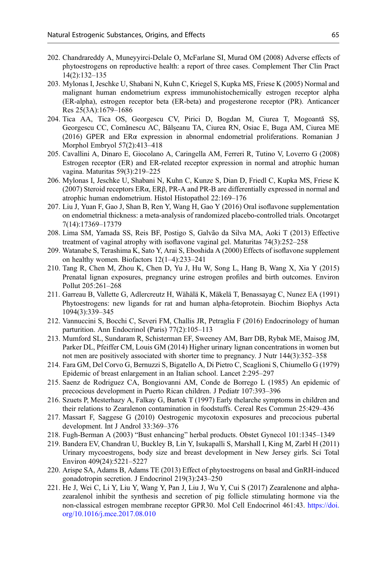- <span id="page-64-0"></span>202. Chandrareddy A, Muneyyirci-Delale O, McFarlane SI, Murad OM (2008) Adverse effects of phytoestrogens on reproductive health: a report of three cases. Complement Ther Clin Pract 14(2):132–135
- 203. Mylonas I, Jeschke U, Shabani N, Kuhn C, Kriegel S, Kupka MS, Friese K (2005) Normal and malignant human endometrium express immunohistochemically estrogen receptor alpha (ER-alpha), estrogen receptor beta (ER-beta) and progesterone receptor (PR). Anticancer Res 25(3A):1679–1686
- 204. Tica AA, Tica OS, Georgescu CV, Pirici D, Bogdan M, Ciurea T, Mogoantă SŞ, Georgescu CC, Comănescu AC, Bălşeanu TA, Ciurea RN, Osiac E, Buga AM, Ciurea ME (2016) GPER and  $ER\alpha$  expression in abnormal endometrial proliferations. Romanian J Morphol Embryol 57(2):413–418
- 205. Cavallini A, Dinaro E, Giocolano A, Caringella AM, Ferreri R, Tutino V, Loverro G (2008) Estrogen receptor (ER) and ER-related receptor expression in normal and atrophic human vagina. Maturitas 59(3):219–225
- 206. Mylonas I, Jeschke U, Shabani N, Kuhn C, Kunze S, Dian D, Friedl C, Kupka MS, Friese K (2007) Steroid receptors ERα, ERβ, PR-A and PR-B are differentially expressed in normal and atrophic human endometrium. Histol Histopathol 22:169–176
- 207. Liu J, Yuan F, Gao J, Shan B, Ren Y, Wang H, Gao Y (2016) Oral isoflavone supplementation on endometrial thickness: a meta-analysis of randomized placebo-controlled trials. Oncotarget 7(14):17369–17379
- 208. Lima SM, Yamada SS, Reis BF, Postigo S, Galvão da Silva MA, Aoki T (2013) Effective treatment of vaginal atrophy with isoflavone vaginal gel. Maturitas 74(3):252–258
- 209. Watanabe S, Terashima K, Sato Y, Arai S, Eboshida A (2000) Effects of isoflavone supplement on healthy women. Biofactors 12(1–4):233–241
- 210. Tang R, Chen M, Zhou K, Chen D, Yu J, Hu W, Song L, Hang B, Wang X, Xia Y (2015) Prenatal lignan exposures, pregnancy urine estrogen profiles and birth outcomes. Environ Pollut 205:261–268
- 211. Garreau B, Vallette G, Adlercreutz H, Wähälä K, Mäkelä T, Benassayag C, Nunez EA (1991) Phytoestrogens: new ligands for rat and human alpha-fetoprotein. Biochim Biophys Acta 1094(3):339–345
- 212. Vannuccini S, Bocchi C, Severi FM, Challis JR, Petraglia F (2016) Endocrinology of human parturition. Ann Endocrinol (Paris) 77(2):105–113
- 213. Mumford SL, Sundaram R, Schisterman EF, Sweeney AM, Barr DB, Rybak ME, Maisog JM, Parker DL, Pfeiffer CM, Louis GM (2014) Higher urinary lignan concentrations in women but not men are positively associated with shorter time to pregnancy. J Nutr 144(3):352–358
- 214. Fara GM, Del Corvo G, Bernuzzi S, Bigatello A, Di Pietro C, Scaglioni S, Chiumello G (1979) Epidemic of breast enlargement in an Italian school. Lancet 2:295–297
- 215. Saenz de Rodriguez CA, Bongiovanni AM, Conde de Borrego L (1985) An epidemic of precocious development in Puerto Rican children. J Pediatr 107:393–396
- 216. Szuets P, Mesterhazy A, Falkay G, Bartok T (1997) Early thelarche symptoms in children and their relations to Zearalenon contamination in foodstuffs. Cereal Res Commun 25:429–436
- 217. Massart F, Saggese G (2010) Oestrogenic mycotoxin exposures and precocious pubertal development. Int J Androl 33:369–376
- 218. Fugh-Berman A (2003) "Bust enhancing" herbal products. Obstet Gynecol 101:1345–1349
- 219. Bandera EV, Chandran U, Buckley B, Lin Y, Isukapalli S, Marshall I, King M, Zarbl H (2011) Urinary mycoestrogens, body size and breast development in New Jersey girls. Sci Total Environ 409(24):5221–5227
- 220. Arispe SA, Adams B, Adams TE (2013) Effect of phytoestrogens on basal and GnRH-induced gonadotropin secretion. J Endocrinol 219(3):243–250
- 221. He J, Wei C, Li Y, Liu Y, Wang Y, Pan J, Liu J, Wu Y, Cui S (2017) Zearalenone and alphazearalenol inhibit the synthesis and secretion of pig follicle stimulating hormone via the non-classical estrogen membrane receptor GPR30. Mol Cell Endocrinol 461:43. [https://doi.](https://doi.org/10.1016/j.mce.2017.08.010) [org/10.1016/j.mce.2017.08.010](https://doi.org/10.1016/j.mce.2017.08.010)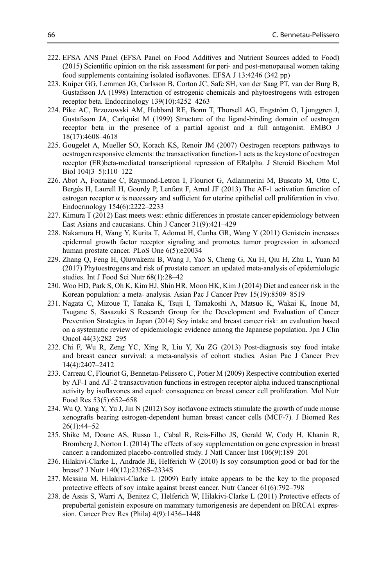- <span id="page-65-0"></span>222. EFSA ANS Panel (EFSA Panel on Food Additives and Nutrient Sources added to Food) (2015) Scientific opinion on the risk assessment for peri- and post-menopausal women taking food supplements containing isolated isoflavones. EFSA J 13:4246 (342 pp)
- 223. Kuiper GG, Lemmen JG, Carlsson B, Corton JC, Safe SH, van der Saag PT, van der Burg B, Gustafsson JA (1998) Interaction of estrogenic chemicals and phytoestrogens with estrogen receptor beta. Endocrinology 139(10):4252–4263
- 224. Pike AC, Brzozowski AM, Hubbard RE, Bonn T, Thorsell AG, Engström O, Ljunggren J, Gustafsson JA, Carlquist M (1999) Structure of the ligand-binding domain of oestrogen receptor beta in the presence of a partial agonist and a full antagonist. EMBO J 18(17):4608–4618
- 225. Gougelet A, Mueller SO, Korach KS, Renoir JM (2007) Oestrogen receptors pathways to oestrogen responsive elements: the transactivation function-1 acts as the keystone of oestrogen receptor (ER)beta-mediated transcriptional repression of ERalpha. J Steroid Biochem Mol Biol 104(3–5):110–122
- 226. Abot A, Fontaine C, Raymond-Letron I, Flouriot G, Adlanmerini M, Buscato M, Otto C, Bergès H, Laurell H, Gourdy P, Lenfant F, Arnal JF (2013) The AF-1 activation function of estrogen receptor  $\alpha$  is necessary and sufficient for uterine epithelial cell proliferation in vivo. Endocrinology 154(6):2222–2233
- 227. Kimura T (2012) East meets west: ethnic differences in prostate cancer epidemiology between East Asians and caucasians. Chin J Cancer 31(9):421–429
- 228. Nakamura H, Wang Y, Kurita T, Adomat H, Cunha GR, Wang Y (2011) Genistein increases epidermal growth factor receptor signaling and promotes tumor progression in advanced human prostate cancer. PLoS One 6(5):e20034
- 229. Zhang Q, Feng H, Qluwakemi B, Wang J, Yao S, Cheng G, Xu H, Qiu H, Zhu L, Yuan M (2017) Phytoestrogens and risk of prostate cancer: an updated meta-analysis of epidemiologic studies. Int J Food Sci Nutr 68(1):28–42
- 230. Woo HD, Park S, Oh K, Kim HJ, Shin HR, Moon HK, Kim J (2014) Diet and cancer risk in the Korean population: a meta- analysis. Asian Pac J Cancer Prev 15(19):8509–8519
- 231. Nagata C, Mizoue T, Tanaka K, Tsuji I, Tamakoshi A, Matsuo K, Wakai K, Inoue M, Tsugane S, Sasazuki S Research Group for the Development and Evaluation of Cancer Prevention Strategies in Japan (2014) Soy intake and breast cancer risk: an evaluation based on a systematic review of epidemiologic evidence among the Japanese population. Jpn J Clin Oncol 44(3):282–295
- 232. Chi F, Wu R, Zeng YC, Xing R, Liu Y, Xu ZG (2013) Post-diagnosis soy food intake and breast cancer survival: a meta-analysis of cohort studies. Asian Pac J Cancer Prev 14(4):2407–2412
- 233. Carreau C, Flouriot G, Bennetau-Pelissero C, Potier M (2009) Respective contribution exerted by AF-1 and AF-2 transactivation functions in estrogen receptor alpha induced transcriptional activity by isoflavones and equol: consequence on breast cancer cell proliferation. Mol Nutr Food Res 53(5):652–658
- 234. Wu Q, Yang Y, Yu J, Jin N (2012) Soy isoflavone extracts stimulate the growth of nude mouse xenografts bearing estrogen-dependent human breast cancer cells (MCF-7). J Biomed Res 26(1):44–52
- 235. Shike M, Doane AS, Russo L, Cabal R, Reis-Filho JS, Gerald W, Cody H, Khanin R, Bromberg J, Norton L (2014) The effects of soy supplementation on gene expression in breast cancer: a randomized placebo-controlled study. J Natl Cancer Inst 106(9):189–201
- 236. Hilakivi-Clarke L, Andrade JE, Helferich W (2010) Is soy consumption good or bad for the breast? J Nutr 140(12):2326S–2334S
- 237. Messina M, Hilakivi-Clarke L (2009) Early intake appears to be the key to the proposed protective effects of soy intake against breast cancer. Nutr Cancer 61(6):792–798
- 238. de Assis S, Warri A, Benitez C, Helferich W, Hilakivi-Clarke L (2011) Protective effects of prepubertal genistein exposure on mammary tumorigenesis are dependent on BRCA1 expression. Cancer Prev Res (Phila) 4(9):1436–1448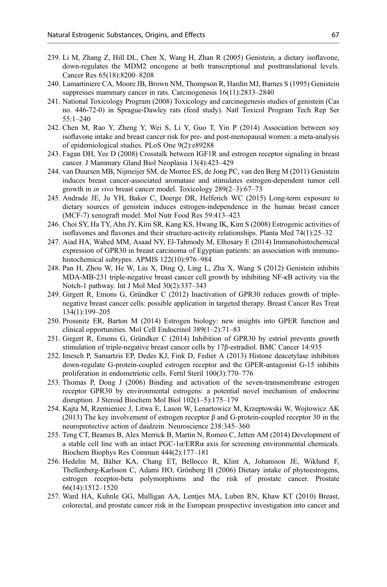- <span id="page-66-0"></span>239. Li M, Zhang Z, Hill DL, Chen X, Wang H, Zhan R (2005) Genistein, a dietary isoflavone, down-regulates the MDM2 oncogene at both transcriptional and posttranslational levels. Cancer Res 65(18):8200–8208
- 240. Lamartiniere CA, Moore JB, Brown NM, Thompson R, Hardin MJ, Barnes S (1995) Genistein suppresses mammary cancer in rats. Carcinogenesis 16(11):2833–2840
- 241. National Toxicology Program (2008) Toxicology and carcinogenesis studies of genistein (Cas no. 446-72-0) in Sprague-Dawley rats (feed study). Natl Toxicol Program Tech Rep Ser 55:1–240
- 242. Chen M, Rao Y, Zheng Y, Wei S, Li Y, Guo T, Yin P (2014) Association between soy isoflavone intake and breast cancer risk for pre- and post-menopausal women: a meta-analysis of epidemiological studies. PLoS One 9(2):e89288
- 243. Fagan DH, Yee D (2008) Crosstalk between IGF1R and estrogen receptor signaling in breast cancer. J Mammary Gland Biol Neoplasia 13(4):423–429
- 244. van Duursen MB, Nijmeijer SM, de Morree ES, de Jong PC, van den Berg M (2011) Genistein induces breast cancer-associated aromatase and stimulates estrogen-dependent tumor cell growth in in vivo breast cancer model. Toxicology 289(2–3):67–73
- 245. Andrade JE, Ju YH, Baker C, Doerge DR, Helferich WC (2015) Long-term exposure to dietary sources of genistein induces estrogen-independence in the human breast cancer (MCF-7) xenograft model. Mol Nutr Food Res 59:413–423
- 246. Choi SY, Ha TY, Ahn JY, Kim SR, Kang KS, Hwang IK, Kim S (2008) Estrogenic activities of isoflavones and flavones and their structure-activity relationships. Planta Med 74(1):25–32
- 247. Aiad HA, Wahed MM, Asaad NY, El-Tahmody M, Elhosary E (2014) Immunohistochemical expression of GPR30 in breast carcinoma of Egyptian patients: an association with immunohistochemical subtypes. APMIS 122(10):976–984
- 248. Pan H, Zhou W, He W, Liu X, Ding Q, Ling L, Zha X, Wang S (2012) Genistein inhibits MDA-MB-231 triple-negative breast cancer cell growth by inhibiting NF-κB activity via the Notch-1 pathway. Int J Mol Med 30(2):337–343
- 249. Girgert R, Emons G, Gründker C (2012) Inactivation of GPR30 reduces growth of triplenegative breast cancer cells: possible application in targeted therapy. Breast Cancer Res Treat 134(1):199–205
- 250. Prossnitz ER, Barton M (2014) Estrogen biology: new insights into GPER function and clinical opportunities. Mol Cell Endocrinol 389(1–2):71–83
- 251. Girgert R, Emons G, Gründker C (2014) Inhibition of GPR30 by estriol prevents growth stimulation of triple-negative breast cancer cells by 17β-estradiol. BMC Cancer 14:935
- 252. Imesch P, Samartzis EP, Dedes KJ, Fink D, Fedier A (2013) Histone deacetylase inhibitors down-regulate G-protein-coupled estrogen receptor and the GPER-antagonist G-15 inhibits proliferation in endometriotic cells. Fertil Steril 100(3):770–776
- 253. Thomas P, Dong J (2006) Binding and activation of the seven-transmembrane estrogen receptor GPR30 by environmental estrogens: a potential novel mechanism of endocrine disruption. J Steroid Biochem Mol Biol 102(1–5):175–179
- 254. Kajta M, Rzemieniec J, Litwa E, Lason W, Lenartowicz M, Krzeptowski W, Wojtowicz AK (2013) The key involvement of estrogen receptor  $\beta$  and G-protein-coupled receptor 30 in the neuroprotective action of daidzein. Neuroscience 238:345–360
- 255. Teng CT, Beames B, Alex Merrick B, Martin N, Romeo C, Jetten AM (2014) Development of a stable cell line with an intact  $PGC-1\alpha/ERR\alpha$  axis for screening environmental chemicals. Biochem Biophys Res Commun 444(2):177–181
- 256. Hedelin M, Bälter KA, Chang ET, Bellocco R, Klint A, Johansson JE, Wiklund F, Thellenberg-Karlsson C, Adami HO, Grönberg H (2006) Dietary intake of phytoestrogens, estrogen receptor-beta polymorphisms and the risk of prostate cancer. Prostate 66(14):1512–1520
- 257. Ward HA, Kuhnle GG, Mulligan AA, Lentjes MA, Luben RN, Khaw KT (2010) Breast, colorectal, and prostate cancer risk in the European prospective investigation into cancer and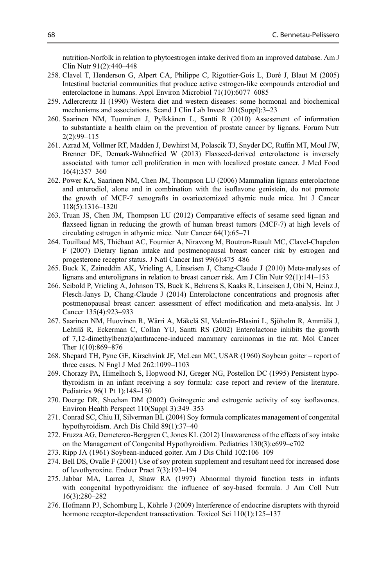<span id="page-67-0"></span>nutrition-Norfolk in relation to phytoestrogen intake derived from an improved database. Am J Clin Nutr 91(2):440–448

- 258. Clavel T, Henderson G, Alpert CA, Philippe C, Rigottier-Gois L, Doré J, Blaut M (2005) Intestinal bacterial communities that produce active estrogen-like compounds enterodiol and enterolactone in humans. Appl Environ Microbiol 71(10):6077–6085
- 259. Adlercreutz H (1990) Western diet and western diseases: some hormonal and biochemical mechanisms and associations. Scand J Clin Lab Invest 201(Suppl):3–23
- 260. Saarinen NM, Tuominen J, Pylkkänen L, Santti R (2010) Assessment of information to substantiate a health claim on the prevention of prostate cancer by lignans. Forum Nutr 2(2):99–115
- 261. Azrad M, Vollmer RT, Madden J, Dewhirst M, Polascik TJ, Snyder DC, Ruffin MT, Moul JW, Brenner DE, Demark-Wahnefried W (2013) Flaxseed-derived enterolactone is inversely associated with tumor cell proliferation in men with localized prostate cancer. J Med Food 16(4):357–360
- 262. Power KA, Saarinen NM, Chen JM, Thompson LU (2006) Mammalian lignans enterolactone and enterodiol, alone and in combination with the isoflavone genistein, do not promote the growth of MCF-7 xenografts in ovariectomized athymic nude mice. Int J Cancer 118(5):1316–1320
- 263. Truan JS, Chen JM, Thompson LU (2012) Comparative effects of sesame seed lignan and flaxseed lignan in reducing the growth of human breast tumors (MCF-7) at high levels of circulating estrogen in athymic mice. Nutr Cancer 64(1):65–71
- 264. Touillaud MS, Thiébaut AC, Fournier A, Niravong M, Boutron-Ruault MC, Clavel-Chapelon F (2007) Dietary lignan intake and postmenopausal breast cancer risk by estrogen and progesterone receptor status. J Natl Cancer Inst 99(6):475–486
- 265. Buck K, Zaineddin AK, Vrieling A, Linseisen J, Chang-Claude J (2010) Meta-analyses of lignans and enterolignans in relation to breast cancer risk. Am J Clin Nutr 92(1):141–153
- 266. Seibold P, Vrieling A, Johnson TS, Buck K, Behrens S, Kaaks R, Linseisen J, Obi N, Heinz J, Flesch-Janys D, Chang-Claude J (2014) Enterolactone concentrations and prognosis after postmenopausal breast cancer: assessment of effect modification and meta-analysis. Int J Cancer 135(4):923–933
- 267. Saarinen NM, Huovinen R, Wärri A, Mäkelä SI, Valentín-Blasini L, Sjöholm R, Ammälä J, Lehtilä R, Eckerman C, Collan YU, Santti RS (2002) Enterolactone inhibits the growth of 7,12-dimethylbenz(a)anthracene-induced mammary carcinomas in the rat. Mol Cancer Ther 1(10):869–876
- 268. Shepard TH, Pyne GE, Kirschvink JF, McLean MC, USAR (1960) Soybean goiter report of three cases. N Engl J Med 262:1099–1103
- 269. Chorazy PA, Himelhoch S, Hopwood NJ, Greger NG, Postellon DC (1995) Persistent hypothyroidism in an infant receiving a soy formula: case report and review of the literature. Pediatrics 96(1 Pt 1):148–150
- 270. Doerge DR, Sheehan DM (2002) Goitrogenic and estrogenic activity of soy isoflavones. Environ Health Perspect 110(Suppl 3):349–353
- 271. Conrad SC, Chiu H, Silverman BL (2004) Soy formula complicates management of congenital hypothyroidism. Arch Dis Child 89(1):37–40
- 272. Fruzza AG, Demeterco-Berggren C, Jones KL (2012) Unawareness of the effects of soy intake on the Management of Congenital Hypothyroidism. Pediatrics 130(3):e699–e702
- 273. Ripp JA (1961) Soybean-induced goiter. Am J Dis Child 102:106–109
- 274. Bell DS, Ovalle F (2001) Use of soy protein supplement and resultant need for increased dose of levothyroxine. Endocr Pract 7(3):193–194
- 275. Jabbar MA, Larrea J, Shaw RA (1997) Abnormal thyroid function tests in infants with congenital hypothyroidism: the influence of soy-based formula. J Am Coll Nutr 16(3):280–282
- 276. Hofmann PJ, Schomburg L, Köhrle J (2009) Interference of endocrine disrupters with thyroid hormone receptor-dependent transactivation. Toxicol Sci 110(1):125–137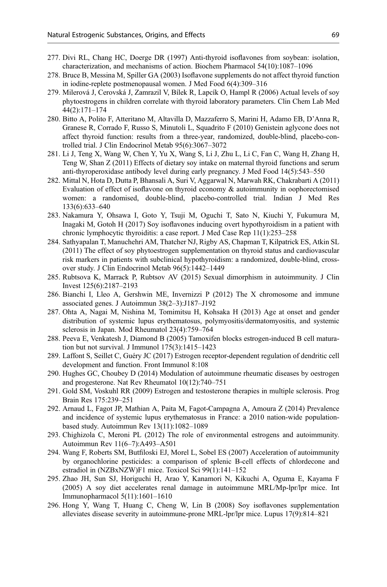- <span id="page-68-0"></span>277. Divi RL, Chang HC, Doerge DR (1997) Anti-thyroid isoflavones from soybean: isolation, characterization, and mechanisms of action. Biochem Pharmacol 54(10):1087–1096
- 278. Bruce B, Messina M, Spiller GA (2003) Isoflavone supplements do not affect thyroid function in iodine-replete postmenopausal women. J Med Food 6(4):309–316
- 279. Milerová J, Cerovská J, Zamrazil V, Bílek R, Lapcík O, Hampl R (2006) Actual levels of soy phytoestrogens in children correlate with thyroid laboratory parameters. Clin Chem Lab Med 44(2):171–174
- 280. Bitto A, Polito F, Atteritano M, Altavilla D, Mazzaferro S, Marini H, Adamo EB, D'Anna R, Granese R, Corrado F, Russo S, Minutoli L, Squadrito F (2010) Genistein aglycone does not affect thyroid function: results from a three-year, randomized, double-blind, placebo-controlled trial. J Clin Endocrinol Metab 95(6):3067–3072
- 281. Li J, Teng X, Wang W, Chen Y, Yu X, Wang S, Li J, Zhu L, Li C, Fan C, Wang H, Zhang H, Teng W, Shan Z (2011) Effects of dietary soy intake on maternal thyroid functions and serum anti-thyroperoxidase antibody level during early pregnancy. J Med Food 14(5):543–550
- 282. Mittal N, Hota D, Dutta P, Bhansali A, Suri V, Aggarwal N, Marwah RK, Chakrabarti A (2011) Evaluation of effect of isoflavone on thyroid economy & autoimmunity in oophorectomised women: a randomised, double-blind, placebo-controlled trial. Indian J Med Res 133(6):633–640
- 283. Nakamura Y, Ohsawa I, Goto Y, Tsuji M, Oguchi T, Sato N, Kiuchi Y, Fukumura M, Inagaki M, Gotoh H (2017) Soy isoflavones inducing overt hypothyroidism in a patient with chronic lymphocytic thyroiditis: a case report. J Med Case Rep 11(1):253–258
- 284. Sathyapalan T, Manuchehri AM, Thatcher NJ, Rigby AS, Chapman T, Kilpatrick ES, Atkin SL (2011) The effect of soy phytoestrogen supplementation on thyroid status and cardiovascular risk markers in patients with subclinical hypothyroidism: a randomized, double-blind, crossover study. J Clin Endocrinol Metab 96(5):1442–1449
- 285. Rubtsova K, Marrack P, Rubtsov AV (2015) Sexual dimorphism in autoimmunity. J Clin Invest 125(6):2187–2193
- 286. Bianchi I, Lleo A, Gershwin ME, Invernizzi P (2012) The X chromosome and immune associated genes. J Autoimmun 38(2–3):J187–J192
- 287. Ohta A, Nagai M, Nishina M, Tomimitsu H, Kohsaka H (2013) Age at onset and gender distribution of systemic lupus erythematosus, polymyositis/dermatomyositis, and systemic sclerosis in Japan. Mod Rheumatol 23(4):759–764
- 288. Peeva E, Venkatesh J, Diamond B (2005) Tamoxifen blocks estrogen-induced B cell maturation but not survival. J Immunol 175(3):1415–1423
- 289. Laffont S, Seillet C, Guéry JC (2017) Estrogen receptor-dependent regulation of dendritic cell development and function. Front Immunol 8:108
- 290. Hughes GC, Choubey D (2014) Modulation of autoimmune rheumatic diseases by oestrogen and progesterone. Nat Rev Rheumatol 10(12):740–751
- 291. Gold SM, Voskuhl RR (2009) Estrogen and testosterone therapies in multiple sclerosis. Prog Brain Res 175:239–251
- 292. Arnaud L, Fagot JP, Mathian A, Paita M, Fagot-Campagna A, Amoura Z (2014) Prevalence and incidence of systemic lupus erythematosus in France: a 2010 nation-wide populationbased study. Autoimmun Rev 13(11):1082–1089
- 293. Chighizola C, Meroni PL (2012) The role of environmental estrogens and autoimmunity. Autoimmun Rev 11(6–7):A493–A501
- 294. Wang F, Roberts SM, Butfiloski EJ, Morel L, Sobel ES (2007) Acceleration of autoimmunity by organochlorine pesticides: a comparison of splenic B-cell effects of chlordecone and estradiol in (NZBxNZW)F1 mice. Toxicol Sci 99(1):141–152
- 295. Zhao JH, Sun SJ, Horiguchi H, Arao Y, Kanamori N, Kikuchi A, Oguma E, Kayama F (2005) A soy diet accelerates renal damage in autoimmune MRL/Mp-lpr/lpr mice. Int Immunopharmacol 5(11):1601–1610
- 296. Hong Y, Wang T, Huang C, Cheng W, Lin B (2008) Soy isoflavones supplementation alleviates disease severity in autoimmune-prone MRL-lpr/lpr mice. Lupus 17(9):814–821